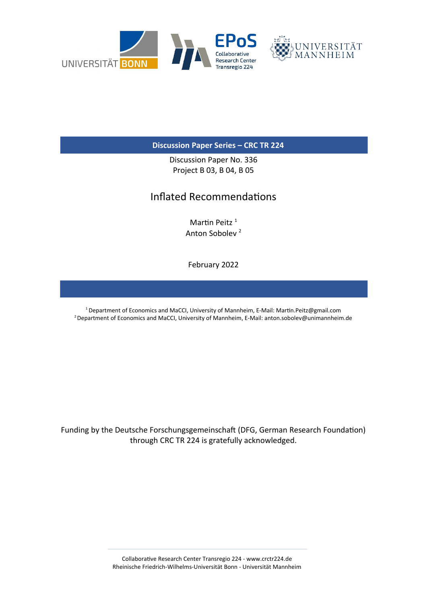

### **Discussion Paper Series – CRC TR 224**

Discussion Paper No. 336 Project B 03, B 04, B 05

## Inflated Recommendations

Martin Peitz<sup>1</sup> Anton Sobolev <sup>2</sup>

February 2022

<sup>1</sup> Department of Economics and MaCCI, University of Mannheim, E-Mail: Martin.Peitz@gmail.com <sup>2</sup> Department of Economics and MaCCI, University of Mannheim, E-Mail: anton.sobolev@unimannheim.de

Funding by the Deutsche Forschungsgemeinschaft (DFG, German Research Foundation) through CRC TR 224 is gratefully acknowledged.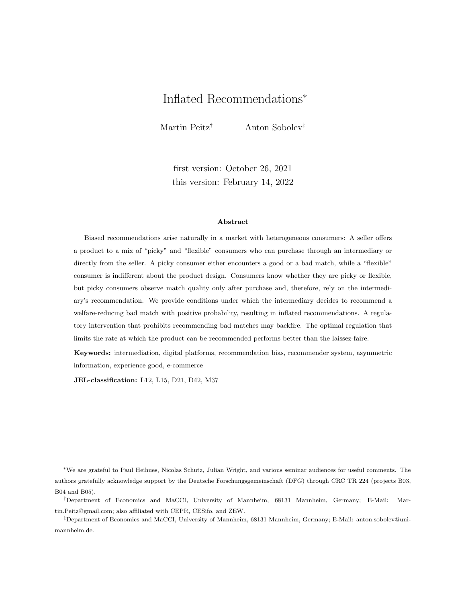# Inflated Recommendations<sup>∗</sup>

Martin Peitz† Anton Sobolev‡

first version: October 26, 2021 this version: February 14, 2022

#### Abstract

Biased recommendations arise naturally in a market with heterogeneous consumers: A seller offers a product to a mix of "picky" and "flexible" consumers who can purchase through an intermediary or directly from the seller. A picky consumer either encounters a good or a bad match, while a "flexible" consumer is indifferent about the product design. Consumers know whether they are picky or flexible, but picky consumers observe match quality only after purchase and, therefore, rely on the intermediary's recommendation. We provide conditions under which the intermediary decides to recommend a welfare-reducing bad match with positive probability, resulting in inflated recommendations. A regulatory intervention that prohibits recommending bad matches may backfire. The optimal regulation that limits the rate at which the product can be recommended performs better than the laissez-faire.

Keywords: intermediation, digital platforms, recommendation bias, recommender system, asymmetric information, experience good, e-commerce

JEL-classification: L12, L15, D21, D42, M37

<sup>∗</sup>We are grateful to Paul Heihues, Nicolas Schutz, Julian Wright, and various seminar audiences for useful comments. The authors gratefully acknowledge support by the Deutsche Forschungsgemeinschaft (DFG) through CRC TR 224 (projects B03, B04 and B05).

<sup>†</sup>Department of Economics and MaCCI, University of Mannheim, 68131 Mannheim, Germany; E-Mail: Martin.Peitz@gmail.com; also affiliated with CEPR, CESifo, and ZEW.

<sup>‡</sup>Department of Economics and MaCCI, University of Mannheim, 68131 Mannheim, Germany; E-Mail: anton.sobolev@unimannheim.de.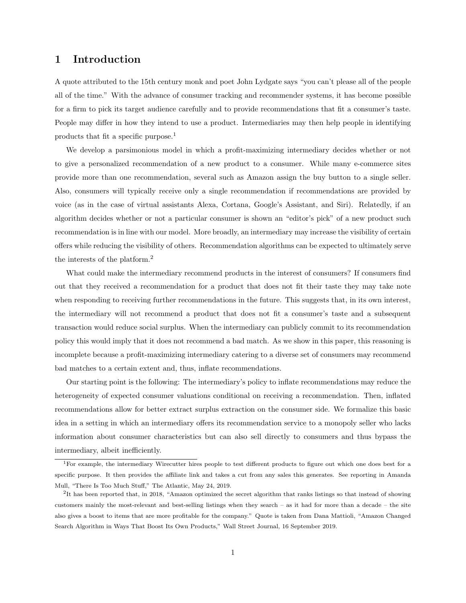### 1 Introduction

A quote attributed to the 15th century monk and poet John Lydgate says "you can't please all of the people all of the time." With the advance of consumer tracking and recommender systems, it has become possible for a firm to pick its target audience carefully and to provide recommendations that fit a consumer's taste. People may differ in how they intend to use a product. Intermediaries may then help people in identifying products that fit a specific purpose.<sup>1</sup>

We develop a parsimonious model in which a profit-maximizing intermediary decides whether or not to give a personalized recommendation of a new product to a consumer. While many e-commerce sites provide more than one recommendation, several such as Amazon assign the buy button to a single seller. Also, consumers will typically receive only a single recommendation if recommendations are provided by voice (as in the case of virtual assistants Alexa, Cortana, Google's Assistant, and Siri). Relatedly, if an algorithm decides whether or not a particular consumer is shown an "editor's pick" of a new product such recommendation is in line with our model. More broadly, an intermediary may increase the visibility of certain offers while reducing the visibility of others. Recommendation algorithms can be expected to ultimately serve the interests of the platform.<sup>2</sup>

What could make the intermediary recommend products in the interest of consumers? If consumers find out that they received a recommendation for a product that does not fit their taste they may take note when responding to receiving further recommendations in the future. This suggests that, in its own interest, the intermediary will not recommend a product that does not fit a consumer's taste and a subsequent transaction would reduce social surplus. When the intermediary can publicly commit to its recommendation policy this would imply that it does not recommend a bad match. As we show in this paper, this reasoning is incomplete because a profit-maximizing intermediary catering to a diverse set of consumers may recommend bad matches to a certain extent and, thus, inflate recommendations.

Our starting point is the following: The intermediary's policy to inflate recommendations may reduce the heterogeneity of expected consumer valuations conditional on receiving a recommendation. Then, inflated recommendations allow for better extract surplus extraction on the consumer side. We formalize this basic idea in a setting in which an intermediary offers its recommendation service to a monopoly seller who lacks information about consumer characteristics but can also sell directly to consumers and thus bypass the intermediary, albeit inefficiently.

<sup>1</sup>For example, the intermediary Wirecutter hires people to test different products to figure out which one does best for a specific purpose. It then provides the affiliate link and takes a cut from any sales this generates. See reporting in Amanda Mull, "There Is Too Much Stuff," The Atlantic, May 24, 2019.

<sup>&</sup>lt;sup>2</sup>It has been reported that, in 2018, "Amazon optimized the secret algorithm that ranks listings so that instead of showing customers mainly the most-relevant and best-selling listings when they search – as it had for more than a decade – the site also gives a boost to items that are more profitable for the company." Quote is taken from Dana Mattioli, "Amazon Changed Search Algorithm in Ways That Boost Its Own Products," Wall Street Journal, 16 September 2019.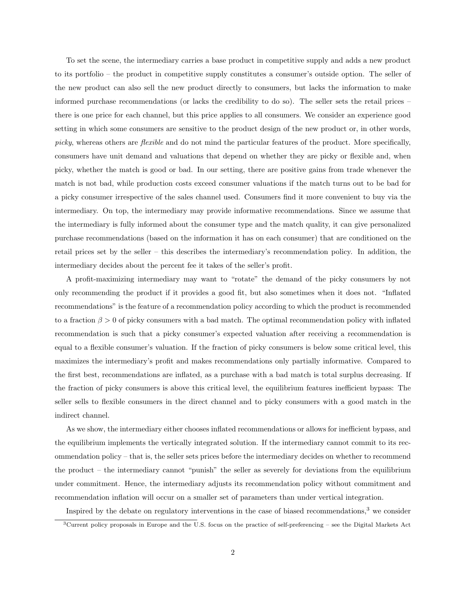To set the scene, the intermediary carries a base product in competitive supply and adds a new product to its portfolio – the product in competitive supply constitutes a consumer's outside option. The seller of the new product can also sell the new product directly to consumers, but lacks the information to make informed purchase recommendations (or lacks the credibility to do so). The seller sets the retail prices – there is one price for each channel, but this price applies to all consumers. We consider an experience good setting in which some consumers are sensitive to the product design of the new product or, in other words, picky, whereas others are *flexible* and do not mind the particular features of the product. More specifically, consumers have unit demand and valuations that depend on whether they are picky or flexible and, when picky, whether the match is good or bad. In our setting, there are positive gains from trade whenever the match is not bad, while production costs exceed consumer valuations if the match turns out to be bad for a picky consumer irrespective of the sales channel used. Consumers find it more convenient to buy via the intermediary. On top, the intermediary may provide informative recommendations. Since we assume that the intermediary is fully informed about the consumer type and the match quality, it can give personalized purchase recommendations (based on the information it has on each consumer) that are conditioned on the retail prices set by the seller – this describes the intermediary's recommendation policy. In addition, the intermediary decides about the percent fee it takes of the seller's profit.

A profit-maximizing intermediary may want to "rotate" the demand of the picky consumers by not only recommending the product if it provides a good fit, but also sometimes when it does not. "Inflated recommendations" is the feature of a recommendation policy according to which the product is recommended to a fraction  $\beta > 0$  of picky consumers with a bad match. The optimal recommendation policy with inflated recommendation is such that a picky consumer's expected valuation after receiving a recommendation is equal to a flexible consumer's valuation. If the fraction of picky consumers is below some critical level, this maximizes the intermediary's profit and makes recommendations only partially informative. Compared to the first best, recommendations are inflated, as a purchase with a bad match is total surplus decreasing. If the fraction of picky consumers is above this critical level, the equilibrium features inefficient bypass: The seller sells to flexible consumers in the direct channel and to picky consumers with a good match in the indirect channel.

As we show, the intermediary either chooses inflated recommendations or allows for inefficient bypass, and the equilibrium implements the vertically integrated solution. If the intermediary cannot commit to its recommendation policy – that is, the seller sets prices before the intermediary decides on whether to recommend the product – the intermediary cannot "punish" the seller as severely for deviations from the equilibrium under commitment. Hence, the intermediary adjusts its recommendation policy without commitment and recommendation inflation will occur on a smaller set of parameters than under vertical integration.

Inspired by the debate on regulatory interventions in the case of biased recommendations, $3$  we consider

<sup>3</sup>Current policy proposals in Europe and the U.S. focus on the practice of self-preferencing – see the Digital Markets Act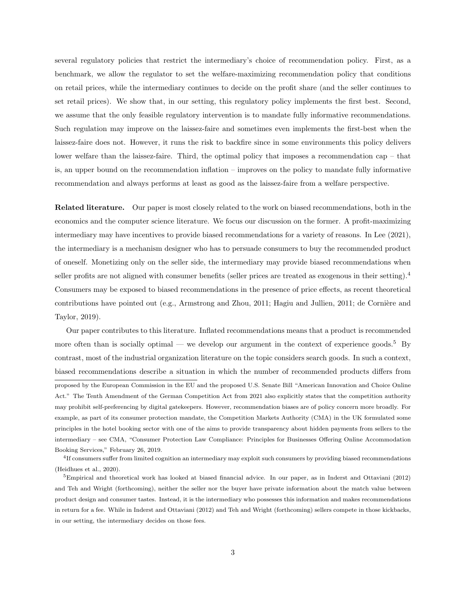several regulatory policies that restrict the intermediary's choice of recommendation policy. First, as a benchmark, we allow the regulator to set the welfare-maximizing recommendation policy that conditions on retail prices, while the intermediary continues to decide on the profit share (and the seller continues to set retail prices). We show that, in our setting, this regulatory policy implements the first best. Second, we assume that the only feasible regulatory intervention is to mandate fully informative recommendations. Such regulation may improve on the laissez-faire and sometimes even implements the first-best when the laissez-faire does not. However, it runs the risk to backfire since in some environments this policy delivers lower welfare than the laissez-faire. Third, the optimal policy that imposes a recommendation cap – that is, an upper bound on the recommendation inflation – improves on the policy to mandate fully informative recommendation and always performs at least as good as the laissez-faire from a welfare perspective.

Related literature. Our paper is most closely related to the work on biased recommendations, both in the economics and the computer science literature. We focus our discussion on the former. A profit-maximizing intermediary may have incentives to provide biased recommendations for a variety of reasons. In Lee (2021), the intermediary is a mechanism designer who has to persuade consumers to buy the recommended product of oneself. Monetizing only on the seller side, the intermediary may provide biased recommendations when seller profits are not aligned with consumer benefits (seller prices are treated as exogenous in their setting).<sup>4</sup> Consumers may be exposed to biased recommendations in the presence of price effects, as recent theoretical contributions have pointed out (e.g., Armstrong and Zhou, 2011; Hagiu and Jullien, 2011; de Cornière and Taylor, 2019).

Our paper contributes to this literature. Inflated recommendations means that a product is recommended more often than is socially optimal — we develop our argument in the context of experience goods.<sup>5</sup> By contrast, most of the industrial organization literature on the topic considers search goods. In such a context, biased recommendations describe a situation in which the number of recommended products differs from proposed by the European Commission in the EU and the proposed U.S. Senate Bill "American Innovation and Choice Online Act." The Tenth Amendment of the German Competition Act from 2021 also explicitly states that the competition authority may prohibit self-preferencing by digital gatekeepers. However, recommendation biases are of policy concern more broadly. For example, as part of its consumer protection mandate, the Competition Markets Authority (CMA) in the UK formulated some principles in the hotel booking sector with one of the aims to provide transparency about hidden payments from sellers to the intermediary – see CMA, "Consumer Protection Law Compliance: Principles for Businesses Offering Online Accommodation Booking Services," February 26, 2019.

4 If consumers suffer from limited cognition an intermediary may exploit such consumers by providing biased recommendations (Heidhues et al., 2020).

 $5$ Empirical and theoretical work has looked at biased financial advice. In our paper, as in Inderst and Ottaviani (2012) and Teh and Wright (forthcoming), neither the seller nor the buyer have private information about the match value between product design and consumer tastes. Instead, it is the intermediary who possesses this information and makes recommendations in return for a fee. While in Inderst and Ottaviani (2012) and Teh and Wright (forthcoming) sellers compete in those kickbacks, in our setting, the intermediary decides on those fees.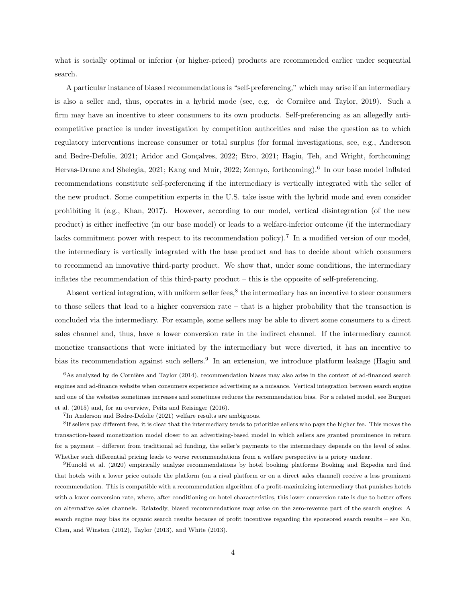what is socially optimal or inferior (or higher-priced) products are recommended earlier under sequential search.

A particular instance of biased recommendations is "self-preferencing," which may arise if an intermediary is also a seller and, thus, operates in a hybrid mode (see, e.g. de Cornière and Taylor, 2019). Such a firm may have an incentive to steer consumers to its own products. Self-preferencing as an allegedly anticompetitive practice is under investigation by competition authorities and raise the question as to which regulatory interventions increase consumer or total surplus (for formal investigations, see, e.g., Anderson and Bedre-Defolie, 2021; Aridor and Gonçalves, 2022; Etro, 2021; Hagiu, Teh, and Wright, forthcoming; Hervas-Drane and Shelegia, 2021; Kang and Muir, 2022; Zennyo, forthcoming).<sup>6</sup> In our base model inflated recommendations constitute self-preferencing if the intermediary is vertically integrated with the seller of the new product. Some competition experts in the U.S. take issue with the hybrid mode and even consider prohibiting it (e.g., Khan, 2017). However, according to our model, vertical disintegration (of the new product) is either ineffective (in our base model) or leads to a welfare-inferior outcome (if the intermediary lacks commitment power with respect to its recommendation policy).<sup>7</sup> In a modified version of our model, the intermediary is vertically integrated with the base product and has to decide about which consumers to recommend an innovative third-party product. We show that, under some conditions, the intermediary inflates the recommendation of this third-party product – this is the opposite of self-preferencing.

Absent vertical integration, with uniform seller fees, ${}^{8}$  the intermediary has an incentive to steer consumers to those sellers that lead to a higher conversion rate – that is a higher probability that the transaction is concluded via the intermediary. For example, some sellers may be able to divert some consumers to a direct sales channel and, thus, have a lower conversion rate in the indirect channel. If the intermediary cannot monetize transactions that were initiated by the intermediary but were diverted, it has an incentive to bias its recommendation against such sellers.<sup>9</sup> In an extension, we introduce platform leakage (Hagiu and

 $6$ As analyzed by de Cornière and Taylor (2014), recommendation biases may also arise in the context of ad-financed search engines and ad-finance website when consumers experience advertising as a nuisance. Vertical integration between search engine and one of the websites sometimes increases and sometimes reduces the recommendation bias. For a related model, see Burguet et al. (2015) and, for an overview, Peitz and Reisinger (2016).

<sup>7</sup> In Anderson and Bedre-Defolie (2021) welfare results are ambiguous.

<sup>&</sup>lt;sup>8</sup>If sellers pay different fees, it is clear that the intermediary tends to prioritize sellers who pays the higher fee. This moves the transaction-based monetization model closer to an advertising-based model in which sellers are granted prominence in return for a payment – different from traditional ad funding, the seller's payments to the intermediary depends on the level of sales. Whether such differential pricing leads to worse recommendations from a welfare perspective is a priory unclear.

<sup>9</sup>Hunold et al. (2020) empirically analyze recommendations by hotel booking platforms Booking and Expedia and find that hotels with a lower price outside the platform (on a rival platform or on a direct sales channel) receive a less prominent recommendation. This is compatible with a recommendation algorithm of a profit-maximizing intermediary that punishes hotels with a lower conversion rate, where, after conditioning on hotel characteristics, this lower conversion rate is due to better offers on alternative sales channels. Relatedly, biased recommendations may arise on the zero-revenue part of the search engine: A search engine may bias its organic search results because of profit incentives regarding the sponsored search results – see Xu, Chen, and Winston (2012), Taylor (2013), and White (2013).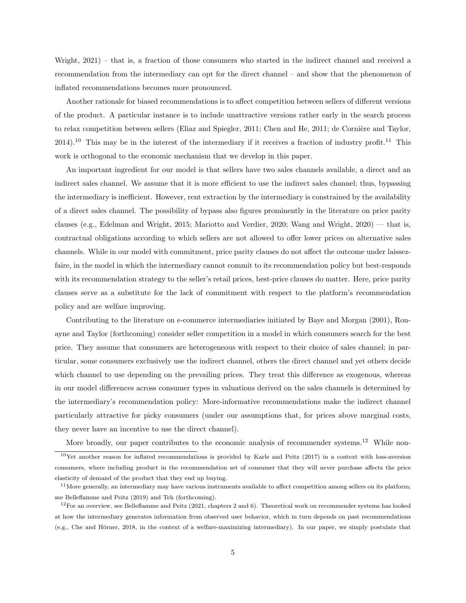Wright, 2021) – that is, a fraction of those consumers who started in the indirect channel and received a recommendation from the intermediary can opt for the direct channel – and show that the phenomenon of inflated recommendations becomes more pronounced.

Another rationale for biased recommendations is to affect competition between sellers of different versions of the product. A particular instance is to include unattractive versions rather early in the search process to relax competition between sellers (Eliaz and Spiegler, 2011; Chen and He, 2011; de Cornière and Taylor,  $2014$ .<sup>10</sup> This may be in the interest of the intermediary if it receives a fraction of industry profit.<sup>11</sup> This work is orthogonal to the economic mechanism that we develop in this paper.

An important ingredient for our model is that sellers have two sales channels available, a direct and an indirect sales channel. We assume that it is more efficient to use the indirect sales channel; thus, bypassing the intermediary is inefficient. However, rent extraction by the intermediary is constrained by the availability of a direct sales channel. The possibility of bypass also figures prominently in the literature on price parity clauses (e.g., Edelman and Wright, 2015; Mariotto and Verdier, 2020; Wang and Wright, 2020) — that is, contractual obligations according to which sellers are not allowed to offer lower prices on alternative sales channels. While in our model with commitment, price parity clauses do not affect the outcome under laissezfaire, in the model in which the intermediary cannot commit to its recommendation policy but best-responds with its recommendation strategy to the seller's retail prices, best-price clauses do matter. Here, price parity clauses serve as a substitute for the lack of commitment with respect to the platform's recommendation policy and are welfare improving.

Contributing to the literature on e-commerce intermediaries initiated by Baye and Morgan (2001), Ronayne and Taylor (forthcoming) consider seller competition in a model in which consumers search for the best price. They assume that consumers are heterogeneous with respect to their choice of sales channel; in particular, some consumers exclusively use the indirect channel, others the direct channel and yet others decide which channel to use depending on the prevailing prices. They treat this difference as exogenous, whereas in our model differences across consumer types in valuations derived on the sales channels is determined by the intermediary's recommendation policy: More-informative recommendations make the indirect channel particularly attractive for picky consumers (under our assumptions that, for prices above marginal costs, they never have an incentive to use the direct channel).

More broadly, our paper contributes to the economic analysis of recommender systems.<sup>12</sup> While non- $10$ Yet another reason for inflated recommendations is provided by Karle and Peitz (2017) in a context with loss-aversion consumers, where including product in the recommendation set of consumer that they will never purchase affects the price elasticity of demand of the product that they end up buying.

 $11$ More generally, an intermediary may have various instruments available to affect competition among sellers on its platform; see Belleflamme and Peitz (2019) and Teh (forthcoming).

 $12$ For an overview, see Belleflamme and Peitz (2021, chapters 2 and 6). Theoretical work on recommender systems has looked at how the intermediary generates information from observed user behavior, which in turn depends on past recommendations (e.g., Che and Hörner, 2018, in the context of a welfare-maximizing intermediary). In our paper, we simply postulate that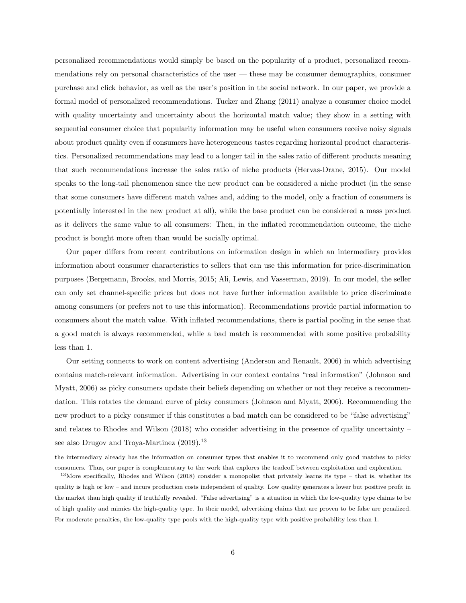personalized recommendations would simply be based on the popularity of a product, personalized recommendations rely on personal characteristics of the user — these may be consumer demographics, consumer purchase and click behavior, as well as the user's position in the social network. In our paper, we provide a formal model of personalized recommendations. Tucker and Zhang (2011) analyze a consumer choice model with quality uncertainty and uncertainty about the horizontal match value; they show in a setting with sequential consumer choice that popularity information may be useful when consumers receive noisy signals about product quality even if consumers have heterogeneous tastes regarding horizontal product characteristics. Personalized recommendations may lead to a longer tail in the sales ratio of different products meaning that such recommendations increase the sales ratio of niche products (Hervas-Drane, 2015). Our model speaks to the long-tail phenomenon since the new product can be considered a niche product (in the sense that some consumers have different match values and, adding to the model, only a fraction of consumers is potentially interested in the new product at all), while the base product can be considered a mass product as it delivers the same value to all consumers: Then, in the inflated recommendation outcome, the niche product is bought more often than would be socially optimal.

Our paper differs from recent contributions on information design in which an intermediary provides information about consumer characteristics to sellers that can use this information for price-discrimination purposes (Bergemann, Brooks, and Morris, 2015; Ali, Lewis, and Vasserman, 2019). In our model, the seller can only set channel-specific prices but does not have further information available to price discriminate among consumers (or prefers not to use this information). Recommendations provide partial information to consumers about the match value. With inflated recommendations, there is partial pooling in the sense that a good match is always recommended, while a bad match is recommended with some positive probability less than 1.

Our setting connects to work on content advertising (Anderson and Renault, 2006) in which advertising contains match-relevant information. Advertising in our context contains "real information" (Johnson and Myatt, 2006) as picky consumers update their beliefs depending on whether or not they receive a recommendation. This rotates the demand curve of picky consumers (Johnson and Myatt, 2006). Recommending the new product to a picky consumer if this constitutes a bad match can be considered to be "false advertising" and relates to Rhodes and Wilson (2018) who consider advertising in the presence of quality uncertainty – see also Drugov and Troya-Martinez (2019).<sup>13</sup>

the intermediary already has the information on consumer types that enables it to recommend only good matches to picky consumers. Thus, our paper is complementary to the work that explores the tradeoff between exploitation and exploration.

 $13$ More specifically, Rhodes and Wilson (2018) consider a monopolist that privately learns its type – that is, whether its quality is high or low – and incurs production costs independent of quality. Low quality generates a lower but positive profit in the market than high quality if truthfully revealed. "False advertising" is a situation in which the low-quality type claims to be of high quality and mimics the high-quality type. In their model, advertising claims that are proven to be false are penalized. For moderate penalties, the low-quality type pools with the high-quality type with positive probability less than 1.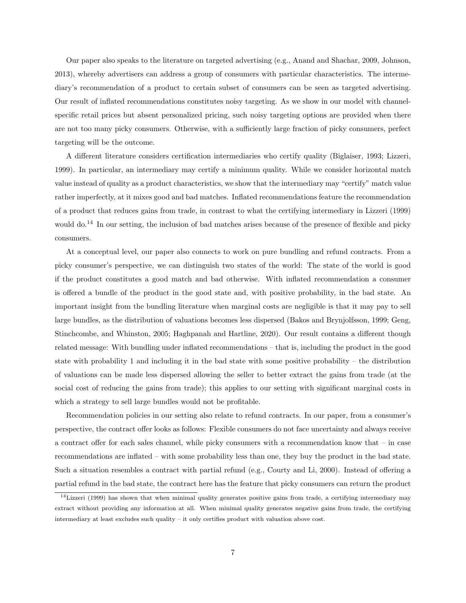Our paper also speaks to the literature on targeted advertising (e.g., Anand and Shachar, 2009, Johnson, 2013), whereby advertisers can address a group of consumers with particular characteristics. The intermediary's recommendation of a product to certain subset of consumers can be seen as targeted advertising. Our result of inflated recommendations constitutes noisy targeting. As we show in our model with channelspecific retail prices but absent personalized pricing, such noisy targeting options are provided when there are not too many picky consumers. Otherwise, with a sufficiently large fraction of picky consumers, perfect targeting will be the outcome.

A different literature considers certification intermediaries who certify quality (Biglaiser, 1993; Lizzeri, 1999). In particular, an intermediary may certify a minimum quality. While we consider horizontal match value instead of quality as a product characteristics, we show that the intermediary may "certify" match value rather imperfectly, at it mixes good and bad matches. Inflated recommendations feature the recommendation of a product that reduces gains from trade, in contrast to what the certifying intermediary in Lizzeri (1999) would do.<sup>14</sup> In our setting, the inclusion of bad matches arises because of the presence of flexible and picky consumers.

At a conceptual level, our paper also connects to work on pure bundling and refund contracts. From a picky consumer's perspective, we can distinguish two states of the world: The state of the world is good if the product constitutes a good match and bad otherwise. With inflated recommendation a consumer is offered a bundle of the product in the good state and, with positive probability, in the bad state. An important insight from the bundling literature when marginal costs are negligible is that it may pay to sell large bundles, as the distribution of valuations becomes less dispersed (Bakos and Brynjolfsson, 1999; Geng, Stinchcombe, and Whinston, 2005; Haghpanah and Hartline, 2020). Our result contains a different though related message: With bundling under inflated recommendations – that is, including the product in the good state with probability 1 and including it in the bad state with some positive probability – the distribution of valuations can be made less dispersed allowing the seller to better extract the gains from trade (at the social cost of reducing the gains from trade); this applies to our setting with significant marginal costs in which a strategy to sell large bundles would not be profitable.

Recommendation policies in our setting also relate to refund contracts. In our paper, from a consumer's perspective, the contract offer looks as follows: Flexible consumers do not face uncertainty and always receive a contract offer for each sales channel, while picky consumers with a recommendation know that – in case recommendations are inflated – with some probability less than one, they buy the product in the bad state. Such a situation resembles a contract with partial refund (e.g., Courty and Li, 2000). Instead of offering a partial refund in the bad state, the contract here has the feature that picky consumers can return the product

 $14$ Lizzeri (1999) has shown that when minimal quality generates positive gains from trade, a certifying intermediary may extract without providing any information at all. When minimal quality generates negative gains from trade, the certifying intermediary at least excludes such quality – it only certifies product with valuation above cost.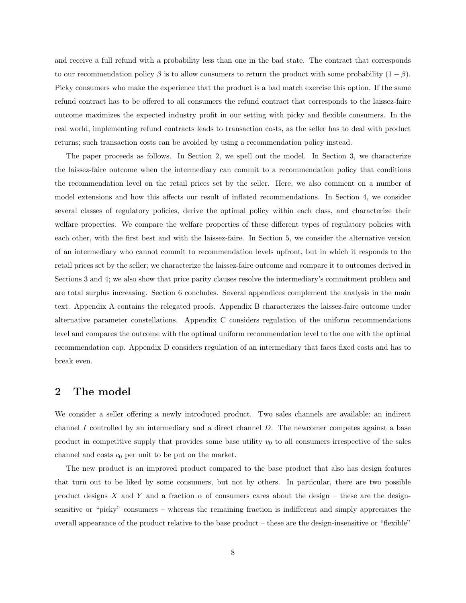and receive a full refund with a probability less than one in the bad state. The contract that corresponds to our recommendation policy  $\beta$  is to allow consumers to return the product with some probability  $(1 - \beta)$ . Picky consumers who make the experience that the product is a bad match exercise this option. If the same refund contract has to be offered to all consumers the refund contract that corresponds to the laissez-faire outcome maximizes the expected industry profit in our setting with picky and flexible consumers. In the real world, implementing refund contracts leads to transaction costs, as the seller has to deal with product returns; such transaction costs can be avoided by using a recommendation policy instead.

The paper proceeds as follows. In Section 2, we spell out the model. In Section 3, we characterize the laissez-faire outcome when the intermediary can commit to a recommendation policy that conditions the recommendation level on the retail prices set by the seller. Here, we also comment on a number of model extensions and how this affects our result of inflated recommendations. In Section 4, we consider several classes of regulatory policies, derive the optimal policy within each class, and characterize their welfare properties. We compare the welfare properties of these different types of regulatory policies with each other, with the first best and with the laissez-faire. In Section 5, we consider the alternative version of an intermediary who cannot commit to recommendation levels upfront, but in which it responds to the retail prices set by the seller; we characterize the laissez-faire outcome and compare it to outcomes derived in Sections 3 and 4; we also show that price parity clauses resolve the intermediary's commitment problem and are total surplus increasing. Section 6 concludes. Several appendices complement the analysis in the main text. Appendix A contains the relegated proofs. Appendix B characterizes the laissez-faire outcome under alternative parameter constellations. Appendix C considers regulation of the uniform recommendations level and compares the outcome with the optimal uniform recommendation level to the one with the optimal recommendation cap. Appendix D considers regulation of an intermediary that faces fixed costs and has to break even.

### 2 The model

We consider a seller offering a newly introduced product. Two sales channels are available: an indirect channel I controlled by an intermediary and a direct channel D. The newcomer competes against a base product in competitive supply that provides some base utility  $v_0$  to all consumers irrespective of the sales channel and costs  $c_0$  per unit to be put on the market.

The new product is an improved product compared to the base product that also has design features that turn out to be liked by some consumers, but not by others. In particular, there are two possible product designs X and Y and a fraction  $\alpha$  of consumers cares about the design – these are the designsensitive or "picky" consumers – whereas the remaining fraction is indifferent and simply appreciates the overall appearance of the product relative to the base product – these are the design-insensitive or "flexible"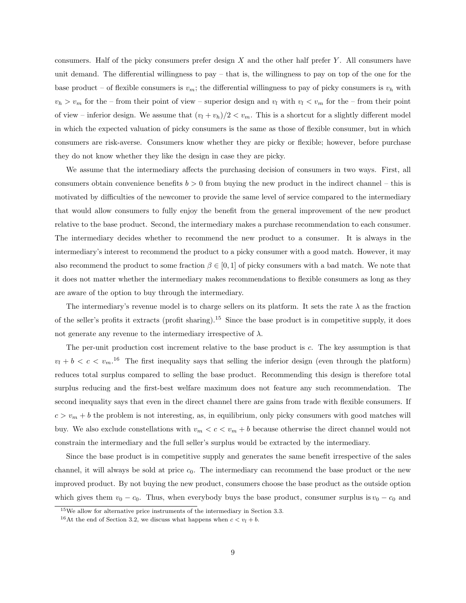consumers. Half of the picky consumers prefer design  $X$  and the other half prefer  $Y$ . All consumers have unit demand. The differential willingness to pay – that is, the willingness to pay on top of the one for the base product – of flexible consumers is  $v_m$ ; the differential willingness to pay of picky consumers is  $v_h$  with  $v_h > v_m$  for the – from their point of view – superior design and  $v_l$  with  $v_l < v_m$  for the – from their point of view – inferior design. We assume that  $(v_l + v_h)/2 < v_m$ . This is a shortcut for a slightly different model in which the expected valuation of picky consumers is the same as those of flexible consumer, but in which consumers are risk-averse. Consumers know whether they are picky or flexible; however, before purchase they do not know whether they like the design in case they are picky.

We assume that the intermediary affects the purchasing decision of consumers in two ways. First, all consumers obtain convenience benefits  $b > 0$  from buying the new product in the indirect channel – this is motivated by difficulties of the newcomer to provide the same level of service compared to the intermediary that would allow consumers to fully enjoy the benefit from the general improvement of the new product relative to the base product. Second, the intermediary makes a purchase recommendation to each consumer. The intermediary decides whether to recommend the new product to a consumer. It is always in the intermediary's interest to recommend the product to a picky consumer with a good match. However, it may also recommend the product to some fraction  $\beta \in [0,1]$  of picky consumers with a bad match. We note that it does not matter whether the intermediary makes recommendations to flexible consumers as long as they are aware of the option to buy through the intermediary.

The intermediary's revenue model is to charge sellers on its platform. It sets the rate  $\lambda$  as the fraction of the seller's profits it extracts (profit sharing).<sup>15</sup> Since the base product is in competitive supply, it does not generate any revenue to the intermediary irrespective of  $\lambda$ .

The per-unit production cost increment relative to the base product is c. The key assumption is that  $v_l + b < c < v_m$ .<sup>16</sup> The first inequality says that selling the inferior design (even through the platform) reduces total surplus compared to selling the base product. Recommending this design is therefore total surplus reducing and the first-best welfare maximum does not feature any such recommendation. The second inequality says that even in the direct channel there are gains from trade with flexible consumers. If  $c > v_m + b$  the problem is not interesting, as, in equilibrium, only picky consumers with good matches will buy. We also exclude constellations with  $v_m < c < v_m + b$  because otherwise the direct channel would not constrain the intermediary and the full seller's surplus would be extracted by the intermediary.

Since the base product is in competitive supply and generates the same benefit irrespective of the sales channel, it will always be sold at price  $c_0$ . The intermediary can recommend the base product or the new improved product. By not buying the new product, consumers choose the base product as the outside option which gives them  $v_0 - c_0$ . Thus, when everybody buys the base product, consumer surplus is  $v_0 - c_0$  and

<sup>15</sup>We allow for alternative price instruments of the intermediary in Section 3.3.

<sup>&</sup>lt;sup>16</sup>At the end of Section 3.2, we discuss what happens when  $c < v_l + b$ .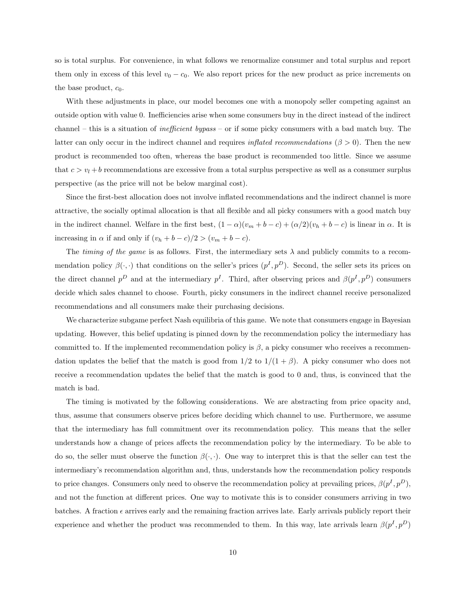so is total surplus. For convenience, in what follows we renormalize consumer and total surplus and report them only in excess of this level  $v_0 - c_0$ . We also report prices for the new product as price increments on the base product,  $c_0$ .

With these adjustments in place, our model becomes one with a monopoly seller competing against an outside option with value 0. Inefficiencies arise when some consumers buy in the direct instead of the indirect channel – this is a situation of inefficient bypass – or if some picky consumers with a bad match buy. The latter can only occur in the indirect channel and requires *inflated recommendations* ( $\beta > 0$ ). Then the new product is recommended too often, whereas the base product is recommended too little. Since we assume that  $c > v_l + b$  recommendations are excessive from a total surplus perspective as well as a consumer surplus perspective (as the price will not be below marginal cost).

Since the first-best allocation does not involve inflated recommendations and the indirect channel is more attractive, the socially optimal allocation is that all flexible and all picky consumers with a good match buy in the indirect channel. Welfare in the first best,  $(1 - \alpha)(v_m + b - c) + (\alpha/2)(v_h + b - c)$  is linear in  $\alpha$ . It is increasing in  $\alpha$  if and only if  $(v_h + b - c)/2 > (v_m + b - c)$ .

The timing of the game is as follows. First, the intermediary sets  $\lambda$  and publicly commits to a recommendation policy  $\beta(\cdot, \cdot)$  that conditions on the seller's prices  $(p^I, p^D)$ . Second, the seller sets its prices on the direct channel  $p^D$  and at the intermediary  $p^I$ . Third, after observing prices and  $\beta(p^I, p^D)$  consumers decide which sales channel to choose. Fourth, picky consumers in the indirect channel receive personalized recommendations and all consumers make their purchasing decisions.

We characterize subgame perfect Nash equilibria of this game. We note that consumers engage in Bayesian updating. However, this belief updating is pinned down by the recommendation policy the intermediary has committed to. If the implemented recommendation policy is  $\beta$ , a picky consumer who receives a recommendation updates the belief that the match is good from  $1/2$  to  $1/(1 + \beta)$ . A picky consumer who does not receive a recommendation updates the belief that the match is good to 0 and, thus, is convinced that the match is bad.

The timing is motivated by the following considerations. We are abstracting from price opacity and, thus, assume that consumers observe prices before deciding which channel to use. Furthermore, we assume that the intermediary has full commitment over its recommendation policy. This means that the seller understands how a change of prices affects the recommendation policy by the intermediary. To be able to do so, the seller must observe the function  $\beta(\cdot, \cdot)$ . One way to interpret this is that the seller can test the intermediary's recommendation algorithm and, thus, understands how the recommendation policy responds to price changes. Consumers only need to observe the recommendation policy at prevailing prices,  $\beta(p^I, p^D)$ , and not the function at different prices. One way to motivate this is to consider consumers arriving in two batches. A fraction  $\epsilon$  arrives early and the remaining fraction arrives late. Early arrivals publicly report their experience and whether the product was recommended to them. In this way, late arrivals learn  $\beta(p^I, p^D)$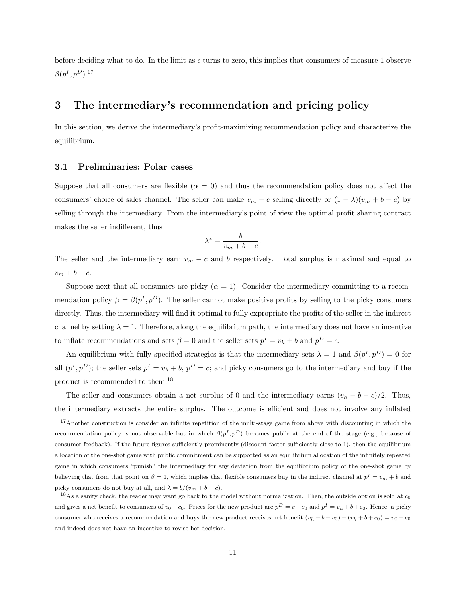before deciding what to do. In the limit as  $\epsilon$  turns to zero, this implies that consumers of measure 1 observe  $\beta(p^I,p^D).^{17}$ 

## 3 The intermediary's recommendation and pricing policy

In this section, we derive the intermediary's profit-maximizing recommendation policy and characterize the equilibrium.

#### 3.1 Preliminaries: Polar cases

Suppose that all consumers are flexible  $(\alpha = 0)$  and thus the recommendation policy does not affect the consumers' choice of sales channel. The seller can make  $v_m - c$  selling directly or  $(1 - \lambda)(v_m + b - c)$  by selling through the intermediary. From the intermediary's point of view the optimal profit sharing contract makes the seller indifferent, thus

$$
\lambda^* = \frac{b}{v_m + b - c}.
$$

The seller and the intermediary earn  $v_m - c$  and b respectively. Total surplus is maximal and equal to  $v_m + b - c.$ 

Suppose next that all consumers are picky  $(\alpha = 1)$ . Consider the intermediary committing to a recommendation policy  $\beta = \beta(p^I, p^D)$ . The seller cannot make positive profits by selling to the picky consumers directly. Thus, the intermediary will find it optimal to fully expropriate the profits of the seller in the indirect channel by setting  $\lambda = 1$ . Therefore, along the equilibrium path, the intermediary does not have an incentive to inflate recommendations and sets  $\beta = 0$  and the seller sets  $p^I = v_h + b$  and  $p^D = c$ .

An equilibrium with fully specified strategies is that the intermediary sets  $\lambda = 1$  and  $\beta(p^I, p^D) = 0$  for all  $(p<sup>I</sup>, p<sup>D</sup>)$ ; the seller sets  $p<sup>I</sup> = v<sub>h</sub> + b$ ,  $p<sup>D</sup> = c$ ; and picky consumers go to the intermediary and buy if the product is recommended to them.<sup>18</sup>

The seller and consumers obtain a net surplus of 0 and the intermediary earns  $(v_h - b - c)/2$ . Thus, the intermediary extracts the entire surplus. The outcome is efficient and does not involve any inflated

<sup>17</sup>Another construction is consider an infinite repetition of the multi-stage game from above with discounting in which the recommendation policy is not observable but in which  $\beta(p^I, p^D)$  becomes public at the end of the stage (e.g., because of consumer feedback). If the future figures sufficiently prominently (discount factor sufficiently close to 1), then the equilibrium allocation of the one-shot game with public commitment can be supported as an equilibrium allocation of the infinitely repeated game in which consumers "punish" the intermediary for any deviation from the equilibrium policy of the one-shot game by believing that from that point on  $\beta = 1$ , which implies that flexible consumers buy in the indirect channel at  $p^I = v_m + b$  and picky consumers do not buy at all, and  $\lambda = b/(v_m + b - c)$ .

 $18$ As a sanity check, the reader may want go back to the model without normalization. Then, the outside option is sold at  $c_0$ and gives a net benefit to consumers of  $v_0 - c_0$ . Prices for the new product are  $p^D = c + c_0$  and  $p^I = v_h + b + c_0$ . Hence, a picky consumer who receives a recommendation and buys the new product receives net benefit  $(v_h + b + v_0) - (v_h + b + c_0) = v_0 - c_0$ and indeed does not have an incentive to revise her decision.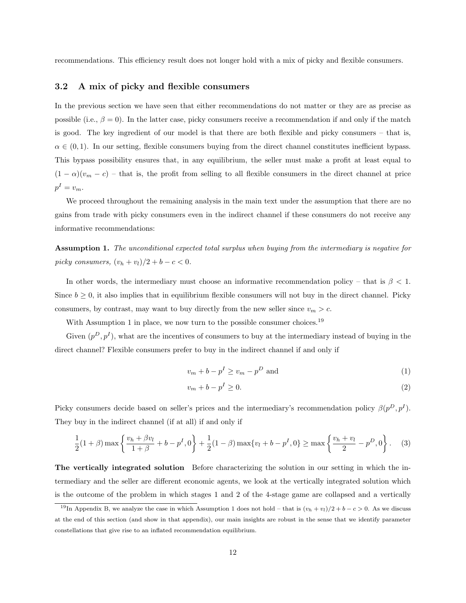recommendations. This efficiency result does not longer hold with a mix of picky and flexible consumers.

#### 3.2 A mix of picky and flexible consumers

In the previous section we have seen that either recommendations do not matter or they are as precise as possible (i.e.,  $\beta = 0$ ). In the latter case, picky consumers receive a recommendation if and only if the match is good. The key ingredient of our model is that there are both flexible and picky consumers – that is,  $\alpha \in (0,1)$ . In our setting, flexible consumers buying from the direct channel constitutes inefficient bypass. This bypass possibility ensures that, in any equilibrium, the seller must make a profit at least equal to  $(1 - \alpha)(v_m - c)$  – that is, the profit from selling to all flexible consumers in the direct channel at price  $p^I = v_m$ .

We proceed throughout the remaining analysis in the main text under the assumption that there are no gains from trade with picky consumers even in the indirect channel if these consumers do not receive any informative recommendations:

Assumption 1. The unconditional expected total surplus when buying from the intermediary is negative for picky consumers,  $(v_h + v_l)/2 + b - c < 0$ .

In other words, the intermediary must choose an informative recommendation policy – that is  $\beta$  < 1. Since  $b \geq 0$ , it also implies that in equilibrium flexible consumers will not buy in the direct channel. Picky consumers, by contrast, may want to buy directly from the new seller since  $v_m > c$ .

With Assumption 1 in place, we now turn to the possible consumer choices.<sup>19</sup>

Given  $(p^D, p^I)$ , what are the incentives of consumers to buy at the intermediary instead of buying in the direct channel? Flexible consumers prefer to buy in the indirect channel if and only if

$$
v_m + b - p^I \ge v_m - p^D \text{ and } \tag{1}
$$

$$
v_m + b - p^I \ge 0. \tag{2}
$$

Picky consumers decide based on seller's prices and the intermediary's recommendation policy  $\beta(p^D, p^I)$ . They buy in the indirect channel (if at all) if and only if

$$
\frac{1}{2}(1+\beta)\max\left\{\frac{v_h+\beta v_l}{1+\beta}+b-p^I,0\right\}+\frac{1}{2}(1-\beta)\max\{v_l+b-p^I,0\}\geq \max\left\{\frac{v_h+v_l}{2}-p^D,0\right\}.\tag{3}
$$

The vertically integrated solution Before characterizing the solution in our setting in which the intermediary and the seller are different economic agents, we look at the vertically integrated solution which is the outcome of the problem in which stages 1 and 2 of the 4-stage game are collapsed and a vertically

<sup>&</sup>lt;sup>19</sup>In Appendix B, we analyze the case in which Assumption 1 does not hold – that is  $(v_h + v_l)/2 + b - c > 0$ . As we discuss at the end of this section (and show in that appendix), our main insights are robust in the sense that we identify parameter constellations that give rise to an inflated recommendation equilibrium.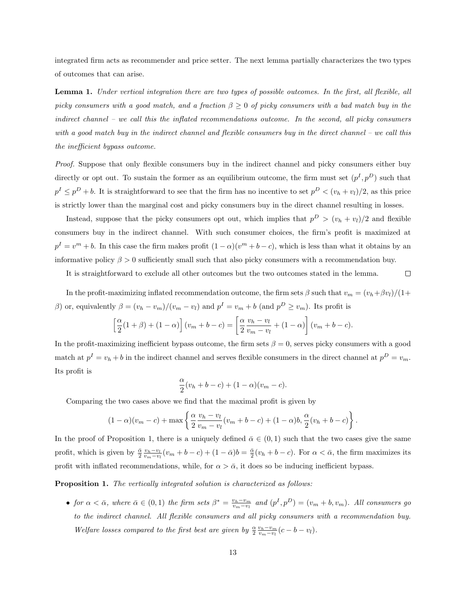integrated firm acts as recommender and price setter. The next lemma partially characterizes the two types of outcomes that can arise.

Lemma 1. Under vertical integration there are two types of possible outcomes. In the first, all flexible, all picky consumers with a good match, and a fraction  $\beta \geq 0$  of picky consumers with a bad match buy in the indirect channel – we call this the inflated recommendations outcome. In the second, all picky consumers with a good match buy in the indirect channel and flexible consumers buy in the direct channel – we call this the inefficient bypass outcome.

Proof. Suppose that only flexible consumers buy in the indirect channel and picky consumers either buy directly or opt out. To sustain the former as an equilibrium outcome, the firm must set  $(p<sup>I</sup>, p<sup>D</sup>)$  such that  $p^I \leq p^D + b$ . It is straightforward to see that the firm has no incentive to set  $p^D < (v_h + v_l)/2$ , as this price is strictly lower than the marginal cost and picky consumers buy in the direct channel resulting in losses.

Instead, suppose that the picky consumers opt out, which implies that  $p^D > (v_h + v_l)/2$  and flexible consumers buy in the indirect channel. With such consumer choices, the firm's profit is maximized at  $p^I = v^m + b$ . In this case the firm makes profit  $(1 - \alpha)(v^m + b - c)$ , which is less than what it obtains by an informative policy  $\beta > 0$  sufficiently small such that also picky consumers with a recommendation buy.

It is straightforward to exclude all other outcomes but the two outcomes stated in the lemma.

 $\Box$ 

In the profit-maximizing inflated recommendation outcome, the firm sets  $\beta$  such that  $v_m = (v_h + \beta v_l)/(1 +$ β) or, equivalently  $β = (v<sub>h</sub> - v<sub>m</sub>)/(v<sub>m</sub> - v<sub>l</sub>)$  and  $p<sup>I</sup> = v<sub>m</sub> + b$  (and  $p<sup>D</sup> \ge v<sub>m</sub>$ ). Its profit is

$$
\left[\frac{\alpha}{2}(1+\beta)+(1-\alpha)\right](v_m+b-c)=\left[\frac{\alpha}{2}\frac{v_h-v_l}{v_m-v_l}+(1-\alpha)\right](v_m+b-c).
$$

In the profit-maximizing inefficient bypass outcome, the firm sets  $\beta = 0$ , serves picky consumers with a good match at  $p^I = v_h + b$  in the indirect channel and serves flexible consumers in the direct channel at  $p^D = v_m$ . Its profit is

$$
\frac{\alpha}{2}(v_h+b-c) + (1-\alpha)(v_m-c).
$$

Comparing the two cases above we find that the maximal profit is given by

$$
(1-\alpha)(v_m-c)+\max\left\{\frac{\alpha}{2}\frac{v_h-v_l}{v_m-v_l}(v_m+b-c)+(1-\alpha)b,\frac{\alpha}{2}(v_h+b-c)\right\}.
$$

In the proof of Proposition 1, there is a uniquely defined  $\bar{\alpha} \in (0,1)$  such that the two cases give the same profit, which is given by  $\frac{\bar{\alpha}}{2} \frac{v_h - v_l}{v_m - v_l} (v_m + b - c) + (1 - \bar{\alpha})b = \frac{\bar{\alpha}}{2} (v_h + b - c)$ . For  $\alpha < \bar{\alpha}$ , the firm maximizes its profit with inflated recommendations, while, for  $\alpha > \bar{\alpha}$ , it does so be inducing inefficient bypass.

Proposition 1. The vertically integrated solution is characterized as follows:

• for  $\alpha < \bar{\alpha}$ , where  $\bar{\alpha} \in (0,1)$  the firm sets  $\beta^* = \frac{v_h - v_m}{v_m - v_l}$  and  $(p^I, p^D) = (v_m + b, v_m)$ . All consumers go to the indirect channel. All flexible consumers and all picky consumers with a recommendation buy. Welfare losses compared to the first best are given by  $\frac{\alpha}{2} \frac{v_h - v_m}{v_m - v_l} (c - b - v_l)$ .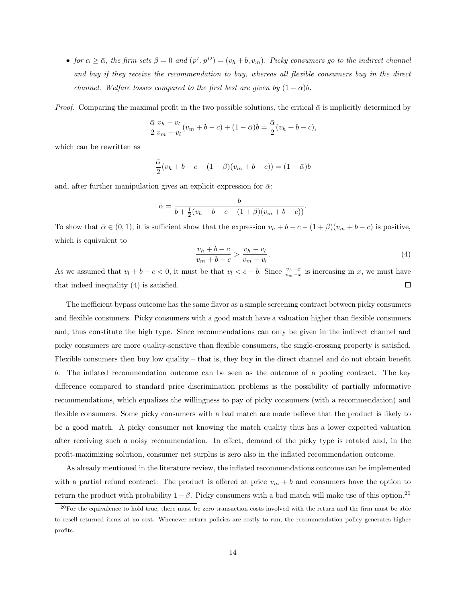• for  $\alpha \geq \bar{\alpha}$ , the firm sets  $\beta = 0$  and  $(p^I, p^D) = (v_h + b, v_m)$ . Picky consumers go to the indirect channel and buy if they receive the recommendation to buy, whereas all flexible consumers buy in the direct channel. Welfare losses compared to the first best are given by  $(1 - \alpha)b$ .

*Proof.* Comparing the maximal profit in the two possible solutions, the critical  $\bar{\alpha}$  is implicitly determined by

$$
\frac{\bar{\alpha}}{2} \frac{v_h - v_l}{v_m - v_l} (v_m + b - c) + (1 - \bar{\alpha})b = \frac{\bar{\alpha}}{2} (v_h + b - c),
$$

which can be rewritten as

$$
\frac{\bar{\alpha}}{2}(v_h + b - c - (1 + \beta)(v_m + b - c)) = (1 - \bar{\alpha})b
$$

and, after further manipulation gives an explicit expression for  $\bar{\alpha}$ :

$$
\bar{\alpha} = \frac{b}{b + \frac{1}{2}(v_h + b - c - (1 + \beta)(v_m + b - c))}.
$$

To show that  $\bar{\alpha} \in (0,1)$ , it is sufficient show that the expression  $v_h + b - c - (1 + \beta)(v_m + b - c)$  is positive, which is equivalent to

$$
\frac{v_h + b - c}{v_m + b - c} > \frac{v_h - v_l}{v_m - v_l}.\tag{4}
$$

As we assumed that  $v_l + b - c < 0$ , it must be that  $v_l < c - b$ . Since  $\frac{v_h - x}{v_m - x}$  is increasing in x, we must have that indeed inequality (4) is satisfied.  $\Box$ 

The inefficient bypass outcome has the same flavor as a simple screening contract between picky consumers and flexible consumers. Picky consumers with a good match have a valuation higher than flexible consumers and, thus constitute the high type. Since recommendations can only be given in the indirect channel and picky consumers are more quality-sensitive than flexible consumers, the single-crossing property is satisfied. Flexible consumers then buy low quality – that is, they buy in the direct channel and do not obtain benefit b. The inflated recommendation outcome can be seen as the outcome of a pooling contract. The key difference compared to standard price discrimination problems is the possibility of partially informative recommendations, which equalizes the willingness to pay of picky consumers (with a recommendation) and flexible consumers. Some picky consumers with a bad match are made believe that the product is likely to be a good match. A picky consumer not knowing the match quality thus has a lower expected valuation after receiving such a noisy recommendation. In effect, demand of the picky type is rotated and, in the profit-maximizing solution, consumer net surplus is zero also in the inflated recommendation outcome.

As already mentioned in the literature review, the inflated recommendations outcome can be implemented with a partial refund contract: The product is offered at price  $v_m + b$  and consumers have the option to return the product with probability  $1-\beta$ . Picky consumers with a bad match will make use of this option.<sup>20</sup>

 $^{20}$ For the equivalence to hold true, there must be zero transaction costs involved with the return and the firm must be able to resell returned items at no cost. Whenever return policies are costly to run, the recommendation policy generates higher profits.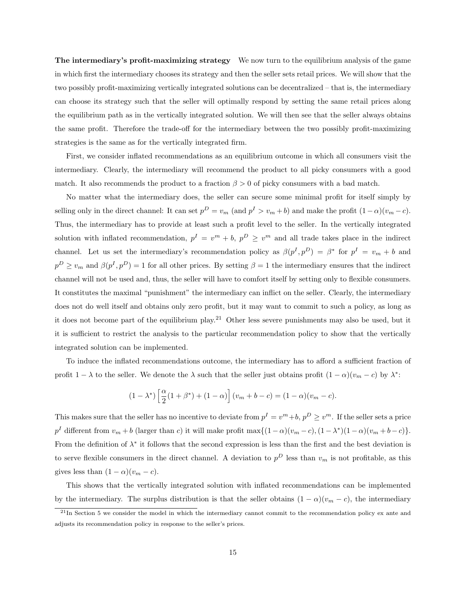The intermediary's profit-maximizing strategy We now turn to the equilibrium analysis of the game in which first the intermediary chooses its strategy and then the seller sets retail prices. We will show that the two possibly profit-maximizing vertically integrated solutions can be decentralized – that is, the intermediary can choose its strategy such that the seller will optimally respond by setting the same retail prices along the equilibrium path as in the vertically integrated solution. We will then see that the seller always obtains the same profit. Therefore the trade-off for the intermediary between the two possibly profit-maximizing strategies is the same as for the vertically integrated firm.

First, we consider inflated recommendations as an equilibrium outcome in which all consumers visit the intermediary. Clearly, the intermediary will recommend the product to all picky consumers with a good match. It also recommends the product to a fraction  $\beta > 0$  of picky consumers with a bad match.

No matter what the intermediary does, the seller can secure some minimal profit for itself simply by selling only in the direct channel: It can set  $p^D = v_m$  (and  $p^I > v_m + b$ ) and make the profit  $(1 - \alpha)(v_m - c)$ . Thus, the intermediary has to provide at least such a profit level to the seller. In the vertically integrated solution with inflated recommendation,  $p^I = v^m + b$ ,  $p^D \ge v^m$  and all trade takes place in the indirect channel. Let us set the intermediary's recommendation policy as  $\beta(p^I, p^D) = \beta^*$  for  $p^I = v_m + b$  and  $p^D \ge v_m$  and  $\beta(p^I, p^D) = 1$  for all other prices. By setting  $\beta = 1$  the intermediary ensures that the indirect channel will not be used and, thus, the seller will have to comfort itself by setting only to flexible consumers. It constitutes the maximal "punishment" the intermediary can inflict on the seller. Clearly, the intermediary does not do well itself and obtains only zero profit, but it may want to commit to such a policy, as long as it does not become part of the equilibrium play.<sup>21</sup> Other less severe punishments may also be used, but it it is sufficient to restrict the analysis to the particular recommendation policy to show that the vertically integrated solution can be implemented.

To induce the inflated recommendations outcome, the intermediary has to afford a sufficient fraction of profit  $1 - \lambda$  to the seller. We denote the  $\lambda$  such that the seller just obtains profit  $(1 - \alpha)(v_m - c)$  by  $\lambda^*$ :

$$
(1 - \lambda^*) \left[ \frac{\alpha}{2} (1 + \beta^*) + (1 - \alpha) \right] (v_m + b - c) = (1 - \alpha)(v_m - c).
$$

This makes sure that the seller has no incentive to deviate from  $p^I = v^m + b$ ,  $p^D \ge v^m$ . If the seller sets a price  $p<sup>I</sup>$  different from  $v_m + b$  (larger than c) it will make profit max $\{(1 - \alpha)(v_m - c), (1 - \lambda^*)(1 - \alpha)(v_m + b - c)\}.$ From the definition of  $\lambda^*$  it follows that the second expression is less than the first and the best deviation is to serve flexible consumers in the direct channel. A deviation to  $p^D$  less than  $v_m$  is not profitable, as this gives less than  $(1 - \alpha)(v_m - c)$ .

This shows that the vertically integrated solution with inflated recommendations can be implemented by the intermediary. The surplus distribution is that the seller obtains  $(1 - \alpha)(v_m - c)$ , the intermediary

 $^{21}$ In Section 5 we consider the model in which the intermediary cannot commit to the recommendation policy ex ante and adjusts its recommendation policy in response to the seller's prices.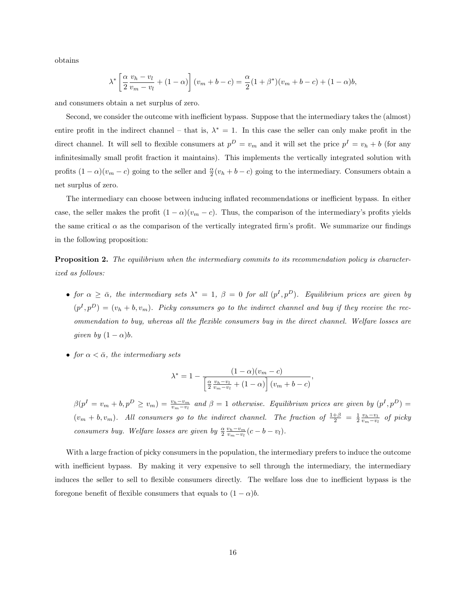obtains

$$
\lambda^* \left[ \frac{\alpha}{2} \frac{v_h - v_l}{v_m - v_l} + (1 - \alpha) \right] (v_m + b - c) = \frac{\alpha}{2} (1 + \beta^*) (v_m + b - c) + (1 - \alpha) b,
$$

and consumers obtain a net surplus of zero.

Second, we consider the outcome with inefficient bypass. Suppose that the intermediary takes the (almost) entire profit in the indirect channel – that is,  $\lambda^* = 1$ . In this case the seller can only make profit in the direct channel. It will sell to flexible consumers at  $p^D = v_m$  and it will set the price  $p^I = v_h + b$  (for any infinitesimally small profit fraction it maintains). This implements the vertically integrated solution with profits  $(1 - \alpha)(v_m - c)$  going to the seller and  $\frac{\alpha}{2}(v_h + b - c)$  going to the intermediary. Consumers obtain a net surplus of zero.

The intermediary can choose between inducing inflated recommendations or inefficient bypass. In either case, the seller makes the profit  $(1 - \alpha)(v_m - c)$ . Thus, the comparison of the intermediary's profits yields the same critical  $\alpha$  as the comparison of the vertically integrated firm's profit. We summarize our findings in the following proposition:

**Proposition 2.** The equilibrium when the intermediary commits to its recommendation policy is characterized as follows:

- for  $\alpha \geq \bar{\alpha}$ , the intermediary sets  $\lambda^* = 1$ ,  $\beta = 0$  for all  $(p^I, p^D)$ . Equilibrium prices are given by  $(p<sup>I</sup>, p<sup>D</sup>) = (v<sub>h</sub> + b, v<sub>m</sub>)$ . Picky consumers go to the indirect channel and buy if they receive the recommendation to buy, whereas all the flexible consumers buy in the direct channel. Welfare losses are given by  $(1 - \alpha)b$ .
- for  $\alpha < \bar{\alpha}$ , the intermediary sets

$$
\lambda^* = 1 - \frac{(1 - \alpha)(v_m - c)}{\left[\frac{\alpha}{2} \frac{v_h - v_l}{v_m - v_l} + (1 - \alpha)\right] (v_m + b - c)},
$$

 $\beta(p^I = v_m + b, p^D \ge v_m) = \frac{v_h - v_m}{v_m - v_l}$  and  $\beta = 1$  otherwise. Equilibrium prices are given by  $(p^I, p^D) =$  $(v_m + b, v_m)$ . All consumers go to the indirect channel. The fraction of  $\frac{1+\beta}{2} = \frac{1}{2} \frac{v_h - v_l}{v_m - v_l}$  of picky consumers buy. Welfare losses are given by  $\frac{\alpha}{2} \frac{v_h - v_m}{v_m - v_l} (c - b - v_l)$ .

With a large fraction of picky consumers in the population, the intermediary prefers to induce the outcome with inefficient bypass. By making it very expensive to sell through the intermediary, the intermediary induces the seller to sell to flexible consumers directly. The welfare loss due to inefficient bypass is the foregone benefit of flexible consumers that equals to  $(1 - \alpha)b$ .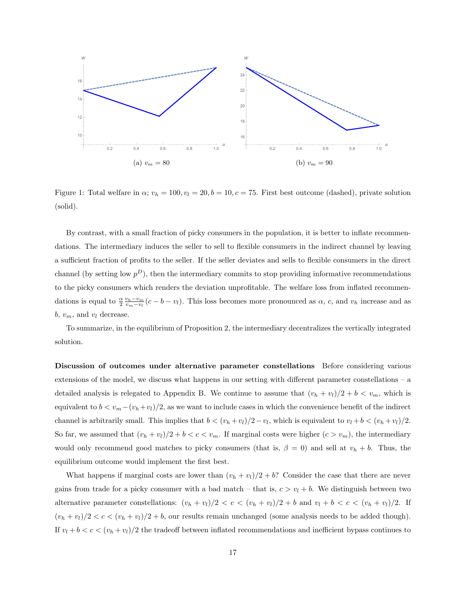

Figure 1: Total welfare in  $\alpha$ ;  $v_h = 100$ ,  $v_l = 20$ ,  $b = 10$ ,  $c = 75$ . First best outcome (dashed), private solution (solid).

By contrast, with a small fraction of picky consumers in the population, it is better to inflate recommendations. The intermediary induces the seller to sell to flexible consumers in the indirect channel by leaving a sufficient fraction of profits to the seller. If the seller deviates and sells to flexible consumers in the direct channel (by setting low  $p^D$ ), then the intermediary commits to stop providing informative recommendations to the picky consumers which renders the deviation unprofitable. The welfare loss from inflated recommendations is equal to  $\frac{\alpha}{2} \frac{v_h - v_m}{v_m - v_l}(c - b - v_l)$ . This loss becomes more pronounced as  $\alpha$ , c, and  $v_h$  increase and as b,  $v_m$ , and  $v_l$  decrease.

To summarize, in the equilibrium of Proposition 2, the intermediary decentralizes the vertically integrated solution.

Discussion of outcomes under alternative parameter constellations Before considering various extensions of the model, we discuss what happens in our setting with different parameter constellations – a detailed analysis is relegated to Appendix B. We continue to assume that  $(v_h + v_l)/2 + b < v_m$ , which is equivalent to  $b < v_m - (v_h + v_l)/2$ , as we want to include cases in which the convenience benefit of the indirect channel is arbitrarily small. This implies that  $b < (v_h + v_l)/2 - v_l$ , which is equivalent to  $v_l + b < (v_h + v_l)/2$ . So far, we assumed that  $(v_h + v_l)/2 + b < c < v_m$ . If marginal costs were higher  $(c > v_m)$ , the intermediary would only recommend good matches to picky consumers (that is,  $\beta = 0$ ) and sell at  $v_h + b$ . Thus, the equilibrium outcome would implement the first best.

What happens if marginal costs are lower than  $(v_h + v_l)/2 + b$ ? Consider the case that there are never gains from trade for a picky consumer with a bad match – that is,  $c > v_l + b$ . We distinguish between two alternative parameter constellations:  $(v_h + v_l)/2 < c < (v_h + v_l)/2 + b$  and  $v_l + b < c < (v_h + v_l)/2$ . If  $(v_h + v_l)/2 < c < (v_h + v_l)/2 + b$ , our results remain unchanged (some analysis needs to be added though). If  $v_l + b < c < (v_h + v_l)/2$  the tradeoff between inflated recommendations and inefficient bypass continues to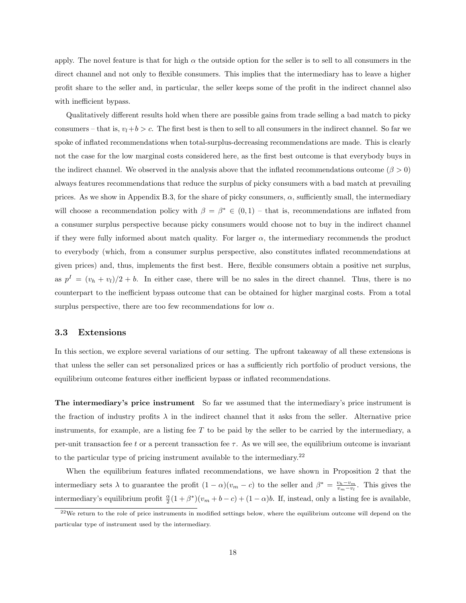apply. The novel feature is that for high  $\alpha$  the outside option for the seller is to sell to all consumers in the direct channel and not only to flexible consumers. This implies that the intermediary has to leave a higher profit share to the seller and, in particular, the seller keeps some of the profit in the indirect channel also with inefficient bypass.

Qualitatively different results hold when there are possible gains from trade selling a bad match to picky consumers – that is,  $v_l+b > c$ . The first best is then to sell to all consumers in the indirect channel. So far we spoke of inflated recommendations when total-surplus-decreasing recommendations are made. This is clearly not the case for the low marginal costs considered here, as the first best outcome is that everybody buys in the indirect channel. We observed in the analysis above that the inflated recommendations outcome ( $\beta > 0$ ) always features recommendations that reduce the surplus of picky consumers with a bad match at prevailing prices. As we show in Appendix B.3, for the share of picky consumers,  $\alpha$ , sufficiently small, the intermediary will choose a recommendation policy with  $\beta = \beta^* \in (0, 1)$  – that is, recommendations are inflated from a consumer surplus perspective because picky consumers would choose not to buy in the indirect channel if they were fully informed about match quality. For larger  $\alpha$ , the intermediary recommends the product to everybody (which, from a consumer surplus perspective, also constitutes inflated recommendations at given prices) and, thus, implements the first best. Here, flexible consumers obtain a positive net surplus, as  $p^I = (v_h + v_l)/2 + b$ . In either case, there will be no sales in the direct channel. Thus, there is no counterpart to the inefficient bypass outcome that can be obtained for higher marginal costs. From a total surplus perspective, there are too few recommendations for low  $\alpha$ .

#### 3.3 Extensions

In this section, we explore several variations of our setting. The upfront takeaway of all these extensions is that unless the seller can set personalized prices or has a sufficiently rich portfolio of product versions, the equilibrium outcome features either inefficient bypass or inflated recommendations.

The intermediary's price instrument So far we assumed that the intermediary's price instrument is the fraction of industry profits  $\lambda$  in the indirect channel that it asks from the seller. Alternative price instruments, for example, are a listing fee T to be paid by the seller to be carried by the intermediary, a per-unit transaction fee t or a percent transaction fee  $\tau$ . As we will see, the equilibrium outcome is invariant to the particular type of pricing instrument available to the intermediary.<sup>22</sup>

When the equilibrium features inflated recommendations, we have shown in Proposition 2 that the intermediary sets  $\lambda$  to guarantee the profit  $(1 - \alpha)(v_m - c)$  to the seller and  $\beta^* = \frac{v_h - v_m}{v_m - v_l}$ . This gives the intermediary's equilibrium profit  $\frac{\alpha}{2}(1+\beta^*)(v_m+b-c) + (1-\alpha)b$ . If, instead, only a listing fee is available,

 $22$ We return to the role of price instruments in modified settings below, where the equilibrium outcome will depend on the particular type of instrument used by the intermediary.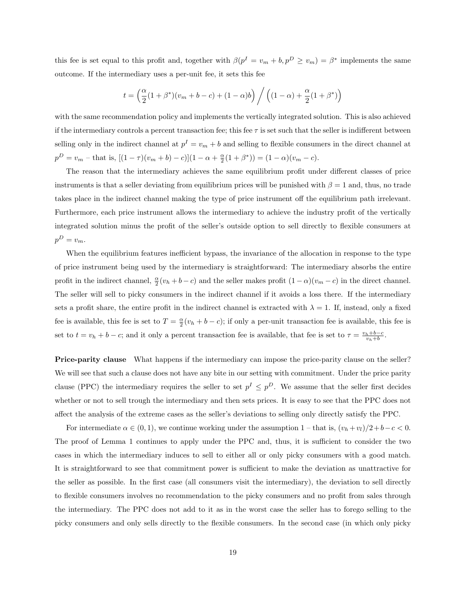this fee is set equal to this profit and, together with  $\beta(p^I = v_m + b, p^D \ge v_m) = \beta^*$  implements the same outcome. If the intermediary uses a per-unit fee, it sets this fee

$$
t = \left(\frac{\alpha}{2}(1+\beta^*)(v_m + b - c) + (1-\alpha)b\right) / \left((1-\alpha) + \frac{\alpha}{2}(1+\beta^*)\right)
$$

with the same recommendation policy and implements the vertically integrated solution. This is also achieved if the intermediary controls a percent transaction fee; this fee  $\tau$  is set such that the seller is indifferent between selling only in the indirect channel at  $p^I = v_m + b$  and selling to flexible consumers in the direct channel at  $p^{D} = v_{m} - \text{that is, } [(1 - \tau)(v_{m} + b) - c)](1 - \alpha + \frac{\alpha}{2}(1 + \beta^{*})) = (1 - \alpha)(v_{m} - c).$ 

The reason that the intermediary achieves the same equilibrium profit under different classes of price instruments is that a seller deviating from equilibrium prices will be punished with  $\beta = 1$  and, thus, no trade takes place in the indirect channel making the type of price instrument off the equilibrium path irrelevant. Furthermore, each price instrument allows the intermediary to achieve the industry profit of the vertically integrated solution minus the profit of the seller's outside option to sell directly to flexible consumers at  $p^D = v_m$ .

When the equilibrium features inefficient bypass, the invariance of the allocation in response to the type of price instrument being used by the intermediary is straightforward: The intermediary absorbs the entire profit in the indirect channel,  $\frac{\alpha}{2}(v_h + b - c)$  and the seller makes profit  $(1 - \alpha)(v_m - c)$  in the direct channel. The seller will sell to picky consumers in the indirect channel if it avoids a loss there. If the intermediary sets a profit share, the entire profit in the indirect channel is extracted with  $\lambda = 1$ . If, instead, only a fixed fee is available, this fee is set to  $T = \frac{\alpha}{2}(v_h + b - c)$ ; if only a per-unit transaction fee is available, this fee is set to  $t = v_h + b - c$ ; and it only a percent transaction fee is available, that fee is set to  $\tau = \frac{v_h + b - c}{v_h + b}$ .

Price-parity clause What happens if the intermediary can impose the price-parity clause on the seller? We will see that such a clause does not have any bite in our setting with commitment. Under the price parity clause (PPC) the intermediary requires the seller to set  $p^I \leq p^D$ . We assume that the seller first decides whether or not to sell trough the intermediary and then sets prices. It is easy to see that the PPC does not affect the analysis of the extreme cases as the seller's deviations to selling only directly satisfy the PPC.

For intermediate  $\alpha \in (0, 1)$ , we continue working under the assumption 1 – that is,  $(v_h + v_l)/2 + b - c < 0$ . The proof of Lemma 1 continues to apply under the PPC and, thus, it is sufficient to consider the two cases in which the intermediary induces to sell to either all or only picky consumers with a good match. It is straightforward to see that commitment power is sufficient to make the deviation as unattractive for the seller as possible. In the first case (all consumers visit the intermediary), the deviation to sell directly to flexible consumers involves no recommendation to the picky consumers and no profit from sales through the intermediary. The PPC does not add to it as in the worst case the seller has to forego selling to the picky consumers and only sells directly to the flexible consumers. In the second case (in which only picky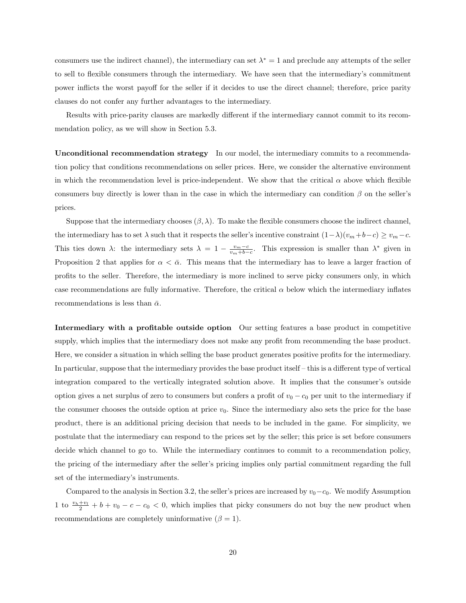consumers use the indirect channel), the intermediary can set  $\lambda^* = 1$  and preclude any attempts of the seller to sell to flexible consumers through the intermediary. We have seen that the intermediary's commitment power inflicts the worst payoff for the seller if it decides to use the direct channel; therefore, price parity clauses do not confer any further advantages to the intermediary.

Results with price-parity clauses are markedly different if the intermediary cannot commit to its recommendation policy, as we will show in Section 5.3.

Unconditional recommendation strategy In our model, the intermediary commits to a recommendation policy that conditions recommendations on seller prices. Here, we consider the alternative environment in which the recommendation level is price-independent. We show that the critical  $\alpha$  above which flexible consumers buy directly is lower than in the case in which the intermediary can condition  $\beta$  on the seller's prices.

Suppose that the intermediary chooses  $(\beta, \lambda)$ . To make the flexible consumers choose the indirect channel, the intermediary has to set  $\lambda$  such that it respects the seller's incentive constraint  $(1-\lambda)(v_m+b-c) \ge v_m-c$ . This ties down  $\lambda$ : the intermediary sets  $\lambda = 1 - \frac{v_m - c}{v_m + b - c}$ . This expression is smaller than  $\lambda^*$  given in Proposition 2 that applies for  $\alpha < \bar{\alpha}$ . This means that the intermediary has to leave a larger fraction of profits to the seller. Therefore, the intermediary is more inclined to serve picky consumers only, in which case recommendations are fully informative. Therefore, the critical  $\alpha$  below which the intermediary inflates recommendations is less than  $\bar{\alpha}$ .

Intermediary with a profitable outside option Our setting features a base product in competitive supply, which implies that the intermediary does not make any profit from recommending the base product. Here, we consider a situation in which selling the base product generates positive profits for the intermediary. In particular, suppose that the intermediary provides the base product itself – this is a different type of vertical integration compared to the vertically integrated solution above. It implies that the consumer's outside option gives a net surplus of zero to consumers but confers a profit of  $v_0 - c_0$  per unit to the intermediary if the consumer chooses the outside option at price  $v_0$ . Since the intermediary also sets the price for the base product, there is an additional pricing decision that needs to be included in the game. For simplicity, we postulate that the intermediary can respond to the prices set by the seller; this price is set before consumers decide which channel to go to. While the intermediary continues to commit to a recommendation policy, the pricing of the intermediary after the seller's pricing implies only partial commitment regarding the full set of the intermediary's instruments.

Compared to the analysis in Section 3.2, the seller's prices are increased by  $v_0-c_0$ . We modify Assumption 1 to  $\frac{v_h+v_l}{2}$  + b +  $v_0$  – c – c<sub>0</sub> < 0, which implies that picky consumers do not buy the new product when recommendations are completely uninformative  $(\beta = 1)$ .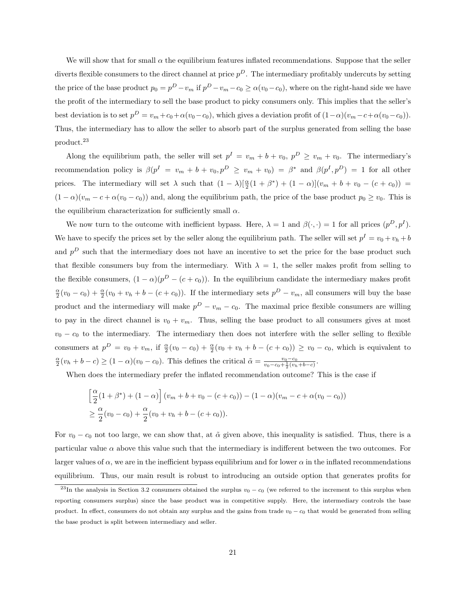We will show that for small  $\alpha$  the equilibrium features inflated recommendations. Suppose that the seller diverts flexible consumers to the direct channel at price  $p^D$ . The intermediary profitably undercuts by setting the price of the base product  $p_0 = p^D - v_m$  if  $p^D - v_m - c_0 \ge \alpha(v_0 - c_0)$ , where on the right-hand side we have the profit of the intermediary to sell the base product to picky consumers only. This implies that the seller's best deviation is to set  $p^D = v_m + c_0 + \alpha(v_0 - c_0)$ , which gives a deviation profit of  $(1 - \alpha)(v_m - c + \alpha(v_0 - c_0))$ . Thus, the intermediary has to allow the seller to absorb part of the surplus generated from selling the base product.<sup>23</sup>

Along the equilibrium path, the seller will set  $p^I = v_m + b + v_0$ ,  $p^D \ge v_m + v_0$ . The intermediary's recommendation policy is  $\beta(p^I = v_m + b + v_0, p^D \ge v_m + v_0) = \beta^*$  and  $\beta(p^I, p^D) = 1$  for all other prices. The intermediary will set  $\lambda$  such that  $(1 - \lambda)[\frac{\alpha}{2}(1 + \beta^*) + (1 - \alpha)](v_m + b + v_0 - (c + c_0))$  $(1 - \alpha)(v_m - c + \alpha(v_0 - c_0))$  and, along the equilibrium path, the price of the base product  $p_0 \ge v_0$ . This is the equilibrium characterization for sufficiently small  $\alpha$ .

We now turn to the outcome with inefficient bypass. Here,  $\lambda = 1$  and  $\beta(\cdot, \cdot) = 1$  for all prices  $(p^D, p^I)$ . We have to specify the prices set by the seller along the equilibrium path. The seller will set  $p^I = v_0 + v_h + b$ and  $p<sup>D</sup>$  such that the intermediary does not have an incentive to set the price for the base product such that flexible consumers buy from the intermediary. With  $\lambda = 1$ , the seller makes profit from selling to the flexible consumers,  $(1 - \alpha)(p^{D} - (c + c_{0}))$ . In the equilibrium candidate the intermediary makes profit  $\frac{\alpha}{2}(v_0 - c_0) + \frac{\alpha}{2}(v_0 + v_h + b - (c + c_0))$ . If the intermediary sets  $p^D - v_m$ , all consumers will buy the base product and the intermediary will make  $p^D - v_m - c_0$ . The maximal price flexible consumers are willing to pay in the direct channel is  $v_0 + v_m$ . Thus, selling the base product to all consumers gives at most  $v_0 - c_0$  to the intermediary. The intermediary then does not interfere with the seller selling to flexible consumers at  $p^D = v_0 + v_m$ , if  $\frac{\alpha}{2}(v_0 - c_0) + \frac{\alpha}{2}(v_0 + v_h + b - (c + c_0)) \ge v_0 - c_0$ , which is equivalent to  $\frac{\alpha}{2}(v_h + b - c) \ge (1 - \alpha)(v_0 - c_0)$ . This defines the critical  $\tilde{\alpha} = \frac{v_0 - c_0}{v_0 - c_0 + \frac{1}{2}(v_h + b - c)}$ .

When does the intermediary prefer the inflated recommendation outcome? This is the case if

$$
\left[\frac{\alpha}{2}(1+\beta^*) + (1-\alpha)\right](v_m + b + v_0 - (c+c_0)) - (1-\alpha)(v_m - c + \alpha(v_0 - c_0))
$$
  
\n
$$
\geq \frac{\alpha}{2}(v_0 - c_0) + \frac{\alpha}{2}(v_0 + v_h + b - (c+c_0)).
$$

For  $v_0 - c_0$  not too large, we can show that, at  $\tilde{\alpha}$  given above, this inequality is satisfied. Thus, there is a particular value  $\alpha$  above this value such that the intermediary is indifferent between the two outcomes. For larger values of  $\alpha$ , we are in the inefficient bypass equilibrium and for lower  $\alpha$  in the inflated recommendations equilibrium. Thus, our main result is robust to introducing an outside option that generates profits for

 $^{23}$ In the analysis in Section 3.2 consumers obtained the surplus  $v_0 - c_0$  (we referred to the increment to this surplus when reporting consumers surplus) since the base product was in competitive supply. Here, the intermediary controls the base product. In effect, consumers do not obtain any surplus and the gains from trade  $v_0 - c_0$  that would be generated from selling the base product is split between intermediary and seller.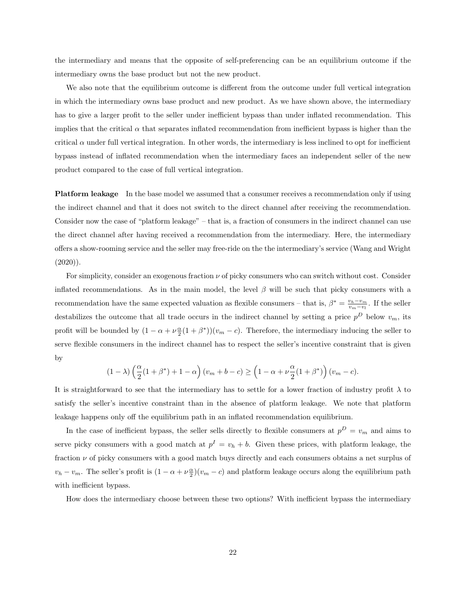the intermediary and means that the opposite of self-preferencing can be an equilibrium outcome if the intermediary owns the base product but not the new product.

We also note that the equilibrium outcome is different from the outcome under full vertical integration in which the intermediary owns base product and new product. As we have shown above, the intermediary has to give a larger profit to the seller under inefficient bypass than under inflated recommendation. This implies that the critical  $\alpha$  that separates inflated recommendation from inefficient bypass is higher than the critical  $\alpha$  under full vertical integration. In other words, the intermediary is less inclined to opt for inefficient bypass instead of inflated recommendation when the intermediary faces an independent seller of the new product compared to the case of full vertical integration.

Platform leakage In the base model we assumed that a consumer receives a recommendation only if using the indirect channel and that it does not switch to the direct channel after receiving the recommendation. Consider now the case of "platform leakage" – that is, a fraction of consumers in the indirect channel can use the direct channel after having received a recommendation from the intermediary. Here, the intermediary offers a show-rooming service and the seller may free-ride on the the intermediary's service (Wang and Wright  $(2020)$ ).

For simplicity, consider an exogenous fraction  $\nu$  of picky consumers who can switch without cost. Consider inflated recommendations. As in the main model, the level  $\beta$  will be such that picky consumers with a recommendation have the same expected valuation as flexible consumers – that is,  $\beta^* = \frac{v_h - v_m}{v_m - v_l}$ . If the seller destabilizes the outcome that all trade occurs in the indirect channel by setting a price  $p^D$  below  $v_m$ , its profit will be bounded by  $(1 - \alpha + \nu \frac{\alpha}{2}(1 + \beta^*)) (v_m - c)$ . Therefore, the intermediary inducing the seller to serve flexible consumers in the indirect channel has to respect the seller's incentive constraint that is given by

$$
(1 - \lambda) \left(\frac{\alpha}{2}(1 + \beta^*) + 1 - \alpha\right)(v_m + b - c) \ge \left(1 - \alpha + \nu \frac{\alpha}{2}(1 + \beta^*)\right)(v_m - c).
$$

It is straightforward to see that the intermediary has to settle for a lower fraction of industry profit  $\lambda$  to satisfy the seller's incentive constraint than in the absence of platform leakage. We note that platform leakage happens only off the equilibrium path in an inflated recommendation equilibrium.

In the case of inefficient bypass, the seller sells directly to flexible consumers at  $p^D = v_m$  and aims to serve picky consumers with a good match at  $p^I = v_h + b$ . Given these prices, with platform leakage, the fraction  $\nu$  of picky consumers with a good match buys directly and each consumers obtains a net surplus of  $v_h - v_m$ . The seller's profit is  $(1 - \alpha + \nu \frac{\alpha}{2})(v_m - c)$  and platform leakage occurs along the equilibrium path with inefficient bypass.

How does the intermediary choose between these two options? With inefficient bypass the intermediary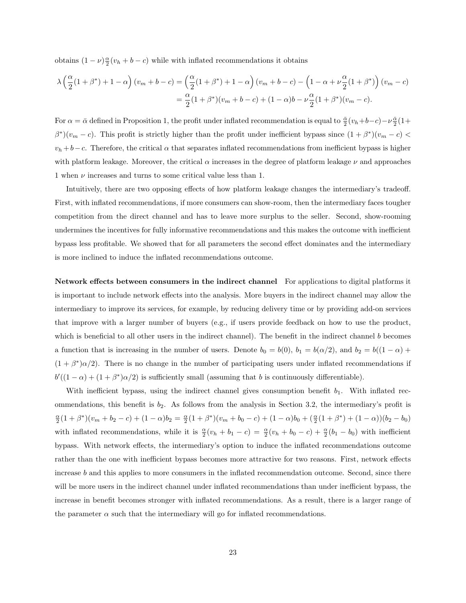obtains  $(1 - \nu) \frac{\alpha}{2} (v_h + b - c)$  while with inflated recommendations it obtains

$$
\lambda \left(\frac{\alpha}{2}(1+\beta^*) + 1 - \alpha\right)(v_m + b - c) = \left(\frac{\alpha}{2}(1+\beta^*) + 1 - \alpha\right)(v_m + b - c) - \left(1 - \alpha + \nu\frac{\alpha}{2}(1+\beta^*)\right)(v_m - c)
$$
  
=  $\frac{\alpha}{2}(1+\beta^*)(v_m + b - c) + (1-\alpha)b - \nu\frac{\alpha}{2}(1+\beta^*)(v_m - c).$ 

For  $\alpha = \bar{\alpha}$  defined in Proposition 1, the profit under inflated recommendation is equal to  $\frac{\bar{\alpha}}{2}(v_h+b-c)-\nu\frac{\bar{\alpha}}{2}(1+b-c)$  $\beta^*(v_m - c)$ . This profit is strictly higher than the profit under inefficient bypass since  $(1 + \beta^*)(v_m - c)$  $v_h + b - c$ . Therefore, the critical  $\alpha$  that separates inflated recommendations from inefficient bypass is higher with platform leakage. Moreover, the critical  $\alpha$  increases in the degree of platform leakage  $\nu$  and approaches 1 when  $\nu$  increases and turns to some critical value less than 1.

Intuitively, there are two opposing effects of how platform leakage changes the intermediary's tradeoff. First, with inflated recommendations, if more consumers can show-room, then the intermediary faces tougher competition from the direct channel and has to leave more surplus to the seller. Second, show-rooming undermines the incentives for fully informative recommendations and this makes the outcome with inefficient bypass less profitable. We showed that for all parameters the second effect dominates and the intermediary is more inclined to induce the inflated recommendations outcome.

Network effects between consumers in the indirect channel For applications to digital platforms it is important to include network effects into the analysis. More buyers in the indirect channel may allow the intermediary to improve its services, for example, by reducing delivery time or by providing add-on services that improve with a larger number of buyers (e.g., if users provide feedback on how to use the product, which is beneficial to all other users in the indirect channel). The benefit in the indirect channel b becomes a function that is increasing in the number of users. Denote  $b_0 = b(0)$ ,  $b_1 = b(\alpha/2)$ , and  $b_2 = b((1 - \alpha) +$  $(1 + \beta^*)\alpha/2$ . There is no change in the number of participating users under inflated recommendations if  $b'((1-\alpha) + (1+\beta^*)\alpha/2)$  is sufficiently small (assuming that b is continuously differentiable).

With inefficient bypass, using the indirect channel gives consumption benefit  $b_1$ . With inflated recommendations, this benefit is  $b_2$ . As follows from the analysis in Section 3.2, the intermediary's profit is  $\frac{\alpha}{2}(1+\beta^*)(v_m+b_2-c)+(1-\alpha)b_2=\frac{\alpha}{2}(1+\beta^*)(v_m+b_0-c)+(1-\alpha)b_0+(\frac{\alpha}{2}(1+\beta^*)+(1-\alpha))(b_2-b_0)$ with inflated recommendations, while it is  $\frac{\alpha}{2}(v_h + b_1 - c) = \frac{\alpha}{2}(v_h + b_0 - c) + \frac{\alpha}{2}(b_1 - b_0)$  with inefficient bypass. With network effects, the intermediary's option to induce the inflated recommendations outcome rather than the one with inefficient bypass becomes more attractive for two reasons. First, network effects increase b and this applies to more consumers in the inflated recommendation outcome. Second, since there will be more users in the indirect channel under inflated recommendations than under inefficient bypass, the increase in benefit becomes stronger with inflated recommendations. As a result, there is a larger range of the parameter  $\alpha$  such that the intermediary will go for inflated recommendations.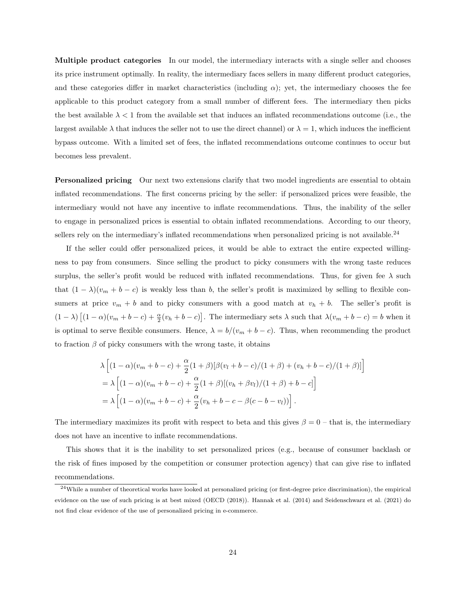Multiple product categories In our model, the intermediary interacts with a single seller and chooses its price instrument optimally. In reality, the intermediary faces sellers in many different product categories, and these categories differ in market characteristics (including  $\alpha$ ); yet, the intermediary chooses the fee applicable to this product category from a small number of different fees. The intermediary then picks the best available  $\lambda < 1$  from the available set that induces an inflated recommendations outcome (i.e., the largest available  $\lambda$  that induces the seller not to use the direct channel) or  $\lambda = 1$ , which induces the inefficient bypass outcome. With a limited set of fees, the inflated recommendations outcome continues to occur but becomes less prevalent.

Personalized pricing Our next two extensions clarify that two model ingredients are essential to obtain inflated recommendations. The first concerns pricing by the seller: if personalized prices were feasible, the intermediary would not have any incentive to inflate recommendations. Thus, the inability of the seller to engage in personalized prices is essential to obtain inflated recommendations. According to our theory, sellers rely on the intermediary's inflated recommendations when personalized pricing is not available.<sup>24</sup>

If the seller could offer personalized prices, it would be able to extract the entire expected willingness to pay from consumers. Since selling the product to picky consumers with the wrong taste reduces surplus, the seller's profit would be reduced with inflated recommendations. Thus, for given fee  $\lambda$  such that  $(1 - \lambda)(v_m + b - c)$  is weakly less than b, the seller's profit is maximized by selling to flexible consumers at price  $v_m + b$  and to picky consumers with a good match at  $v_h + b$ . The seller's profit is  $(1 - \lambda) [(1 - \alpha)(v_m + b - c) + \frac{\alpha}{2}(v_h + b - c)].$  The intermediary sets  $\lambda$  such that  $\lambda(v_m + b - c) = b$  when it is optimal to serve flexible consumers. Hence,  $\lambda = b/(v_m + b - c)$ . Thus, when recommending the product to fraction  $\beta$  of picky consumers with the wrong taste, it obtains

$$
\lambda \left[ (1 - \alpha)(v_m + b - c) + \frac{\alpha}{2} (1 + \beta) [\beta(v_l + b - c)/(1 + \beta) + (v_h + b - c)/(1 + \beta)] \right]
$$
  
=  $\lambda \left[ (1 - \alpha)(v_m + b - c) + \frac{\alpha}{2} (1 + \beta) [(v_h + \beta v_l)/(1 + \beta) + b - c] \right]$   
=  $\lambda \left[ (1 - \alpha)(v_m + b - c) + \frac{\alpha}{2} (v_h + b - c - \beta(c - b - v_l)) \right].$ 

The intermediary maximizes its profit with respect to beta and this gives  $\beta = 0$  – that is, the intermediary does not have an incentive to inflate recommendations.

This shows that it is the inability to set personalized prices (e.g., because of consumer backlash or the risk of fines imposed by the competition or consumer protection agency) that can give rise to inflated recommendations.

 $^{24}$ While a number of theoretical works have looked at personalized pricing (or first-degree price discrimination), the empirical evidence on the use of such pricing is at best mixed (OECD (2018)). Hannak et al. (2014) and Seidenschwarz et al. (2021) do not find clear evidence of the use of personalized pricing in e-commerce.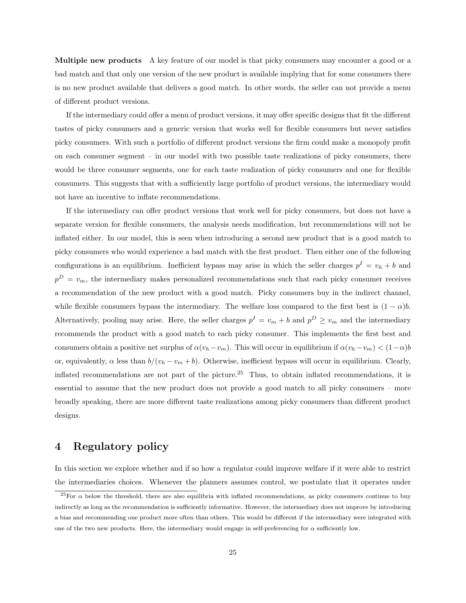Multiple new products A key feature of our model is that picky consumers may encounter a good or a bad match and that only one version of the new product is available implying that for some consumers there is no new product available that delivers a good match. In other words, the seller can not provide a menu of different product versions.

If the intermediary could offer a menu of product versions, it may offer specific designs that fit the different tastes of picky consumers and a generic version that works well for flexible consumers but never satisfies picky consumers. With such a portfolio of different product versions the firm could make a monopoly profit on each consumer segment – in our model with two possible taste realizations of picky consumers, there would be three consumer segments, one for each taste realization of picky consumers and one for flexible consumers. This suggests that with a sufficiently large portfolio of product versions, the intermediary would not have an incentive to inflate recommendations.

If the intermediary can offer product versions that work well for picky consumers, but does not have a separate version for flexible consumers, the analysis needs modification, but recommendations will not be inflated either. In our model, this is seen when introducing a second new product that is a good match to picky consumers who would experience a bad match with the first product. Then either one of the following configurations is an equilibrium. Inefficient bypass may arise in which the seller charges  $p^I = v_h + b$  and  $p^D = v_m$ , the intermediary makes personalized recommendations such that each picky consumer receives a recommendation of the new product with a good match. Picky consumers buy in the indirect channel, while flexible consumers bypass the intermediary. The welfare loss compared to the first best is  $(1 - \alpha)b$ . Alternatively, pooling may arise. Here, the seller charges  $p^I = v_m + b$  and  $p^D \ge v_m$  and the intermediary recommends the product with a good match to each picky consumer. This implements the first best and consumers obtain a positive net surplus of  $\alpha(v_h-v_m)$ . This will occur in equilibrium if  $\alpha(v_h-v_m) < (1-\alpha)b$ or, equivalently,  $\alpha$  less than  $b/(v_h - v_m + b)$ . Otherwise, inefficient bypass will occur in equilibrium. Clearly, inflated recommendations are not part of the picture.<sup>25</sup> Thus, to obtain inflated recommendations, it is essential to assume that the new product does not provide a good match to all picky consumers – more broadly speaking, there are more different taste realizations among picky consumers than different product designs.

### 4 Regulatory policy

In this section we explore whether and if so how a regulator could improve welfare if it were able to restrict the intermediaries choices. Whenever the planners assumes control, we postulate that it operates under

<sup>&</sup>lt;sup>25</sup>For  $\alpha$  below the threshold, there are also equilibria with inflated recommendations, as picky consumers continue to buy indirectly as long as the recommendation is sufficiently informative. However, the intermediary does not improve by introducing a bias and recommending one product more often than others. This would be different if the intermediary were integrated with one of the two new products. Here, the intermediary would engage in self-preferencing for  $\alpha$  sufficiently low.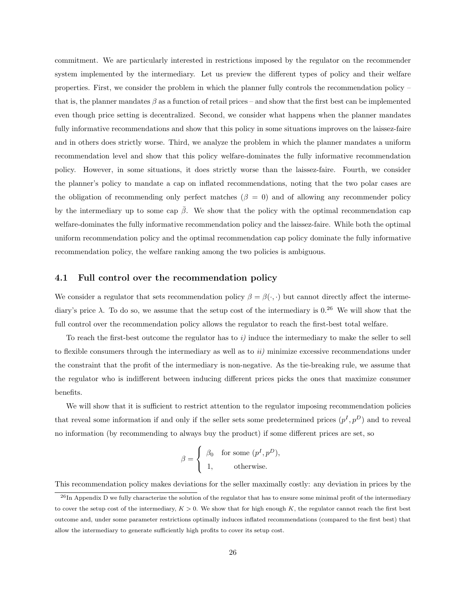commitment. We are particularly interested in restrictions imposed by the regulator on the recommender system implemented by the intermediary. Let us preview the different types of policy and their welfare properties. First, we consider the problem in which the planner fully controls the recommendation policy – that is, the planner mandates  $\beta$  as a function of retail prices – and show that the first best can be implemented even though price setting is decentralized. Second, we consider what happens when the planner mandates fully informative recommendations and show that this policy in some situations improves on the laissez-faire and in others does strictly worse. Third, we analyze the problem in which the planner mandates a uniform recommendation level and show that this policy welfare-dominates the fully informative recommendation policy. However, in some situations, it does strictly worse than the laissez-faire. Fourth, we consider the planner's policy to mandate a cap on inflated recommendations, noting that the two polar cases are the obligation of recommending only perfect matches ( $\beta = 0$ ) and of allowing any recommender policy by the intermediary up to some cap  $\bar{\beta}$ . We show that the policy with the optimal recommendation cap welfare-dominates the fully informative recommendation policy and the laissez-faire. While both the optimal uniform recommendation policy and the optimal recommendation cap policy dominate the fully informative recommendation policy, the welfare ranking among the two policies is ambiguous.

### 4.1 Full control over the recommendation policy

We consider a regulator that sets recommendation policy  $\beta = \beta(\cdot, \cdot)$  but cannot directly affect the intermediary's price  $\lambda$ . To do so, we assume that the setup cost of the intermediary is  $0.26$  We will show that the full control over the recommendation policy allows the regulator to reach the first-best total welfare.

To reach the first-best outcome the regulator has to  $i$ ) induce the intermediary to make the seller to sell to flexible consumers through the intermediary as well as to  $ii)$  minimize excessive recommendations under the constraint that the profit of the intermediary is non-negative. As the tie-breaking rule, we assume that the regulator who is indifferent between inducing different prices picks the ones that maximize consumer benefits.

We will show that it is sufficient to restrict attention to the regulator imposing recommendation policies that reveal some information if and only if the seller sets some predetermined prices  $(p<sup>I</sup>, p<sup>D</sup>)$  and to reveal no information (by recommending to always buy the product) if some different prices are set, so

$$
\beta = \begin{cases} \beta_0 & \text{for some } (p^I, p^D), \\ 1, & \text{otherwise.} \end{cases}
$$

This recommendation policy makes deviations for the seller maximally costly: any deviation in prices by the

 $^{26}$ In Appendix D we fully characterize the solution of the regulator that has to ensure some minimal profit of the intermediary to cover the setup cost of the intermediary,  $K > 0$ . We show that for high enough K, the regulator cannot reach the first best outcome and, under some parameter restrictions optimally induces inflated recommendations (compared to the first best) that allow the intermediary to generate sufficiently high profits to cover its setup cost.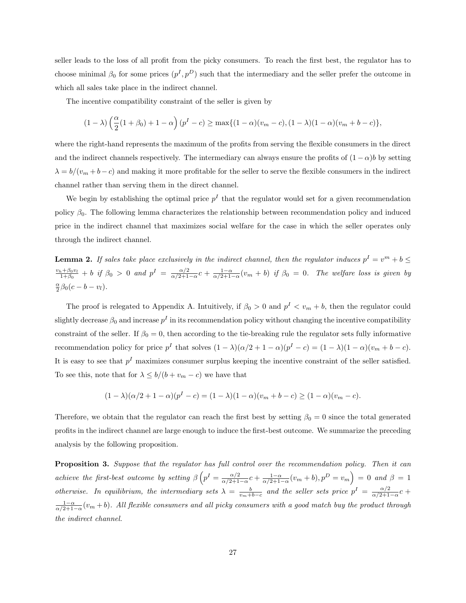seller leads to the loss of all profit from the picky consumers. To reach the first best, the regulator has to choose minimal  $\beta_0$  for some prices  $(p^I, p^D)$  such that the intermediary and the seller prefer the outcome in which all sales take place in the indirect channel.

The incentive compatibility constraint of the seller is given by

$$
(1 - \lambda) \left(\frac{\alpha}{2}(1 + \beta_0) + 1 - \alpha\right) (p^I - c) \ge \max\{(1 - \alpha)(v_m - c), (1 - \lambda)(1 - \alpha)(v_m + b - c)\},\
$$

where the right-hand represents the maximum of the profits from serving the flexible consumers in the direct and the indirect channels respectively. The intermediary can always ensure the profits of  $(1 - \alpha)b$  by setting  $\lambda = b/(v_m + b - c)$  and making it more profitable for the seller to serve the flexible consumers in the indirect channel rather than serving them in the direct channel.

We begin by establishing the optimal price  $p<sup>I</sup>$  that the regulator would set for a given recommendation policy  $\beta_0$ . The following lemma characterizes the relationship between recommendation policy and induced price in the indirect channel that maximizes social welfare for the case in which the seller operates only through the indirect channel.

**Lemma 2.** If sales take place exclusively in the indirect channel, then the regulator induces  $p^I = v^m + b \leq$  $\frac{v_h+\beta_0v_l}{1+\beta_0}$  + b if  $\beta_0 > 0$  and  $p^I = \frac{\alpha/2}{\alpha/2+1}$  $\frac{\alpha/2}{\alpha/2+1-\alpha}c+\frac{1-\alpha}{\alpha/2+1-\alpha}(v_m+b)$  if  $\beta_0=0$ . The welfare loss is given by  $\frac{\alpha}{2}\beta_0(c-b-v_l).$ 

The proof is relegated to Appendix A. Intuitively, if  $\beta_0 > 0$  and  $p^I < v_m + b$ , then the regulator could slightly decrease  $\beta_0$  and increase  $p^I$  in its recommendation policy without changing the incentive compatibility constraint of the seller. If  $\beta_0 = 0$ , then according to the tie-breaking rule the regulator sets fully informative recommendation policy for price  $p<sup>I</sup>$  that solves  $(1 - \lambda)(\alpha/2 + 1 - \alpha)(p<sup>I</sup> - c) = (1 - \lambda)(1 - \alpha)(v_m + b - c)$ . It is easy to see that  $p<sup>I</sup>$  maximizes consumer surplus keeping the incentive constraint of the seller satisfied. To see this, note that for  $\lambda \leq b/(b + v_m - c)$  we have that

$$
(1 - \lambda)(\alpha/2 + 1 - \alpha)(p^{I} - c) = (1 - \lambda)(1 - \alpha)(v_m + b - c) \ge (1 - \alpha)(v_m - c).
$$

Therefore, we obtain that the regulator can reach the first best by setting  $\beta_0 = 0$  since the total generated profits in the indirect channel are large enough to induce the first-best outcome. We summarize the preceding analysis by the following proposition.

Proposition 3. Suppose that the regulator has full control over the recommendation policy. Then it can achieve the first-best outcome by setting  $\beta \left( p^I = \frac{\alpha/2}{\alpha/2+1} \right)$  $\frac{\alpha/2}{\alpha/2+1-\alpha}c + \frac{1-\alpha}{\alpha/2+1-\alpha}(v_m+b), p^D=v_m$  = 0 and  $\beta=1$ otherwise. In equilibrium, the intermediary sets  $\lambda = \frac{b}{v_m + b - c}$  and the seller sets price  $p^I = \frac{\alpha/2}{\alpha/2 + 1}$  $\frac{\alpha}{2+1-\alpha}c$  +  $\frac{1-\alpha}{\alpha/2+1-\alpha}(v_m+b)$ . All flexible consumers and all picky consumers with a good match buy the product through the indirect channel.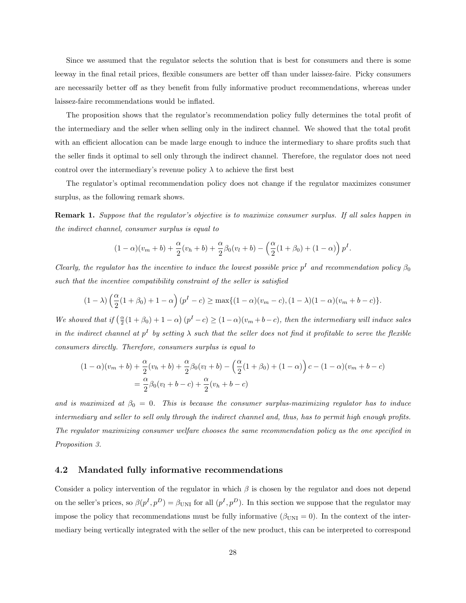Since we assumed that the regulator selects the solution that is best for consumers and there is some leeway in the final retail prices, flexible consumers are better off than under laissez-faire. Picky consumers are necessarily better off as they benefit from fully informative product recommendations, whereas under laissez-faire recommendations would be inflated.

The proposition shows that the regulator's recommendation policy fully determines the total profit of the intermediary and the seller when selling only in the indirect channel. We showed that the total profit with an efficient allocation can be made large enough to induce the intermediary to share profits such that the seller finds it optimal to sell only through the indirect channel. Therefore, the regulator does not need control over the intermediary's revenue policy  $\lambda$  to achieve the first best

The regulator's optimal recommendation policy does not change if the regulator maximizes consumer surplus, as the following remark shows.

Remark 1. Suppose that the regulator's objective is to maximize consumer surplus. If all sales happen in the indirect channel, consumer surplus is equal to

$$
(1 - \alpha)(v_m + b) + \frac{\alpha}{2}(v_h + b) + \frac{\alpha}{2}\beta_0(v_l + b) - \left(\frac{\alpha}{2}(1 + \beta_0) + (1 - \alpha)\right)p^I.
$$

Clearly, the regulator has the incentive to induce the lowest possible price  $p<sup>I</sup>$  and recommendation policy  $\beta_0$ such that the incentive compatibility constraint of the seller is satisfied

$$
(1 - \lambda) \left(\frac{\alpha}{2}(1 + \beta_0) + 1 - \alpha\right) (p^I - c) \ge \max\{(1 - \alpha)(v_m - c), (1 - \lambda)(1 - \alpha)(v_m + b - c)\}.
$$

We showed that if  $(\frac{\alpha}{2}(1+\beta_0)+1-\alpha)(p^{I}-c) \geq (1-\alpha)(v_m+b-c)$ , then the intermediary will induce sales in the indirect channel at  $p^I$  by setting  $\lambda$  such that the seller does not find it profitable to serve the flexible consumers directly. Therefore, consumers surplus is equal to

$$
(1 - \alpha)(v_m + b) + \frac{\alpha}{2}(v_h + b) + \frac{\alpha}{2}\beta_0(v_l + b) - \left(\frac{\alpha}{2}(1 + \beta_0) + (1 - \alpha)\right)c - (1 - \alpha)(v_m + b - c)
$$
  
=  $\frac{\alpha}{2}\beta_0(v_l + b - c) + \frac{\alpha}{2}(v_h + b - c)$ 

and is maximized at  $\beta_0 = 0$ . This is because the consumer surplus-maximizing regulator has to induce intermediary and seller to sell only through the indirect channel and, thus, has to permit high enough profits. The regulator maximizing consumer welfare chooses the same recommendation policy as the one specified in Proposition 3.

#### 4.2 Mandated fully informative recommendations

Consider a policy intervention of the regulator in which  $\beta$  is chosen by the regulator and does not depend on the seller's prices, so  $\beta(p^I, p^D) = \beta_{\text{UNI}}$  for all  $(p^I, p^D)$ . In this section we suppose that the regulator may impose the policy that recommendations must be fully informative  $(\beta_{\text{UNI}} = 0)$ . In the context of the intermediary being vertically integrated with the seller of the new product, this can be interpreted to correspond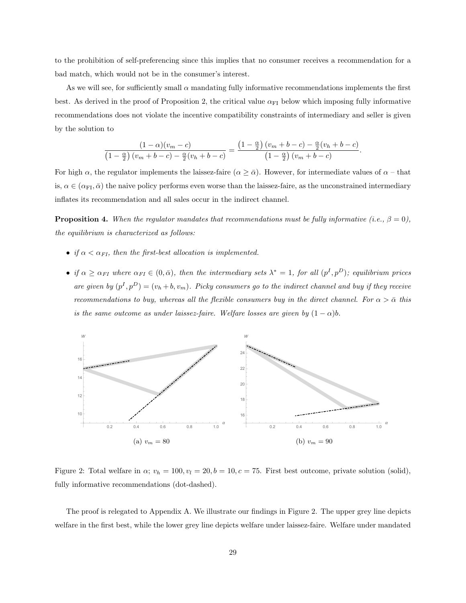to the prohibition of self-preferencing since this implies that no consumer receives a recommendation for a bad match, which would not be in the consumer's interest.

As we will see, for sufficiently small  $\alpha$  mandating fully informative recommendations implements the first best. As derived in the proof of Proposition 2, the critical value  $\alpha_{FI}$  below which imposing fully informative recommendations does not violate the incentive compatibility constraints of intermediary and seller is given by the solution to

$$
\frac{(1-\alpha)(v_m-c)}{\left(1-\frac{\alpha}{2}\right)(v_m+b-c)-\frac{\alpha}{2}(v_h+b-c)}=\frac{\left(1-\frac{\alpha}{2}\right)(v_m+b-c)-\frac{\alpha}{2}(v_h+b-c)}{\left(1-\frac{\alpha}{2}\right)(v_m+b-c)}.
$$

For high  $\alpha$ , the regulator implements the laissez-faire  $(\alpha \geq \overline{\alpha})$ . However, for intermediate values of  $\alpha$  – that is,  $\alpha \in (\alpha_{\text{FI}}, \bar{\alpha})$  the naive policy performs even worse than the laissez-faire, as the unconstrained intermediary inflates its recommendation and all sales occur in the indirect channel.

**Proposition 4.** When the regulator mandates that recommendations must be fully informative (i.e.,  $\beta = 0$ ), the equilibrium is characterized as follows:

- if  $\alpha < \alpha_{FI}$ , then the first-best allocation is implemented.
- if  $\alpha \geq \alpha_{FI}$  where  $\alpha_{FI} \in (0,\bar{\alpha})$ , then the intermediary sets  $\lambda^* = 1$ , for all  $(p^I, p^D)$ ; equilibrium prices are given by  $(p^I, p^D) = (v_h + b, v_m)$ . Picky consumers go to the indirect channel and buy if they receive recommendations to buy, whereas all the flexible consumers buy in the direct channel. For  $\alpha > \bar{\alpha}$  this is the same outcome as under laissez-faire. Welfare losses are given by  $(1 - \alpha)b$ .



Figure 2: Total welfare in  $\alpha$ ;  $v_h = 100, v_l = 20, b = 10, c = 75$ . First best outcome, private solution (solid), fully informative recommendations (dot-dashed).

The proof is relegated to Appendix A. We illustrate our findings in Figure 2. The upper grey line depicts welfare in the first best, while the lower grey line depicts welfare under laissez-faire. Welfare under mandated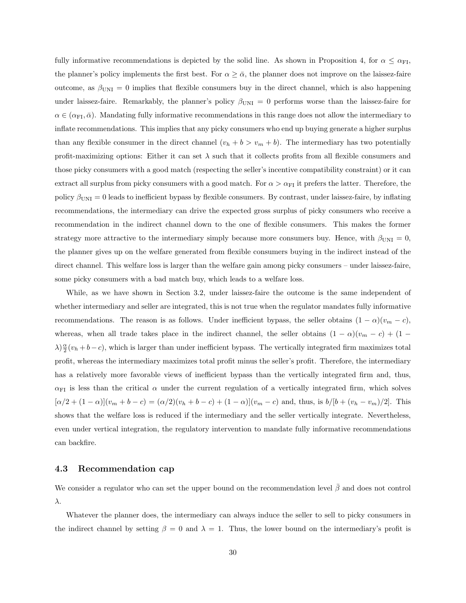fully informative recommendations is depicted by the solid line. As shown in Proposition 4, for  $\alpha \leq \alpha_{\text{FI}}$ , the planner's policy implements the first best. For  $\alpha \geq \bar{\alpha}$ , the planner does not improve on the laissez-faire outcome, as  $\beta_{\text{UNI}} = 0$  implies that flexible consumers buy in the direct channel, which is also happening under laissez-faire. Remarkably, the planner's policy  $\beta_{\text{UNI}} = 0$  performs worse than the laissez-faire for  $\alpha \in (\alpha_{\text{FI}}, \bar{\alpha})$ . Mandating fully informative recommendations in this range does not allow the intermediary to inflate recommendations. This implies that any picky consumers who end up buying generate a higher surplus than any flexible consumer in the direct channel  $(v_h + b > v_m + b)$ . The intermediary has two potentially profit-maximizing options: Either it can set  $\lambda$  such that it collects profits from all flexible consumers and those picky consumers with a good match (respecting the seller's incentive compatibility constraint) or it can extract all surplus from picky consumers with a good match. For  $\alpha > \alpha_{\text{FI}}$  it prefers the latter. Therefore, the policy  $\beta_{\text{UNI}} = 0$  leads to inefficient bypass by flexible consumers. By contrast, under laissez-faire, by inflating recommendations, the intermediary can drive the expected gross surplus of picky consumers who receive a recommendation in the indirect channel down to the one of flexible consumers. This makes the former strategy more attractive to the intermediary simply because more consumers buy. Hence, with  $\beta_{\text{UNI}} = 0$ , the planner gives up on the welfare generated from flexible consumers buying in the indirect instead of the direct channel. This welfare loss is larger than the welfare gain among picky consumers – under laissez-faire, some picky consumers with a bad match buy, which leads to a welfare loss.

While, as we have shown in Section 3.2, under laissez-faire the outcome is the same independent of whether intermediary and seller are integrated, this is not true when the regulator mandates fully informative recommendations. The reason is as follows. Under inefficient bypass, the seller obtains  $(1 - \alpha)(v_m - c)$ , whereas, when all trade takes place in the indirect channel, the seller obtains  $(1 - \alpha)(v_m - c) + (1 \lambda \geq \frac{\alpha}{2}(v_h + b - c)$ , which is larger than under inefficient bypass. The vertically integrated firm maximizes total profit, whereas the intermediary maximizes total profit minus the seller's profit. Therefore, the intermediary has a relatively more favorable views of inefficient bypass than the vertically integrated firm and, thus,  $\alpha_{FI}$  is less than the critical  $\alpha$  under the current regulation of a vertically integrated firm, which solves  $[\alpha/2 + (1 - \alpha)](v_m + b - c) = (\alpha/2)(v_h + b - c) + (1 - \alpha)](v_m - c)$  and, thus, is  $b/[b + (v_h - v_m)/2]$ . This shows that the welfare loss is reduced if the intermediary and the seller vertically integrate. Nevertheless, even under vertical integration, the regulatory intervention to mandate fully informative recommendations can backfire.

#### 4.3 Recommendation cap

We consider a regulator who can set the upper bound on the recommendation level  $\bar{\beta}$  and does not control λ.

Whatever the planner does, the intermediary can always induce the seller to sell to picky consumers in the indirect channel by setting  $\beta = 0$  and  $\lambda = 1$ . Thus, the lower bound on the intermediary's profit is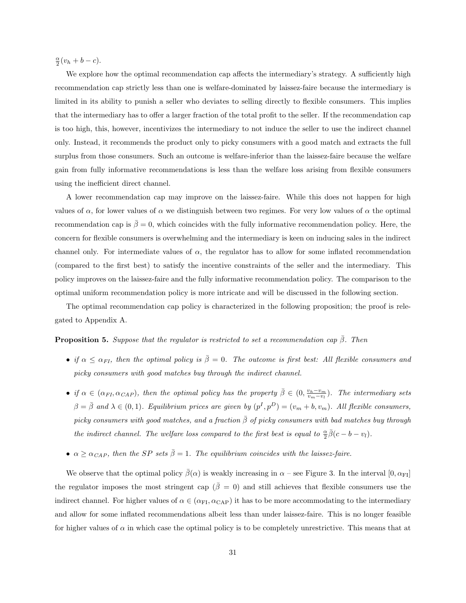$\frac{\alpha}{2}(v_h + b - c).$ 

We explore how the optimal recommendation cap affects the intermediary's strategy. A sufficiently high recommendation cap strictly less than one is welfare-dominated by laissez-faire because the intermediary is limited in its ability to punish a seller who deviates to selling directly to flexible consumers. This implies that the intermediary has to offer a larger fraction of the total profit to the seller. If the recommendation cap is too high, this, however, incentivizes the intermediary to not induce the seller to use the indirect channel only. Instead, it recommends the product only to picky consumers with a good match and extracts the full surplus from those consumers. Such an outcome is welfare-inferior than the laissez-faire because the welfare gain from fully informative recommendations is less than the welfare loss arising from flexible consumers using the inefficient direct channel.

A lower recommendation cap may improve on the laissez-faire. While this does not happen for high values of  $\alpha$ , for lower values of  $\alpha$  we distinguish between two regimes. For very low values of  $\alpha$  the optimal recommendation cap is  $\bar{\beta} = 0$ , which coincides with the fully informative recommendation policy. Here, the concern for flexible consumers is overwhelming and the intermediary is keen on inducing sales in the indirect channel only. For intermediate values of  $\alpha$ , the regulator has to allow for some inflated recommendation (compared to the first best) to satisfy the incentive constraints of the seller and the intermediary. This policy improves on the laissez-faire and the fully informative recommendation policy. The comparison to the optimal uniform recommendation policy is more intricate and will be discussed in the following section.

The optimal recommendation cap policy is characterized in the following proposition; the proof is relegated to Appendix A.

#### **Proposition 5.** Suppose that the regulator is restricted to set a recommendation cap  $\bar{\beta}$ . Then

- if  $\alpha \leq \alpha_{FI}$ , then the optimal policy is  $\overline{\beta} = 0$ . The outcome is first best: All flexible consumers and picky consumers with good matches buy through the indirect channel.
- if  $\alpha \in (\alpha_{FI}, \alpha_{CAP})$ , then the optimal policy has the property  $\overline{\beta} \in (0, \frac{v_h v_m}{v_m v_l})$ . The intermediary sets  $\beta = \bar{\beta}$  and  $\lambda \in (0,1)$ . Equilibrium prices are given by  $(p^I, p^D) = (v_m + b, v_m)$ . All flexible consumers, picky consumers with good matches, and a fraction  $\bar{\beta}$  of picky consumers with bad matches buy through the indirect channel. The welfare loss compared to the first best is equal to  $\frac{\alpha}{2}\bar{\beta}(c - b - v_l)$ .
- $\alpha \geq \alpha_{CAP}$ , then the SP sets  $\bar{\beta} = 1$ . The equilibrium coincides with the laissez-faire.

We observe that the optimal policy  $\bar{\beta}(\alpha)$  is weakly increasing in  $\alpha$  – see Figure 3. In the interval [0,  $\alpha_{\text{FI}}$ ] the regulator imposes the most stringent cap ( $\bar{\beta}=0$ ) and still achieves that flexible consumers use the indirect channel. For higher values of  $\alpha \in (\alpha_{FI}, \alpha_{CAP})$  it has to be more accommodating to the intermediary and allow for some inflated recommendations albeit less than under laissez-faire. This is no longer feasible for higher values of  $\alpha$  in which case the optimal policy is to be completely unrestrictive. This means that at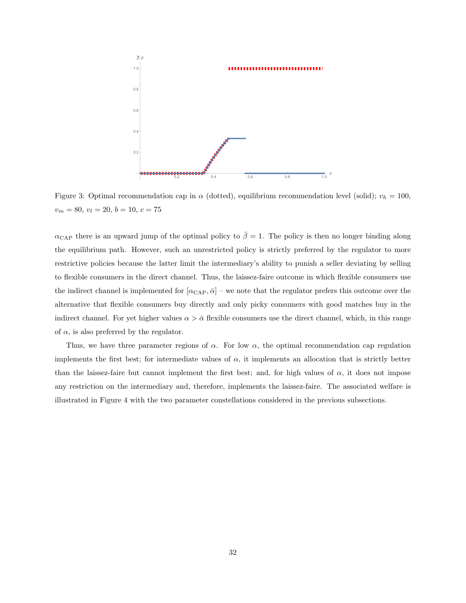

Figure 3: Optimal recommendation cap in  $\alpha$  (dotted), equilibrium recommendation level (solid);  $v_h = 100$ ,  $v_m = 80, v_l = 20, b = 10, c = 75$ 

 $\alpha_{\text{CAP}}$  there is an upward jump of the optimal policy to  $\bar{\beta} = 1$ . The policy is then no longer binding along the equilibrium path. However, such an unrestricted policy is strictly preferred by the regulator to more restrictive policies because the latter limit the intermediary's ability to punish a seller deviating by selling to flexible consumers in the direct channel. Thus, the laissez-faire outcome in which flexible consumers use the indirect channel is implemented for  $[\alpha_{\text{CAP}}, \bar{\alpha}]$  – we note that the regulator prefers this outcome over the alternative that flexible consumers buy directly and only picky consumers with good matches buy in the indirect channel. For yet higher values  $\alpha > \bar{\alpha}$  flexible consumers use the direct channel, which, in this range of  $\alpha$ , is also preferred by the regulator.

Thus, we have three parameter regions of  $\alpha$ . For low  $\alpha$ , the optimal recommendation cap regulation implements the first best; for intermediate values of  $\alpha$ , it implements an allocation that is strictly better than the laissez-faire but cannot implement the first best; and, for high values of  $\alpha$ , it does not impose any restriction on the intermediary and, therefore, implements the laissez-faire. The associated welfare is illustrated in Figure 4 with the two parameter constellations considered in the previous subsections.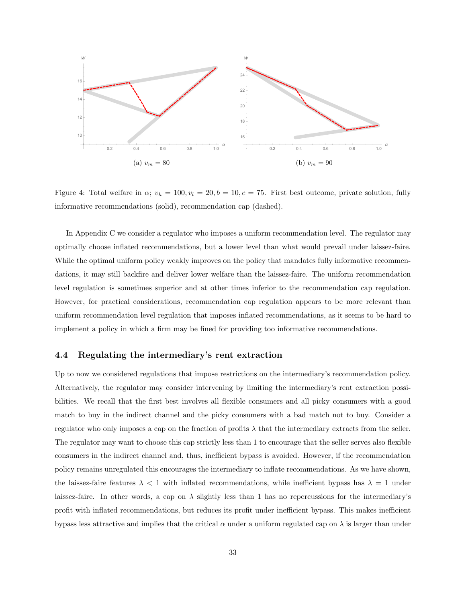

Figure 4: Total welfare in  $\alpha$ ;  $v_h = 100, v_l = 20, b = 10, c = 75$ . First best outcome, private solution, fully informative recommendations (solid), recommendation cap (dashed).

In Appendix C we consider a regulator who imposes a uniform recommendation level. The regulator may optimally choose inflated recommendations, but a lower level than what would prevail under laissez-faire. While the optimal uniform policy weakly improves on the policy that mandates fully informative recommendations, it may still backfire and deliver lower welfare than the laissez-faire. The uniform recommendation level regulation is sometimes superior and at other times inferior to the recommendation cap regulation. However, for practical considerations, recommendation cap regulation appears to be more relevant than uniform recommendation level regulation that imposes inflated recommendations, as it seems to be hard to implement a policy in which a firm may be fined for providing too informative recommendations.

#### 4.4 Regulating the intermediary's rent extraction

Up to now we considered regulations that impose restrictions on the intermediary's recommendation policy. Alternatively, the regulator may consider intervening by limiting the intermediary's rent extraction possibilities. We recall that the first best involves all flexible consumers and all picky consumers with a good match to buy in the indirect channel and the picky consumers with a bad match not to buy. Consider a regulator who only imposes a cap on the fraction of profits  $\lambda$  that the intermediary extracts from the seller. The regulator may want to choose this cap strictly less than 1 to encourage that the seller serves also flexible consumers in the indirect channel and, thus, inefficient bypass is avoided. However, if the recommendation policy remains unregulated this encourages the intermediary to inflate recommendations. As we have shown, the laissez-faire features  $\lambda < 1$  with inflated recommendations, while inefficient bypass has  $\lambda = 1$  under laissez-faire. In other words, a cap on  $\lambda$  slightly less than 1 has no repercussions for the intermediary's profit with inflated recommendations, but reduces its profit under inefficient bypass. This makes inefficient bypass less attractive and implies that the critical  $\alpha$  under a uniform regulated cap on  $\lambda$  is larger than under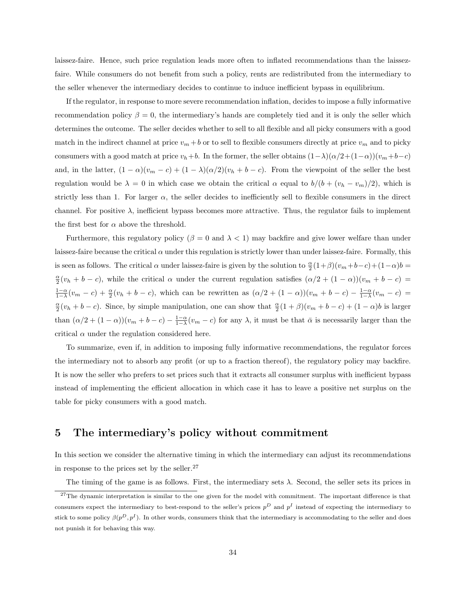laissez-faire. Hence, such price regulation leads more often to inflated recommendations than the laissezfaire. While consumers do not benefit from such a policy, rents are redistributed from the intermediary to the seller whenever the intermediary decides to continue to induce inefficient bypass in equilibrium.

If the regulator, in response to more severe recommendation inflation, decides to impose a fully informative recommendation policy  $\beta = 0$ , the intermediary's hands are completely tied and it is only the seller which determines the outcome. The seller decides whether to sell to all flexible and all picky consumers with a good match in the indirect channel at price  $v_m + b$  or to sell to flexible consumers directly at price  $v_m$  and to picky consumers with a good match at price  $v_h+b$ . In the former, the seller obtains  $(1-\lambda)(\alpha/2+(1-\alpha))(v_m+b-c)$ and, in the latter,  $(1 - \alpha)(v_m - c) + (1 - \lambda)(\alpha/2)(v_h + b - c)$ . From the viewpoint of the seller the best regulation would be  $\lambda = 0$  in which case we obtain the critical  $\alpha$  equal to  $b/(b + (v_h - v_m)/2)$ , which is strictly less than 1. For larger  $\alpha$ , the seller decides to inefficiently sell to flexible consumers in the direct channel. For positive  $\lambda$ , inefficient bypass becomes more attractive. Thus, the regulator fails to implement the first best for  $\alpha$  above the threshold.

Furthermore, this regulatory policy ( $\beta = 0$  and  $\lambda < 1$ ) may backfire and give lower welfare than under laissez-faire because the critical  $\alpha$  under this regulation is strictly lower than under laissez-faire. Formally, this is seen as follows. The critical  $\alpha$  under laissez-faire is given by the solution to  $\frac{\alpha}{2}(1+\beta)(v_m+b-c)+(1-\alpha)b=$  $\frac{\alpha}{2}(v_h + b - c)$ , while the critical  $\alpha$  under the current regulation satisfies  $(\alpha/2 + (1 - \alpha))(v_m + b - c)$  $\frac{1-\alpha}{1-\lambda}(v_m-c)+\frac{\alpha}{2}(v_h+b-c)$ , which can be rewritten as  $(\alpha/2+(1-\alpha))(v_m+b-c)-\frac{1-\alpha}{1-\lambda}(v_m-c)=$  $\frac{\alpha}{2}(v_h + b - c)$ . Since, by simple manipulation, one can show that  $\frac{\alpha}{2}(1+\beta)(v_m + b - c) + (1-\alpha)b$  is larger than  $(\alpha/2 + (1 - \alpha))(v_m + b - c) - \frac{1 - \alpha}{1 - \lambda}(v_m - c)$  for any  $\lambda$ , it must be that  $\bar{\alpha}$  is necessarily larger than the critical  $\alpha$  under the regulation considered here.

To summarize, even if, in addition to imposing fully informative recommendations, the regulator forces the intermediary not to absorb any profit (or up to a fraction thereof), the regulatory policy may backfire. It is now the seller who prefers to set prices such that it extracts all consumer surplus with inefficient bypass instead of implementing the efficient allocation in which case it has to leave a positive net surplus on the table for picky consumers with a good match.

### 5 The intermediary's policy without commitment

In this section we consider the alternative timing in which the intermediary can adjust its recommendations in response to the prices set by the seller. $27$ 

The timing of the game is as follows. First, the intermediary sets  $\lambda$ . Second, the seller sets its prices in

 $27$ The dynamic interpretation is similar to the one given for the model with commitment. The important difference is that consumers expect the intermediary to best-respond to the seller's prices  $p<sup>D</sup>$  and  $p<sup>I</sup>$  instead of expecting the intermediary to stick to some policy  $\beta(p^D, p^I)$ . In other words, consumers think that the intermediary is accommodating to the seller and does not punish it for behaving this way.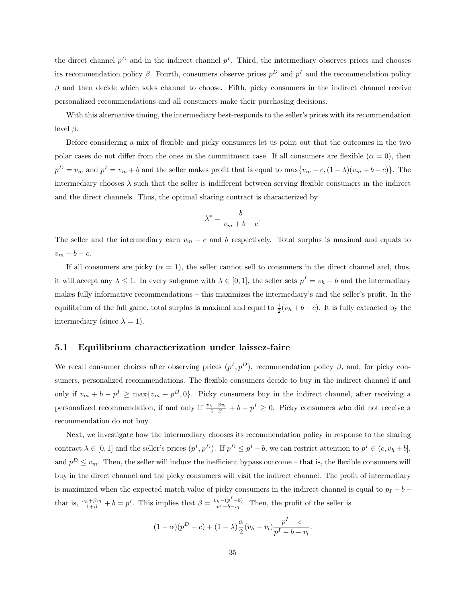the direct channel  $p<sup>D</sup>$  and in the indirect channel  $p<sup>I</sup>$ . Third, the intermediary observes prices and chooses its recommendation policy  $\beta$ . Fourth, consumers observe prices  $p^D$  and  $p^I$  and the recommendation policy  $\beta$  and then decide which sales channel to choose. Fifth, picky consumers in the indirect channel receive personalized recommendations and all consumers make their purchasing decisions.

With this alternative timing, the intermediary best-responds to the seller's prices with its recommendation level  $\beta$ .

Before considering a mix of flexible and picky consumers let us point out that the outcomes in the two polar cases do not differ from the ones in the commitment case. If all consumers are flexible  $(\alpha = 0)$ , then  $p^D = v_m$  and  $p^I = v_m + b$  and the seller makes profit that is equal to  $\max\{v_m - c, (1 - \lambda)(v_m + b - c)\}\$ . The intermediary chooses  $\lambda$  such that the seller is indifferent between serving flexible consumers in the indirect and the direct channels. Thus, the optimal sharing contract is characterized by

$$
\lambda^* = \frac{b}{v_m + b - c}.
$$

The seller and the intermediary earn  $v_m - c$  and b respectively. Total surplus is maximal and equals to  $v_m + b - c.$ 

If all consumers are picky  $(\alpha = 1)$ , the seller cannot sell to consumers in the direct channel and, thus, it will accept any  $\lambda \leq 1$ . In every subgame with  $\lambda \in [0,1]$ , the seller sets  $p^I = v_h + b$  and the intermediary makes fully informative recommendations – this maximizes the intermediary's and the seller's profit. In the equilibrium of the full game, total surplus is maximal and equal to  $\frac{1}{2}(v_h + b - c)$ . It is fully extracted by the intermediary (since  $\lambda = 1$ ).

#### 5.1 Equilibrium characterization under laissez-faire

We recall consumer choices after observing prices  $(p<sup>I</sup>, p<sup>D</sup>)$ , recommendation policy  $\beta$ , and, for picky consumers, personalized recommendations. The flexible consumers decide to buy in the indirect channel if and only if  $v_m + b - p^I \ge \max\{v_m - p^D, 0\}$ . Picky consumers buy in the indirect channel, after receiving a personalized recommendation, if and only if  $\frac{v_h + \beta v_l}{1+\beta} + b - p^I \geq 0$ . Picky consumers who did not receive a recommendation do not buy.

Next, we investigate how the intermediary chooses its recommendation policy in response to the sharing contract  $\lambda \in [0,1]$  and the seller's prices  $(p^I, p^D)$ . If  $p^D \leq p^I - b$ , we can restrict attention to  $p^I \in (c, v_h + b]$ , and  $p^D \leq v_m$ . Then, the seller will induce the inefficient bypass outcome – that is, the flexible consumers will buy in the direct channel and the picky consumers will visit the indirect channel. The profit of intermediary is maximized when the expected match value of picky consumers in the indirect channel is equal to  $p_I - b$ that is,  $\frac{v_h + \beta v_l}{1+\beta} + b = p^I$ . This implies that  $\beta = \frac{v_h - (p^I - b)}{p^I - b - v_l}$  $\frac{h^{-(p)}-b}{p^I-b-v_l}$ . Then, the profit of the seller is

$$
(1 - \alpha)(p^{D} - c) + (1 - \lambda)\frac{\alpha}{2}(v_h - v_l)\frac{p^{I} - c}{p^{I} - b - v_l}.
$$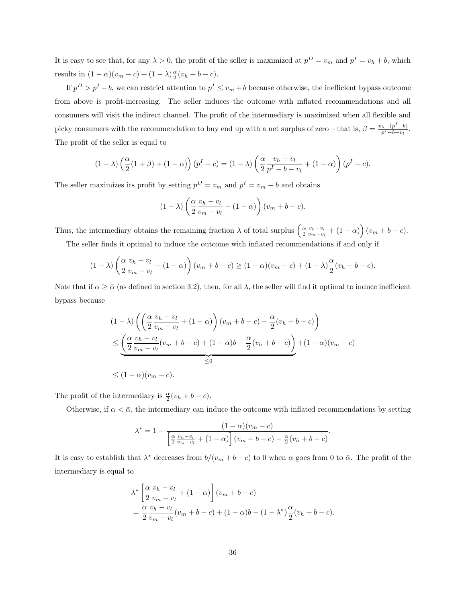It is easy to see that, for any  $\lambda > 0$ , the profit of the seller is maximized at  $p^D = v_m$  and  $p^I = v_h + b$ , which results in  $(1 - \alpha)(v_m - c) + (1 - \lambda)\frac{\alpha}{2}(v_h + b - c)$ .

If  $p^D > p^I - b$ , we can restrict attention to  $p^I \le v_m + b$  because otherwise, the inefficient bypass outcome from above is profit-increasing. The seller induces the outcome with inflated recommendations and all consumers will visit the indirect channel. The profit of the intermediary is maximized when all flexible and picky consumers with the recommendation to buy end up with a net surplus of zero – that is,  $\beta = \frac{v_h - (p^I - b)}{n^I - b - v}$  $\frac{h-(p - b)}{p^I - b - v_l}.$ The profit of the seller is equal to

$$
(1 - \lambda) \left(\frac{\alpha}{2}(1 + \beta) + (1 - \alpha)\right)(p^I - c) = (1 - \lambda) \left(\frac{\alpha}{2} \frac{v_h - v_l}{p^I - b - v_l} + (1 - \alpha)\right)(p^I - c).
$$

The seller maximizes its profit by setting  $p^D = v_m$  and  $p^I = v_m + b$  and obtains

$$
(1 - \lambda) \left( \frac{\alpha}{2} \frac{v_h - v_l}{v_m - v_l} + (1 - \alpha) \right) (v_m + b - c).
$$

Thus, the intermediary obtains the remaining fraction  $\lambda$  of total surplus  $\left(\frac{\alpha}{2} \frac{v_h - v_l}{v_m - v_l} + (1 - \alpha)\right)(v_m + b - c)$ .

The seller finds it optimal to induce the outcome with inflated recommendations if and only if

$$
(1 - \lambda) \left(\frac{\alpha}{2} \frac{v_h - v_l}{v_m - v_l} + (1 - \alpha)\right) (v_m + b - c) \ge (1 - \alpha)(v_m - c) + (1 - \lambda) \frac{\alpha}{2} (v_h + b - c).
$$

Note that if  $\alpha \geq \bar{\alpha}$  (as defined in section 3.2), then, for all  $\lambda$ , the seller will find it optimal to induce inefficient bypass because

$$
(1 - \lambda) \left( \left( \frac{\alpha}{2} \frac{v_h - v_l}{v_m - v_l} + (1 - \alpha) \right) (v_m + b - c) - \frac{\alpha}{2} (v_h + b - c) \right)
$$
  

$$
\leq \underbrace{\left( \frac{\alpha}{2} \frac{v_h - v_l}{v_m - v_l} (v_m + b - c) + (1 - \alpha)b - \frac{\alpha}{2} (v_h + b - c) \right)}_{\leq 0} + (1 - \alpha)(v_m - c)
$$
  

$$
\leq (1 - \alpha)(v_m - c).
$$

The profit of the intermediary is  $\frac{\alpha}{2}(v_h + b - c)$ .

Otherwise, if  $\alpha < \bar{\alpha}$ , the intermediary can induce the outcome with inflated recommendations by setting

$$
\lambda^* = 1 - \frac{(1-\alpha)(v_m - c)}{\left[\frac{\alpha}{2} \frac{v_h - v_l}{v_m - v_l} + (1-\alpha)\right] (v_m + b - c) - \frac{\alpha}{2} (v_h + b - c)}.
$$

It is easy to establish that  $\lambda^*$  decreases from  $b/(v_m + b - c)$  to 0 when  $\alpha$  goes from 0 to  $\bar{\alpha}$ . The profit of the intermediary is equal to

$$
\lambda^* \left[ \frac{\alpha}{2} \frac{v_h - v_l}{v_m - v_l} + (1 - \alpha) \right] (v_m + b - c)
$$
  
= 
$$
\frac{\alpha}{2} \frac{v_h - v_l}{v_m - v_l} (v_m + b - c) + (1 - \alpha)b - (1 - \lambda^*) \frac{\alpha}{2} (v_h + b - c).
$$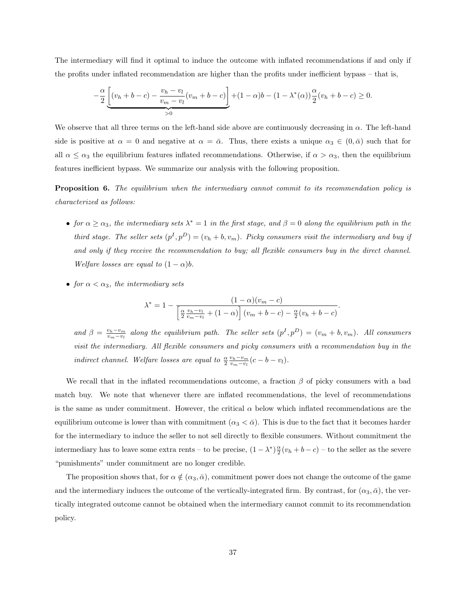The intermediary will find it optimal to induce the outcome with inflated recommendations if and only if the profits under inflated recommendation are higher than the profits under inefficient bypass – that is,

$$
-\frac{\alpha}{2} \underbrace{\left[ (v_h + b - c) - \frac{v_h - v_l}{v_m - v_l} (v_m + b - c) \right]}_{>0} + (1 - \alpha)b - (1 - \lambda^*(\alpha)) \frac{\alpha}{2} (v_h + b - c) \ge 0.
$$

We observe that all three terms on the left-hand side above are continuously decreasing in  $\alpha$ . The left-hand side is positive at  $\alpha = 0$  and negative at  $\alpha = \bar{\alpha}$ . Thus, there exists a unique  $\alpha_3 \in (0, \bar{\alpha})$  such that for all  $\alpha \leq \alpha_3$  the equilibrium features inflated recommendations. Otherwise, if  $\alpha > \alpha_3$ , then the equilibrium features inefficient bypass. We summarize our analysis with the following proposition.

**Proposition 6.** The equilibrium when the intermediary cannot commit to its recommendation policy is characterized as follows:

- for  $\alpha \ge \alpha_3$ , the intermediary sets  $\lambda^* = 1$  in the first stage, and  $\beta = 0$  along the equilibrium path in the third stage. The seller sets  $(p<sup>I</sup>, p<sup>D</sup>) = (v<sub>h</sub> + b, v<sub>m</sub>)$ . Picky consumers visit the intermediary and buy if and only if they receive the recommendation to buy; all flexible consumers buy in the direct channel. Welfare losses are equal to  $(1 - \alpha)b$ .
- for  $\alpha < \alpha_3$ , the intermediary sets

$$
\lambda^* = 1 - \frac{(1 - \alpha)(v_m - c)}{\left[\frac{\alpha}{2} \frac{v_h - v_l}{v_m - v_l} + (1 - \alpha)\right] (v_m + b - c) - \frac{\alpha}{2} (v_h + b - c)}
$$

.

and  $\beta = \frac{v_h - v_m}{v_m - v_l}$  along the equilibrium path. The seller sets  $(p^I, p^D) = (v_m + b, v_m)$ . All consumers visit the intermediary. All flexible consumers and picky consumers with a recommendation buy in the indirect channel. Welfare losses are equal to  $\frac{\alpha}{2} \frac{v_h - v_m}{v_m - v_l}(c - b - v_l)$ .

We recall that in the inflated recommendations outcome, a fraction  $\beta$  of picky consumers with a bad match buy. We note that whenever there are inflated recommendations, the level of recommendations is the same as under commitment. However, the critical  $\alpha$  below which inflated recommendations are the equilibrium outcome is lower than with commitment  $(\alpha_3 < \bar{\alpha})$ . This is due to the fact that it becomes harder for the intermediary to induce the seller to not sell directly to flexible consumers. Without commitment the intermediary has to leave some extra rents – to be precise,  $(1 - \lambda^*) \frac{\alpha}{2} (v_h + b - c)$  – to the seller as the severe "punishments" under commitment are no longer credible.

The proposition shows that, for  $\alpha \notin (\alpha_3, \bar{\alpha})$ , commitment power does not change the outcome of the game and the intermediary induces the outcome of the vertically-integrated firm. By contrast, for  $(\alpha_3, \bar{\alpha})$ , the vertically integrated outcome cannot be obtained when the intermediary cannot commit to its recommendation policy.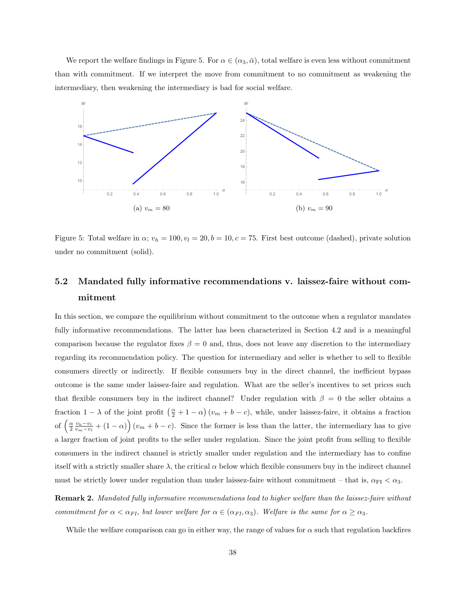We report the welfare findings in Figure 5. For  $\alpha \in (\alpha_3, \bar{\alpha})$ , total welfare is even less without commitment than with commitment. If we interpret the move from commitment to no commitment as weakening the intermediary, then weakening the intermediary is bad for social welfare.



Figure 5: Total welfare in  $\alpha$ ;  $v_h = 100, v_l = 20, b = 10, c = 75$ . First best outcome (dashed), private solution under no commitment (solid).

# 5.2 Mandated fully informative recommendations v. laissez-faire without commitment

In this section, we compare the equilibrium without commitment to the outcome when a regulator mandates fully informative recommendations. The latter has been characterized in Section 4.2 and is a meaningful comparison because the regulator fixes  $\beta = 0$  and, thus, does not leave any discretion to the intermediary regarding its recommendation policy. The question for intermediary and seller is whether to sell to flexible consumers directly or indirectly. If flexible consumers buy in the direct channel, the inefficient bypass outcome is the same under laissez-faire and regulation. What are the seller's incentives to set prices such that flexible consumers buy in the indirect channel? Under regulation with  $\beta = 0$  the seller obtains a fraction  $1 - \lambda$  of the joint profit  $\left(\frac{\alpha}{2} + 1 - \alpha\right)(v_m + b - c)$ , while, under laissez-faire, it obtains a fraction of  $\left(\frac{\alpha}{2} \frac{v_h - v_l}{v_m - v_l} + (1 - \alpha)\right)(v_m + b - c)$ . Since the former is less than the latter, the intermediary has to give a larger fraction of joint profits to the seller under regulation. Since the joint profit from selling to flexible consumers in the indirect channel is strictly smaller under regulation and the intermediary has to confine itself with a strictly smaller share  $\lambda$ , the critical  $\alpha$  below which flexible consumers buy in the indirect channel must be strictly lower under regulation than under laissez-faire without commitment – that is,  $\alpha_{FI} < \alpha_3$ .

Remark 2. Mandated fully informative recommendations lead to higher welfare than the laissez-faire without commitment for  $\alpha < \alpha_{FI}$ , but lower welfare for  $\alpha \in (\alpha_{FI}, \alpha_3)$ . Welfare is the same for  $\alpha \geq \alpha_3$ .

While the welfare comparison can go in either way, the range of values for  $\alpha$  such that regulation backfires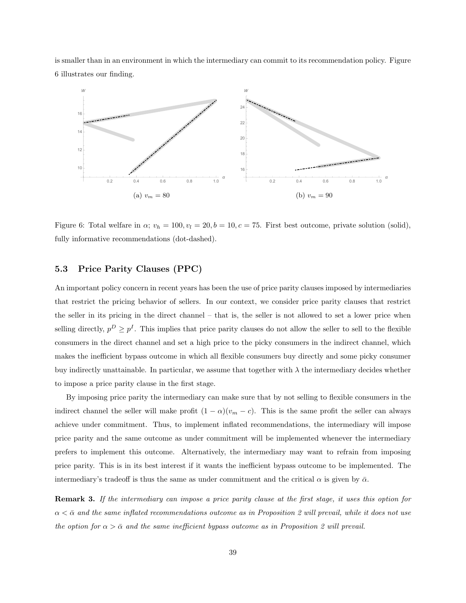is smaller than in an environment in which the intermediary can commit to its recommendation policy. Figure 6 illustrates our finding.



Figure 6: Total welfare in  $\alpha$ ;  $v_h = 100, v_l = 20, b = 10, c = 75$ . First best outcome, private solution (solid), fully informative recommendations (dot-dashed).

#### 5.3 Price Parity Clauses (PPC)

An important policy concern in recent years has been the use of price parity clauses imposed by intermediaries that restrict the pricing behavior of sellers. In our context, we consider price parity clauses that restrict the seller in its pricing in the direct channel – that is, the seller is not allowed to set a lower price when selling directly,  $p^D \geq p^I$ . This implies that price parity clauses do not allow the seller to sell to the flexible consumers in the direct channel and set a high price to the picky consumers in the indirect channel, which makes the inefficient bypass outcome in which all flexible consumers buy directly and some picky consumer buy indirectly unattainable. In particular, we assume that together with  $\lambda$  the intermediary decides whether to impose a price parity clause in the first stage.

By imposing price parity the intermediary can make sure that by not selling to flexible consumers in the indirect channel the seller will make profit  $(1 - \alpha)(v_m - c)$ . This is the same profit the seller can always achieve under commitment. Thus, to implement inflated recommendations, the intermediary will impose price parity and the same outcome as under commitment will be implemented whenever the intermediary prefers to implement this outcome. Alternatively, the intermediary may want to refrain from imposing price parity. This is in its best interest if it wants the inefficient bypass outcome to be implemented. The intermediary's tradeoff is thus the same as under commitment and the critical  $\alpha$  is given by  $\bar{\alpha}$ .

Remark 3. If the intermediary can impose a price parity clause at the first stage, it uses this option for  $\alpha < \bar{\alpha}$  and the same inflated recommendations outcome as in Proposition 2 will prevail, while it does not use the option for  $\alpha > \bar{\alpha}$  and the same inefficient bypass outcome as in Proposition 2 will prevail.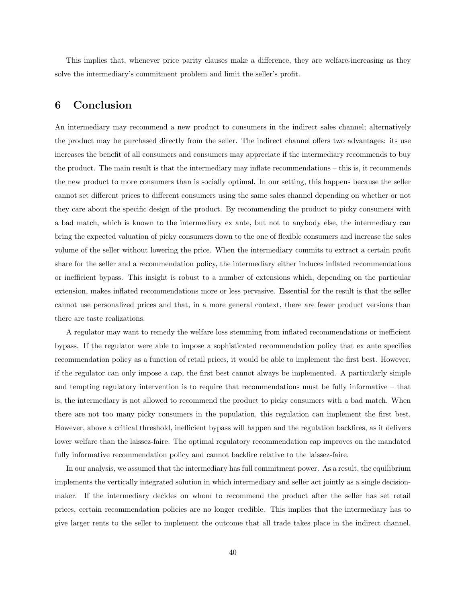This implies that, whenever price parity clauses make a difference, they are welfare-increasing as they solve the intermediary's commitment problem and limit the seller's profit.

## 6 Conclusion

An intermediary may recommend a new product to consumers in the indirect sales channel; alternatively the product may be purchased directly from the seller. The indirect channel offers two advantages: its use increases the benefit of all consumers and consumers may appreciate if the intermediary recommends to buy the product. The main result is that the intermediary may inflate recommendations – this is, it recommends the new product to more consumers than is socially optimal. In our setting, this happens because the seller cannot set different prices to different consumers using the same sales channel depending on whether or not they care about the specific design of the product. By recommending the product to picky consumers with a bad match, which is known to the intermediary ex ante, but not to anybody else, the intermediary can bring the expected valuation of picky consumers down to the one of flexible consumers and increase the sales volume of the seller without lowering the price. When the intermediary commits to extract a certain profit share for the seller and a recommendation policy, the intermediary either induces inflated recommendations or inefficient bypass. This insight is robust to a number of extensions which, depending on the particular extension, makes inflated recommendations more or less pervasive. Essential for the result is that the seller cannot use personalized prices and that, in a more general context, there are fewer product versions than there are taste realizations.

A regulator may want to remedy the welfare loss stemming from inflated recommendations or inefficient bypass. If the regulator were able to impose a sophisticated recommendation policy that ex ante specifies recommendation policy as a function of retail prices, it would be able to implement the first best. However, if the regulator can only impose a cap, the first best cannot always be implemented. A particularly simple and tempting regulatory intervention is to require that recommendations must be fully informative – that is, the intermediary is not allowed to recommend the product to picky consumers with a bad match. When there are not too many picky consumers in the population, this regulation can implement the first best. However, above a critical threshold, inefficient bypass will happen and the regulation backfires, as it delivers lower welfare than the laissez-faire. The optimal regulatory recommendation cap improves on the mandated fully informative recommendation policy and cannot backfire relative to the laissez-faire.

In our analysis, we assumed that the intermediary has full commitment power. As a result, the equilibrium implements the vertically integrated solution in which intermediary and seller act jointly as a single decisionmaker. If the intermediary decides on whom to recommend the product after the seller has set retail prices, certain recommendation policies are no longer credible. This implies that the intermediary has to give larger rents to the seller to implement the outcome that all trade takes place in the indirect channel.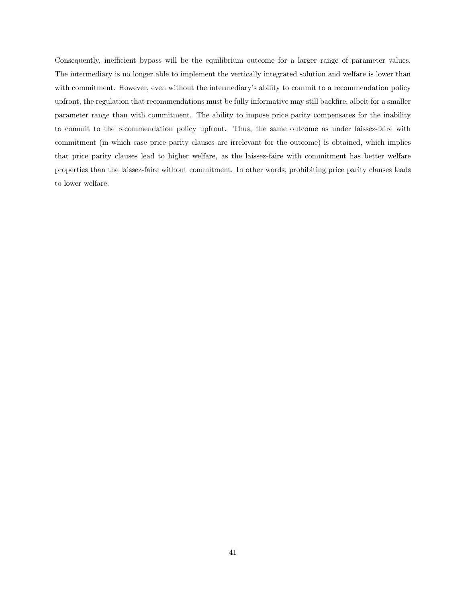Consequently, inefficient bypass will be the equilibrium outcome for a larger range of parameter values. The intermediary is no longer able to implement the vertically integrated solution and welfare is lower than with commitment. However, even without the intermediary's ability to commit to a recommendation policy upfront, the regulation that recommendations must be fully informative may still backfire, albeit for a smaller parameter range than with commitment. The ability to impose price parity compensates for the inability to commit to the recommendation policy upfront. Thus, the same outcome as under laissez-faire with commitment (in which case price parity clauses are irrelevant for the outcome) is obtained, which implies that price parity clauses lead to higher welfare, as the laissez-faire with commitment has better welfare properties than the laissez-faire without commitment. In other words, prohibiting price parity clauses leads to lower welfare.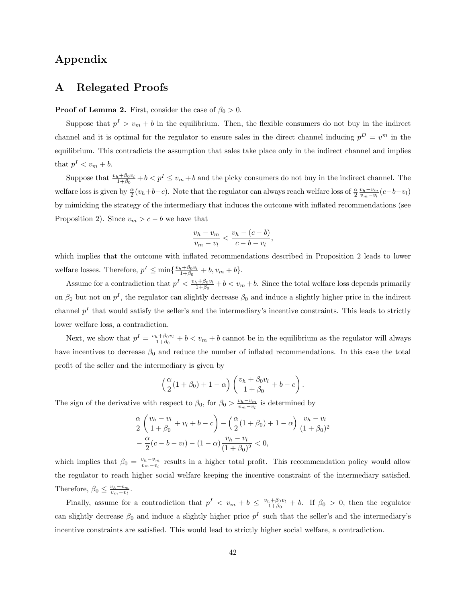# Appendix

### A Relegated Proofs

#### **Proof of Lemma 2.** First, consider the case of  $\beta_0 > 0$ .

Suppose that  $p^I > v_m + b$  in the equilibrium. Then, the flexible consumers do not buy in the indirect channel and it is optimal for the regulator to ensure sales in the direct channel inducing  $p^D = v^m$  in the equilibrium. This contradicts the assumption that sales take place only in the indirect channel and implies that  $p^I < v_m + b$ .

Suppose that  $\frac{v_h+\beta_0v_l}{1+\beta_0}+b < p^I \le v_m+b$  and the picky consumers do not buy in the indirect channel. The welfare loss is given by  $\frac{\alpha}{2}(v_h+b-c)$ . Note that the regulator can always reach welfare loss of  $\frac{\alpha}{2} \frac{v_h-v_m}{v_m-v_l}(c-b-v_l)$ by mimicking the strategy of the intermediary that induces the outcome with inflated recommendations (see Proposition 2). Since  $v_m > c - b$  we have that

$$
\frac{v_h - v_m}{v_m - v_l} < \frac{v_h - (c - b)}{c - b - v_l},
$$

which implies that the outcome with inflated recommendations described in Proposition 2 leads to lower welfare losses. Therefore,  $p^I \n\t\leq \min\{\frac{v_h + \beta_0 v_l}{1 + \beta_0} + b, v_m + b\}.$ 

Assume for a contradiction that  $p<sup>I</sup> < \frac{v_h+\beta_0v_l}{1+\beta_0} + b < v_m + b$ . Since the total welfare loss depends primarily on  $\beta_0$  but not on  $p<sup>I</sup>$ , the regulator can slightly decrease  $\beta_0$  and induce a slightly higher price in the indirect channel  $p<sup>I</sup>$  that would satisfy the seller's and the intermediary's incentive constraints. This leads to strictly lower welfare loss, a contradiction.

Next, we show that  $p^I = \frac{v_h + \beta_0 v_l}{1+\beta_0} + b < v_m + b$  cannot be in the equilibrium as the regulator will always have incentives to decrease  $\beta_0$  and reduce the number of inflated recommendations. In this case the total profit of the seller and the intermediary is given by

$$
\left(\frac{\alpha}{2}(1+\beta_0)+1-\alpha\right)\left(\frac{v_h+\beta_0v_l}{1+\beta_0}+b-c\right).
$$

The sign of the derivative with respect to  $\beta_0$ , for  $\beta_0 > \frac{v_h - v_m}{v_m - v_l}$  is determined by

$$
\frac{\alpha}{2} \left( \frac{v_h - v_l}{1 + \beta_0} + v_l + b - c \right) - \left( \frac{\alpha}{2} (1 + \beta_0) + 1 - \alpha \right) \frac{v_h - v_l}{(1 + \beta_0)^2} \n- \frac{\alpha}{2} (c - b - v_l) - (1 - \alpha) \frac{v_h - v_l}{(1 + \beta_0)^2} < 0,
$$

which implies that  $\beta_0 = \frac{v_h - v_m}{v_m - v_l}$  results in a higher total profit. This recommendation policy would allow the regulator to reach higher social welfare keeping the incentive constraint of the intermediary satisfied. Therefore,  $\beta_0 \leq \frac{v_h - v_m}{v_m - v_l}$ .

Finally, assume for a contradiction that  $p^I \leq v_m + b \leq \frac{v_h + \beta_0 v_l}{1 + \beta_0} + b$ . If  $\beta_0 > 0$ , then the regulator can slightly decrease  $\beta_0$  and induce a slightly higher price  $p<sup>I</sup>$  such that the seller's and the intermediary's incentive constraints are satisfied. This would lead to strictly higher social welfare, a contradiction.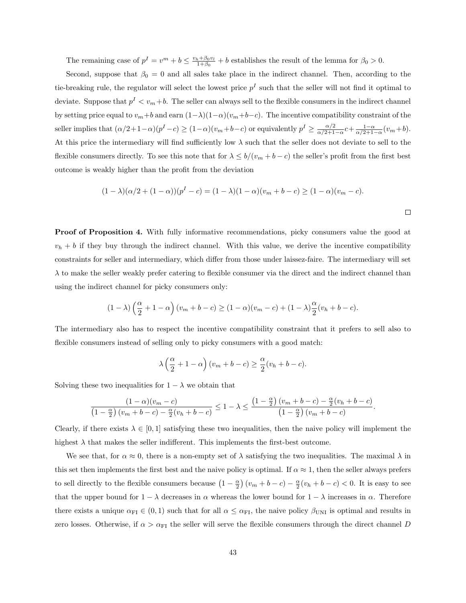The remaining case of  $p^I = v^m + b \leq \frac{v_h + \beta_0 v_l}{1 + \beta_0} + b$  establishes the result of the lemma for  $\beta_0 > 0$ .

Second, suppose that  $\beta_0 = 0$  and all sales take place in the indirect channel. Then, according to the tie-breaking rule, the regulator will select the lowest price  $p<sup>I</sup>$  such that the seller will not find it optimal to deviate. Suppose that  $p^I < v_m + b$ . The seller can always sell to the flexible consumers in the indirect channel by setting price equal to  $v_m+b$  and earn  $(1-\lambda)(1-\alpha)(v_m+b-c)$ . The incentive compatibility constraint of the seller implies that  $(\alpha/2+1-\alpha)(p^{I}-c) \geq (1-\alpha)(v_m+b-c)$  or equivalently  $p^{I} \geq \frac{\alpha/2}{\alpha/2+1}$  $\frac{\alpha/2}{\alpha/2+1-\alpha}c+\frac{1-\alpha}{\alpha/2+1-\alpha}(v_m+b).$ At this price the intermediary will find sufficiently low  $\lambda$  such that the seller does not deviate to sell to the flexible consumers directly. To see this note that for  $\lambda \leq b/(v_m + b - c)$  the seller's profit from the first best outcome is weakly higher than the profit from the deviation

$$
(1 - \lambda)(\alpha/2 + (1 - \alpha))(p^{I} - c) = (1 - \lambda)(1 - \alpha)(v_{m} + b - c) \ge (1 - \alpha)(v_{m} - c).
$$

**Proof of Proposition 4.** With fully informative recommendations, picky consumers value the good at  $v<sub>h</sub> + b$  if they buy through the indirect channel. With this value, we derive the incentive compatibility constraints for seller and intermediary, which differ from those under laissez-faire. The intermediary will set  $\lambda$  to make the seller weakly prefer catering to flexible consumer via the direct and the indirect channel than using the indirect channel for picky consumers only:

$$
(1 - \lambda) \left(\frac{\alpha}{2} + 1 - \alpha\right) (v_m + b - c) \ge (1 - \alpha)(v_m - c) + (1 - \lambda) \frac{\alpha}{2} (v_h + b - c).
$$

The intermediary also has to respect the incentive compatibility constraint that it prefers to sell also to flexible consumers instead of selling only to picky consumers with a good match:

$$
\lambda \left(\frac{\alpha}{2} + 1 - \alpha\right) (v_m + b - c) \ge \frac{\alpha}{2} (v_h + b - c).
$$

Solving these two inequalities for  $1 - \lambda$  we obtain that

$$
\frac{(1-\alpha)(v_m-c)}{\left(1-\frac{\alpha}{2}\right)(v_m+b-c)-\frac{\alpha}{2}(v_h+b-c)} \leq 1-\lambda \leq \frac{\left(1-\frac{\alpha}{2}\right)(v_m+b-c)-\frac{\alpha}{2}(v_h+b-c)}{\left(1-\frac{\alpha}{2}\right)(v_m+b-c)}.
$$

Clearly, if there exists  $\lambda \in [0,1]$  satisfying these two inequalities, then the naive policy will implement the highest  $\lambda$  that makes the seller indifferent. This implements the first-best outcome.

We see that, for  $\alpha \approx 0$ , there is a non-empty set of  $\lambda$  satisfying the two inequalities. The maximal  $\lambda$  in this set then implements the first best and the naive policy is optimal. If  $\alpha \approx 1$ , then the seller always prefers to sell directly to the flexible consumers because  $(1 - \frac{\alpha}{2})(v_m + b - c) - \frac{\alpha}{2}(v_h + b - c) < 0$ . It is easy to see that the upper bound for  $1 - \lambda$  decreases in  $\alpha$  whereas the lower bound for  $1 - \lambda$  increases in  $\alpha$ . Therefore there exists a unique  $\alpha_{FI} \in (0,1)$  such that for all  $\alpha \leq \alpha_{FI}$ , the naive policy  $\beta_{UNI}$  is optimal and results in zero losses. Otherwise, if  $\alpha > \alpha_{\text{FI}}$  the seller will serve the flexible consumers through the direct channel D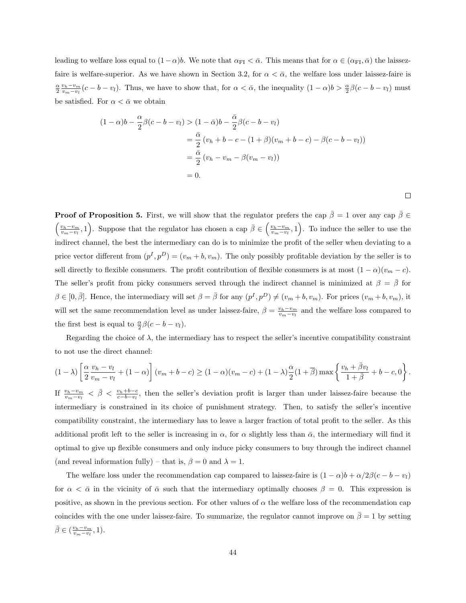leading to welfare loss equal to  $(1-\alpha)b$ . We note that  $\alpha_{\text{FI}} < \bar{\alpha}$ . This means that for  $\alpha \in (\alpha_{\text{FI}}, \bar{\alpha})$  the laissezfaire is welfare-superior. As we have shown in Section 3.2, for  $\alpha < \bar{\alpha}$ , the welfare loss under laissez-faire is  $\frac{\alpha}{2} \frac{v_h - v_m}{v_m - v_l} (c - b - v_l)$ . Thus, we have to show that, for  $\alpha < \bar{\alpha}$ , the inequality  $(1 - \alpha)b > \frac{\alpha}{2}\beta(c - b - v_l)$  must be satisfied. For  $\alpha < \bar{\alpha}$  we obtain

$$
(1 - \alpha)b - \frac{\alpha}{2}\beta(c - b - v_l) > (1 - \bar{\alpha})b - \frac{\bar{\alpha}}{2}\beta(c - b - v_l)
$$
  
=  $\frac{\bar{\alpha}}{2}(v_h + b - c - (1 + \beta)(v_m + b - c) - \beta(c - b - v_l))$   
=  $\frac{\bar{\alpha}}{2}(v_h - v_m - \beta(v_m - v_l))$   
= 0.

 $\Box$ 

**Proof of Proposition 5.** First, we will show that the regulator prefers the cap  $\bar{\beta} = 1$  over any cap  $\bar{\beta} \in$  $\left(\frac{v_h-v_m}{v_m-v_l},1\right)$ . Suppose that the regulator has chosen a cap  $\bar{\beta}\in\left(\frac{v_h-v_m}{v_m-v_l},1\right)$ . To induce the seller to use the indirect channel, the best the intermediary can do is to minimize the profit of the seller when deviating to a price vector different from  $(p^I, p^D) = (v_m + b, v_m)$ . The only possibly profitable deviation by the seller is to sell directly to flexible consumers. The profit contribution of flexible consumers is at most  $(1 - \alpha)(v_m - c)$ . The seller's profit from picky consumers served through the indirect channel is minimized at  $\beta = \beta$  for  $\beta \in [0, \bar{\beta}]$ . Hence, the intermediary will set  $\beta = \bar{\beta}$  for any  $(p^I, p^D) \neq (v_m + b, v_m)$ . For prices  $(v_m + b, v_m)$ , it will set the same recommendation level as under laissez-faire,  $\beta = \frac{v_h - v_m}{v_m - v_l}$  and the welfare loss compared to the first best is equal to  $\frac{\alpha}{2}\beta(c - b - v_l)$ .

Regarding the choice of  $\lambda$ , the intermediary has to respect the seller's incentive compatibility constraint to not use the direct channel:

$$
(1 - \lambda) \left[ \frac{\alpha}{2} \frac{v_h - v_l}{v_m - v_l} + (1 - \alpha) \right] (v_m + b - c) \ge (1 - \alpha)(v_m - c) + (1 - \lambda) \frac{\alpha}{2} (1 + \overline{\beta}) \max \left\{ \frac{v_h + \overline{\beta} v_l}{1 + \overline{\beta}} + b - c, 0 \right\}.
$$

If  $\frac{v_h-v_m}{v_m-v_l} < \bar{\beta} < \frac{v_h+b-c}{c-b-v_l}$ , then the seller's deviation profit is larger than under laissez-faire because the intermediary is constrained in its choice of punishment strategy. Then, to satisfy the seller's incentive compatibility constraint, the intermediary has to leave a larger fraction of total profit to the seller. As this additional profit left to the seller is increasing in  $\alpha$ , for  $\alpha$  slightly less than  $\bar{\alpha}$ , the intermediary will find it optimal to give up flexible consumers and only induce picky consumers to buy through the indirect channel (and reveal information fully) – that is,  $\beta = 0$  and  $\lambda = 1$ .

The welfare loss under the recommendation cap compared to laissez-faire is  $(1 - \alpha)b + \alpha/2\beta(c - b - v_l)$ for  $\alpha < \bar{\alpha}$  in the vicinity of  $\bar{\alpha}$  such that the intermediary optimally chooses  $\beta = 0$ . This expression is positive, as shown in the previous section. For other values of  $\alpha$  the welfare loss of the recommendation cap coincides with the one under laissez-faire. To summarize, the regulator cannot improve on  $\bar{\beta} = 1$  by setting  $\bar{\beta} \in (\frac{v_h - v_m}{v_m - v_l}, 1).$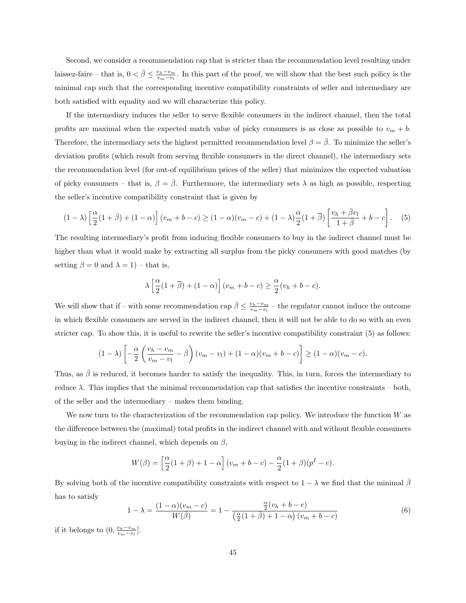Second, we consider a recommendation cap that is stricter than the recommendation level resulting under laissez-faire – that is,  $0 < \bar{\beta} \leq \frac{v_h - v_m}{v_m - v_l}$ . In this part of the proof, we will show that the best such policy is the minimal cap such that the corresponding incentive compatibility constraints of seller and intermediary are both satisfied with equality and we will characterize this policy.

If the intermediary induces the seller to serve flexible consumers in the indirect channel, then the total profits are maximal when the expected match value of picky consumers is as close as possible to  $v_m + b$ . Therefore, the intermediary sets the highest permitted recommendation level  $\beta = \bar{\beta}$ . To minimize the seller's deviation profits (which result from serving flexible consumers in the direct channel), the intermediary sets the recommendation level (for out-of equilibrium prices of the seller) that minimizes the expected valuation of picky consumers – that is,  $\beta = \bar{\beta}$ . Furthermore, the intermediary sets  $\lambda$  as high as possible, respecting the seller's incentive compatibility constraint that is given by

$$
(1 - \lambda) \left[ \frac{\alpha}{2} (1 + \bar{\beta}) + (1 - \alpha) \right] (v_m + b - c) \ge (1 - \alpha)(v_m - c) + (1 - \lambda) \frac{\alpha}{2} (1 + \bar{\beta}) \left[ \frac{v_h + \bar{\beta} v_l}{1 + \bar{\beta}} + b - c \right].
$$
 (5)

The resulting intermediary's profit from inducing flexible consumers to buy in the indirect channel must be higher than what it would make by extracting all surplus from the picky consumers with good matches (by setting  $\beta = 0$  and  $\lambda = 1$ ) – that is,

$$
\lambda \left[ \frac{\alpha}{2} (1 + \overline{\beta}) + (1 - \alpha) \right] (v_m + b - c) \ge \frac{\alpha}{2} (v_h + b - c).
$$

We will show that if – with some recommendation cap  $\bar{\beta} \leq \frac{v_h - v_m}{v_m - v_l}$  – the regulator cannot induce the outcome in which flexible consumers are served in the indirect channel, then it will not be able to do so with an even stricter cap. To show this, it is useful to rewrite the seller's incentive compatibility constraint (5) as follows:

$$
(1 - \lambda) \left[ -\frac{\alpha}{2} \left( \frac{v_h - v_m}{v_m - v_l} - \overline{\beta} \right) (v_m - v_l) + (1 - \alpha)(v_m + b - c) \right] \ge (1 - \alpha)(v_m - c).
$$

Thus, as  $\bar{\beta}$  is reduced, it becomes harder to satisfy the inequality. This, in turn, forces the intermediary to reduce  $\lambda$ . This implies that the minimal recommendation cap that satisfies the incentive constraints – both, of the seller and the intermediary – makes them binding.

We now turn to the characterization of the recommendation cap policy. We introduce the function  $W$  as the difference between the (maximal) total profits in the indirect channel with and without flexible consumers buying in the indirect channel, which depends on  $\beta$ ,

$$
W(\beta) = \left[\frac{\alpha}{2}(1+\beta) + 1 - \alpha\right](v_m + b - c) - \frac{\alpha}{2}(1+\beta)(p^{I} - c).
$$

By solving both of the incentive compatibility constraints with respect to  $1 - \lambda$  we find that the minimal  $\bar{\beta}$ has to satisfy

$$
1 - \lambda = \frac{(1 - \alpha)(v_m - c)}{W(\bar{\beta})} = 1 - \frac{\frac{\alpha}{2}(v_h + b - c)}{\left(\frac{\alpha}{2}(1 + \bar{\beta}) + 1 - \alpha\right)(v_m + b - c)}
$$
(6)

if it belongs to  $(0, \frac{v_h - v_m}{v_m - v_l}]$ .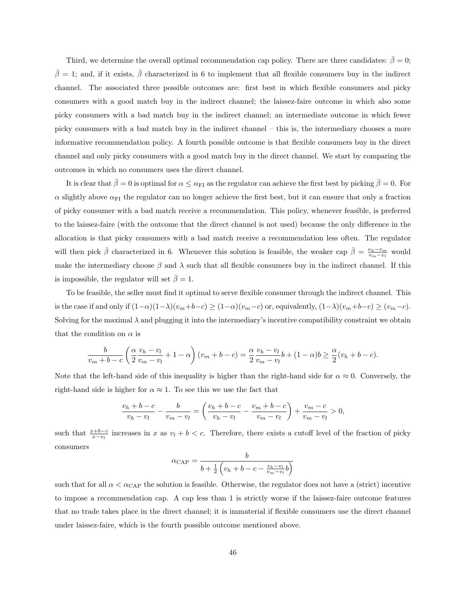Third, we determine the overall optimal recommendation cap policy. There are three candidates:  $\bar{\beta} = 0$ ;  $\bar{\beta} = 1$ ; and, if it exists,  $\bar{\beta}$  characterized in 6 to implement that all flexible consumers buy in the indirect channel. The associated three possible outcomes are: first best in which flexible consumers and picky consumers with a good match buy in the indirect channel; the laissez-faire outcome in which also some picky consumers with a bad match buy in the indirect channel; an intermediate outcome in which fewer picky consumers with a bad match buy in the indirect channel – this is, the intermediary chooses a more informative recommendation policy. A fourth possible outcome is that flexible consumers buy in the direct channel and only picky consumers with a good match buy in the direct channel. We start by comparing the outcomes in which no consumers uses the direct channel.

It is clear that  $\bar{\beta}=0$  is optimal for  $\alpha \leq \alpha_{\rm FI}$  as the regulator can achieve the first best by picking  $\bar{\beta}=0$ . For  $\alpha$  slightly above  $\alpha_{FI}$  the regulator can no longer achieve the first best, but it can ensure that only a fraction of picky consumer with a bad match receive a recommendation. This policy, whenever feasible, is preferred to the laissez-faire (with the outcome that the direct channel is not used) because the only difference in the allocation is that picky consumers with a bad match receive a recommendation less often. The regulator will then pick  $\bar{\beta}$  characterized in 6. Whenever this solution is feasible, the weaker cap  $\bar{\beta} = \frac{v_h - v_m}{v_m - v_l}$  would make the intermediary choose  $\beta$  and  $\lambda$  such that all flexible consumers buy in the indirect channel. If this is impossible, the regulator will set  $\bar{\beta} = 1$ .

To be feasible, the seller must find it optimal to serve flexible consumer through the indirect channel. This is the case if and only if  $(1-\alpha)(1-\lambda)(v_m+b-c) \ge (1-\alpha)(v_m-c)$  or, equivalently,  $(1-\lambda)(v_m+b-c) \ge (v_m-c)$ . Solving for the maximal  $\lambda$  and plugging it into the intermediary's incentive compatibility constraint we obtain that the condition on  $\alpha$  is

$$
\frac{b}{v_m+b-c}\left(\frac{\alpha}{2}\frac{v_h-v_l}{v_m-v_l}+1-\alpha\right)(v_m+b-c) = \frac{\alpha}{2}\frac{v_h-v_l}{v_m-v_l}b+(1-\alpha)b \ge \frac{\alpha}{2}(v_h+b-c).
$$

Note that the left-hand side of this inequality is higher than the right-hand side for  $\alpha \approx 0$ . Conversely, the right-hand side is higher for  $\alpha \approx 1$ . To see this we use the fact that

$$
\frac{v_h + b - c}{v_h - v_l} - \frac{b}{v_m - v_l} = \left(\frac{v_h + b - c}{v_h - v_l} - \frac{v_m + b - c}{v_m - v_l}\right) + \frac{v_m - c}{v_m - v_l} > 0,
$$

such that  $\frac{x+b-c}{x-v_l}$  increases in x as  $v_l + b < c$ . Therefore, there exists a cutoff level of the fraction of picky consumers

$$
\alpha_{\text{CAP}} = \frac{b}{b + \frac{1}{2} \left( v_h + b - c - \frac{v_h - v_l}{v_m - v_l} b \right)}
$$

such that for all  $\alpha < \alpha_{\text{CAP}}$  the solution is feasible. Otherwise, the regulator does not have a (strict) incentive to impose a recommendation cap. A cap less than 1 is strictly worse if the laissez-faire outcome features that no trade takes place in the direct channel; it is immaterial if flexible consumers use the direct channel under laissez-faire, which is the fourth possible outcome mentioned above.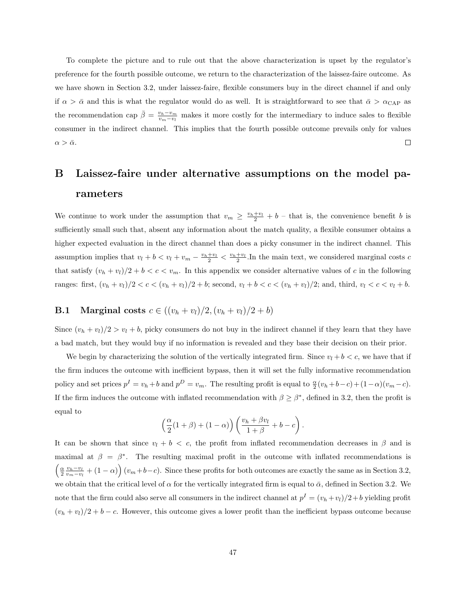To complete the picture and to rule out that the above characterization is upset by the regulator's preference for the fourth possible outcome, we return to the characterization of the laissez-faire outcome. As we have shown in Section 3.2, under laissez-faire, flexible consumers buy in the direct channel if and only if  $\alpha > \bar{\alpha}$  and this is what the regulator would do as well. It is straightforward to see that  $\bar{\alpha} > \alpha_{\text{CAP}}$  as the recommendation cap  $\bar{\beta} = \frac{v_h - v_m}{v_m - v_l}$  makes it more costly for the intermediary to induce sales to flexible consumer in the indirect channel. This implies that the fourth possible outcome prevails only for values  $\alpha > \bar{\alpha}.$  $\Box$ 

# B Laissez-faire under alternative assumptions on the model parameters

We continue to work under the assumption that  $v_m \ge \frac{v_h+v_l}{2} + b$  – that is, the convenience benefit b is sufficiently small such that, absent any information about the match quality, a flexible consumer obtains a higher expected evaluation in the direct channel than does a picky consumer in the indirect channel. This assumption implies that  $v_l + b < v_l + v_m - \frac{v_h + v_l}{2} < \frac{v_h + v_l}{2}$ . In the main text, we considered marginal costs c that satisfy  $(v_h + v_l)/2 + b < c < v_m$ . In this appendix we consider alternative values of c in the following ranges: first,  $(v_h + v_l)/2 < c < (v_h + v_l)/2 + b$ ; second,  $v_l + b < c < (v_h + v_l)/2$ ; and, third,  $v_l < c < v_l + b$ .

## **B.1** Marginal costs  $c \in ((v_h + v_l)/2, (v_h + v_l)/2 + b)$

Since  $(v_h + v_l)/2 > v_l + b$ , picky consumers do not buy in the indirect channel if they learn that they have a bad match, but they would buy if no information is revealed and they base their decision on their prior.

We begin by characterizing the solution of the vertically integrated firm. Since  $v_l + b < c$ , we have that if the firm induces the outcome with inefficient bypass, then it will set the fully informative recommendation policy and set prices  $p^I = v_h + b$  and  $p^D = v_m$ . The resulting profit is equal to  $\frac{\alpha}{2}(v_h + b - c) + (1 - \alpha)(v_m - c)$ . If the firm induces the outcome with inflated recommendation with  $\beta \geq \beta^*$ , defined in 3.2, then the profit is equal to

$$
\left(\frac{\alpha}{2}(1+\beta)+(1-\alpha)\right)\left(\frac{v_h+\beta v_l}{1+\beta}+b-c\right).
$$

It can be shown that since  $v_l + b < c$ , the profit from inflated recommendation decreases in  $\beta$  and is maximal at  $\beta = \beta^*$ . The resulting maximal profit in the outcome with inflated recommendations is  $\left(\frac{\alpha}{2} \frac{v_h - v_l}{v_m - v_l} + (1 - \alpha)\right)(v_m + b - c)$ . Since these profits for both outcomes are exactly the same as in Section 3.2, we obtain that the critical level of  $\alpha$  for the vertically integrated firm is equal to  $\bar{\alpha}$ , defined in Section 3.2. We note that the firm could also serve all consumers in the indirect channel at  $p^I = (v_h + v_l)/2 + b$  yielding profit  $(v_h + v_l)/2 + b - c$ . However, this outcome gives a lower profit than the inefficient bypass outcome because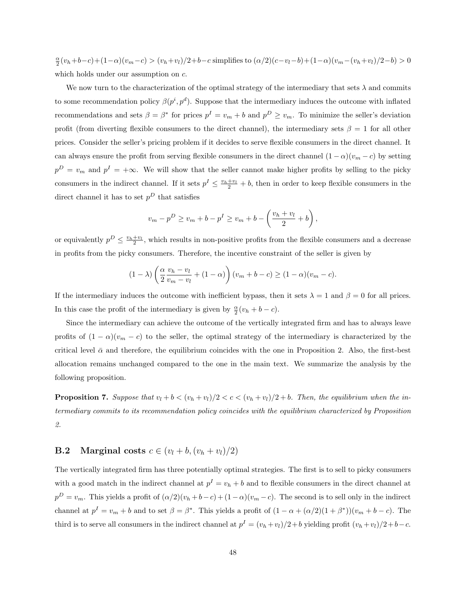$\frac{\alpha}{2}(v_h+b-c)+(1-\alpha)(v_m-c) > (v_h+v_l)/2+b-c$  simplifies to  $(\alpha/2)(c-v_l-b)+(1-\alpha)(v_m-(v_h+v_l)/2-b) > 0$ which holds under our assumption on  $c$ .

We now turn to the characterization of the optimal strategy of the intermediary that sets  $\lambda$  and commits to some recommendation policy  $\beta(p^i, p^d)$ . Suppose that the intermediary induces the outcome with inflated recommendations and sets  $\beta = \beta^*$  for prices  $p^I = v_m + b$  and  $p^D \ge v_m$ . To minimize the seller's deviation profit (from diverting flexible consumers to the direct channel), the intermediary sets  $\beta = 1$  for all other prices. Consider the seller's pricing problem if it decides to serve flexible consumers in the direct channel. It can always ensure the profit from serving flexible consumers in the direct channel  $(1 - \alpha)(v_m - c)$  by setting  $p^D = v_m$  and  $p^I = +\infty$ . We will show that the seller cannot make higher profits by selling to the picky consumers in the indirect channel. If it sets  $p^I \leq \frac{v_h+v_l}{2} + b$ , then in order to keep flexible consumers in the direct channel it has to set  $p<sup>D</sup>$  that satisfies

$$
v_m - p^D \ge v_m + b - p^I \ge v_m + b - \left(\frac{v_h + v_l}{2} + b\right),
$$

or equivalently  $p^D \leq \frac{v_h + v_l}{2}$ , which results in non-positive profits from the flexible consumers and a decrease in profits from the picky consumers. Therefore, the incentive constraint of the seller is given by

$$
(1 - \lambda) \left( \frac{\alpha}{2} \frac{v_h - v_l}{v_m - v_l} + (1 - \alpha) \right) (v_m + b - c) \ge (1 - \alpha)(v_m - c).
$$

If the intermediary induces the outcome with inefficient bypass, then it sets  $\lambda = 1$  and  $\beta = 0$  for all prices. In this case the profit of the intermediary is given by  $\frac{\alpha}{2}(v_h + b - c)$ .

Since the intermediary can achieve the outcome of the vertically integrated firm and has to always leave profits of  $(1 - \alpha)(v_m - c)$  to the seller, the optimal strategy of the intermediary is characterized by the critical level  $\bar{\alpha}$  and therefore, the equilibrium coincides with the one in Proposition 2. Also, the first-best allocation remains unchanged compared to the one in the main text. We summarize the analysis by the following proposition.

**Proposition 7.** Suppose that  $v_l + b < (v_h + v_l)/2 < c < (v_h + v_l)/2 + b$ . Then, the equilibrium when the intermediary commits to its recommendation policy coincides with the equilibrium characterized by Proposition 2.

#### **B.2** Marginal costs  $c \in (v_l + b, (v_h + v_l)/2)$

The vertically integrated firm has three potentially optimal strategies. The first is to sell to picky consumers with a good match in the indirect channel at  $p^I = v_h + b$  and to flexible consumers in the direct channel at  $p^D = v_m$ . This yields a profit of  $(\alpha/2)(v_h + b - c) + (1 - \alpha)(v_m - c)$ . The second is to sell only in the indirect channel at  $p^I = v_m + b$  and to set  $\beta = \beta^*$ . This yields a profit of  $(1 - \alpha + (\alpha/2)(1 + \beta^*)) (v_m + b - c)$ . The third is to serve all consumers in the indirect channel at  $p^I = (v_h + v_l)/2 + b$  yielding profit  $(v_h + v_l)/2 + b - c$ .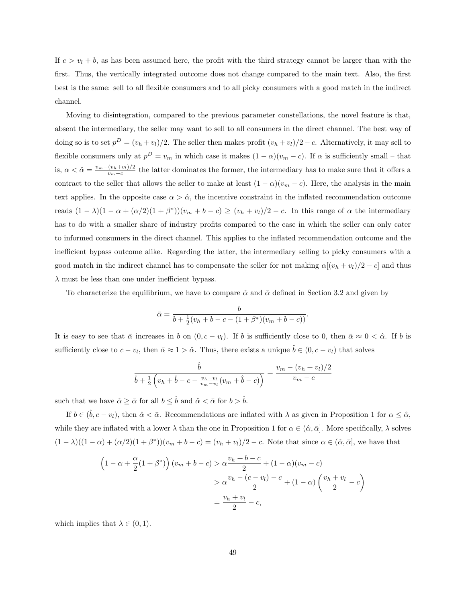If  $c > v_l + b$ , as has been assumed here, the profit with the third strategy cannot be larger than with the first. Thus, the vertically integrated outcome does not change compared to the main text. Also, the first best is the same: sell to all flexible consumers and to all picky consumers with a good match in the indirect channel.

Moving to disintegration, compared to the previous parameter constellations, the novel feature is that, absent the intermediary, the seller may want to sell to all consumers in the direct channel. The best way of doing so is to set  $p^D = (v_h + v_l)/2$ . The seller then makes profit  $(v_h + v_l)/2 - c$ . Alternatively, it may sell to flexible consumers only at  $p^D = v_m$  in which case it makes  $(1 - \alpha)(v_m - c)$ . If  $\alpha$  is sufficiently small – that is,  $\alpha < \hat{\alpha} = \frac{v_m - (v_h + v_l)/2}{v_l - c}$  $\frac{(v_h+v_l)/2}{v_m-c}$  the latter dominates the former, the intermediary has to make sure that it offers a contract to the seller that allows the seller to make at least  $(1 - \alpha)(v_m - c)$ . Here, the analysis in the main text applies. In the opposite case  $\alpha > \hat{\alpha}$ , the incentive constraint in the inflated recommendation outcome reads  $(1 - \lambda)(1 - \alpha + (\alpha/2)(1 + \beta^*)) (v_m + b - c) \ge (v_h + v_l)/2 - c$ . In this range of  $\alpha$  the intermediary has to do with a smaller share of industry profits compared to the case in which the seller can only cater to informed consumers in the direct channel. This applies to the inflated recommendation outcome and the inefficient bypass outcome alike. Regarding the latter, the intermediary selling to picky consumers with a good match in the indirect channel has to compensate the seller for not making  $\alpha[(v_h + v_l)/2 - c]$  and thus  $\lambda$  must be less than one under inefficient bypass.

To characterize the equilibrium, we have to compare  $\hat{\alpha}$  and  $\bar{\alpha}$  defined in Section 3.2 and given by

$$
\bar{\alpha} = \frac{b}{b + \frac{1}{2}(v_h + b - c - (1 + \beta^*)(v_m + b - c))}.
$$

It is easy to see that  $\bar{\alpha}$  increases in b on  $(0, c - v_l)$ . If b is sufficiently close to 0, then  $\bar{\alpha} \approx 0 < \hat{\alpha}$ . If b is sufficiently close to  $c - v_l$ , then  $\bar{\alpha} \approx 1 > \hat{\alpha}$ . Thus, there exists a unique  $\hat{b} \in (0, c - v_l)$  that solves

$$
\frac{\hat{b}}{\hat{b} + \frac{1}{2} \left( v_h + \hat{b} - c - \frac{v_h - v_l}{v_m - v_l} (v_m + \hat{b} - c) \right)} = \frac{v_m - (v_h + v_l)/2}{v_m - c}
$$

such that we have  $\hat{\alpha} \geq \bar{\alpha}$  for all  $b \leq \hat{b}$  and  $\hat{\alpha} < \bar{\alpha}$  for  $b > \hat{b}$ .

If  $b \in (\hat{b}, c - v_l)$ , then  $\hat{\alpha} < \bar{\alpha}$ . Recommendations are inflated with  $\lambda$  as given in Proposition 1 for  $\alpha \leq \hat{\alpha}$ , while they are inflated with a lower  $\lambda$  than the one in Proposition 1 for  $\alpha \in (\hat{\alpha}, \bar{\alpha}]$ . More specifically,  $\lambda$  solves  $(1 - \lambda)((1 - \alpha) + (\alpha/2)(1 + \beta^*)) (v_m + b - c) = (v_h + v_l)/2 - c$ . Note that since  $\alpha \in (\hat{\alpha}, \bar{\alpha}]$ , we have that

$$
\left(1 - \alpha + \frac{\alpha}{2}(1 + \beta^*)\right)(v_m + b - c) > \alpha \frac{v_h + b - c}{2} + (1 - \alpha)(v_m - c) > \alpha \frac{v_h - (c - v_l) - c}{2} + (1 - \alpha)\left(\frac{v_h + v_l}{2} - c\right) = \frac{v_h + v_l}{2} - c,
$$

which implies that  $\lambda \in (0,1)$ .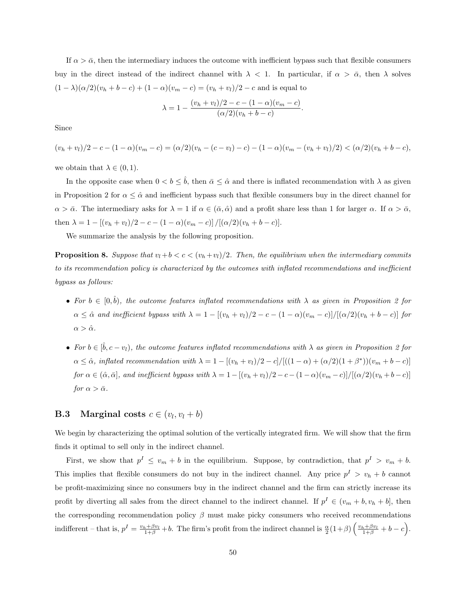If  $\alpha > \bar{\alpha}$ , then the intermediary induces the outcome with inefficient bypass such that flexible consumers buy in the direct instead of the indirect channel with  $\lambda < 1$ . In particular, if  $\alpha > \bar{\alpha}$ , then  $\lambda$  solves  $(1 - \lambda)(\alpha/2)(v_h + b - c) + (1 - \alpha)(v_m - c) = (v_h + v_l)/2 - c$  and is equal to

$$
\lambda = 1 - \frac{(v_h + v_l)/2 - c - (1 - \alpha)(v_m - c)}{(\alpha/2)(v_h + b - c)}.
$$

Since

 $(v_h + v_l)/2 - c - (1 - \alpha)(v_m - c) = (\alpha/2)(v_h - (c - v_l) - c) - (1 - \alpha)(v_m - (v_h + v_l)/2) < (\alpha/2)(v_h + b - c),$ 

we obtain that  $\lambda \in (0,1)$ .

In the opposite case when  $0 < b \leq \hat{b}$ , then  $\bar{\alpha} \leq \hat{\alpha}$  and there is inflated recommendation with  $\lambda$  as given in Proposition 2 for  $\alpha \leq \hat{\alpha}$  and inefficient bypass such that flexible consumers buy in the direct channel for  $\alpha > \bar{\alpha}$ . The intermediary asks for  $\lambda = 1$  if  $\alpha \in (\bar{\alpha}, \hat{\alpha})$  and a profit share less than 1 for larger  $\alpha$ . If  $\alpha > \bar{\alpha}$ , then  $\lambda = 1 - [(v_h + v_l)/2 - c - (1 - \alpha)(v_m - c)] / [(\alpha/2)(v_h + b - c)].$ 

We summarize the analysis by the following proposition.

**Proposition 8.** Suppose that  $v_l+b < c < (v_h+v_l)/2$ . Then, the equilibrium when the intermediary commits to its recommendation policy is characterized by the outcomes with inflated recommendations and inefficient bypass as follows:

- For  $b \in [0, \hat{b})$ , the outcome features inflated recommendations with  $\lambda$  as given in Proposition 2 for  $\alpha \leq \hat{\alpha}$  and inefficient bypass with  $\lambda = 1 - \frac{(v_h + v_l)}{2} - c - \frac{(1 - \alpha)(v_m - c)}{(\alpha/2)(v_h + b - c)}$  for  $\alpha > \hat{\alpha}$ .
- For  $b \in [\hat{b}, c v_l)$ , the outcome features inflated recommendations with  $\lambda$  as given in Proposition 2 for  $\alpha \leq \hat{\alpha}$ , inflated recommendation with  $\lambda = 1 - [(v_h + v_l)/2 - c] / [((1 - \alpha) + (\alpha/2)(1 + \beta^*)) (v_m + b - c)]$ for  $\alpha \in (\hat{\alpha}, \bar{\alpha}]$ , and inefficient bypass with  $\lambda = 1 - [(v_h + v_l)/2 - c - (1 - \alpha)(v_m - c)]/[(\alpha/2)(v_h + b - c)]$ for  $\alpha > \bar{\alpha}$ .

### **B.3** Marginal costs  $c \in (v_l, v_l + b)$

We begin by characterizing the optimal solution of the vertically integrated firm. We will show that the firm finds it optimal to sell only in the indirect channel.

First, we show that  $p^I \leq v_m + b$  in the equilibrium. Suppose, by contradiction, that  $p^I > v_m + b$ . This implies that flexible consumers do not buy in the indirect channel. Any price  $p^I > v_h + b$  cannot be profit-maximizing since no consumers buy in the indirect channel and the firm can strictly increase its profit by diverting all sales from the direct channel to the indirect channel. If  $p^I \in (v_m + b, v_h + b]$ , then the corresponding recommendation policy  $\beta$  must make picky consumers who received recommendations indifferent – that is,  $p^I = \frac{v_h + \beta v_l}{1+\beta} + b$ . The firm's profit from the indirect channel is  $\frac{\alpha}{2}(1+\beta)\left(\frac{v_h + \beta v_l}{1+\beta} + b - c\right)$ .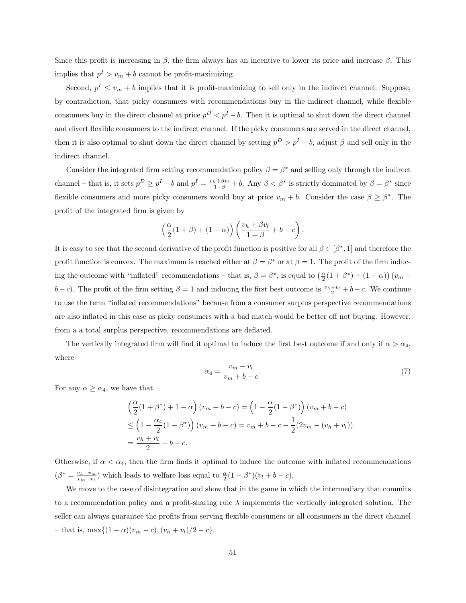Since this profit is increasing in  $\beta$ , the firm always has an incentive to lower its price and increase  $\beta$ . This implies that  $p^I > v_m + b$  cannot be profit-maximizing.

Second,  $p^I \leq v_m + b$  implies that it is profit-maximizing to sell only in the indirect channel. Suppose, by contradiction, that picky consumers with recommendations buy in the indirect channel, while flexible consumers buy in the direct channel at price  $p^D < p^I - b$ . Then it is optimal to shut down the direct channel and divert flexible consumers to the indirect channel. If the picky consumers are served in the direct channel, then it is also optimal to shut down the direct channel by setting  $p^D > p^I - b$ , adjust  $\beta$  and sell only in the indirect channel.

Consider the integrated firm setting recommendation policy  $\beta = \beta^*$  and selling only through the indirect channel – that is, it sets  $p^D \ge p^I - b$  and  $p^I = \frac{v_h + \beta v_l}{1 + \beta} + b$ . Any  $\beta < \beta^*$  is strictly dominated by  $\beta = \beta^*$  since flexible consumers and more picky consumers would buy at price  $v_m + b$ . Consider the case  $\beta \geq \beta^*$ . The profit of the integrated firm is given by

$$
\left(\frac{\alpha}{2}(1+\beta)+(1-\alpha)\right)\left(\frac{v_h+\beta v_l}{1+\beta}+b-c\right).
$$

It is easy to see that the second derivative of the profit function is positive for all  $\beta \in [\beta^*, 1]$  and therefore the profit function is convex. The maximum is reached either at  $\beta = \beta^*$  or at  $\beta = 1$ . The profit of the firm inducing the outcome with "inflated" recommendations – that is,  $\beta = \beta^*$ , is equal to  $\left(\frac{\alpha}{2}(1+\beta^*) + (1-\alpha)\right)(v_m +$  $(b-c)$ . The profit of the firm setting  $\beta = 1$  and inducing the first best outcome is  $\frac{v_h+v_l}{2} + b - c$ . We continue to use the term "inflated recommendations" because from a consumer surplus perspective recommendations are also inflated in this case as picky consumers with a bad match would be better off not buying. However, from a a total surplus perspective, recommendations are deflated.

The vertically integrated firm will find it optimal to induce the first best outcome if and only if  $\alpha > \alpha_4$ , where

$$
\alpha_4 = \frac{v_m - v_l}{v_m + b - c}.\tag{7}
$$

For any  $\alpha \geq \alpha_4$ , we have that

$$
\left(\frac{\alpha}{2}(1+\beta^*)+1-\alpha\right)(v_m+b-c) = \left(1-\frac{\alpha}{2}(1-\beta^*)\right)(v_m+b-c) \n\leq \left(1-\frac{\alpha_4}{2}(1-\beta^*)\right)(v_m+b-c) = v_m+b-c-\frac{1}{2}(2v_m-(v_h+v_l)) \n= \frac{v_h+v_l}{2}+b-c.
$$

Otherwise, if  $\alpha < \alpha_4$ , then the firm finds it optimal to induce the outcome with inflated recommendations  $(\beta^* = \frac{v_h - v_m}{v_m - v_l})$  which leads to welfare loss equal to  $\frac{\alpha}{2}(1 - \beta^*)(v_l + b - c)$ .

We move to the case of disintegration and show that in the game in which the intermediary that commits to a recommendation policy and a profit-sharing rule  $\lambda$  implements the vertically integrated solution. The seller can always guarantee the profits from serving flexible consumers or all consumers in the direct channel – that is, max{ $(1 − α)(v_m − c)$ ,  $(v_h + v_l)/2 - c$ }.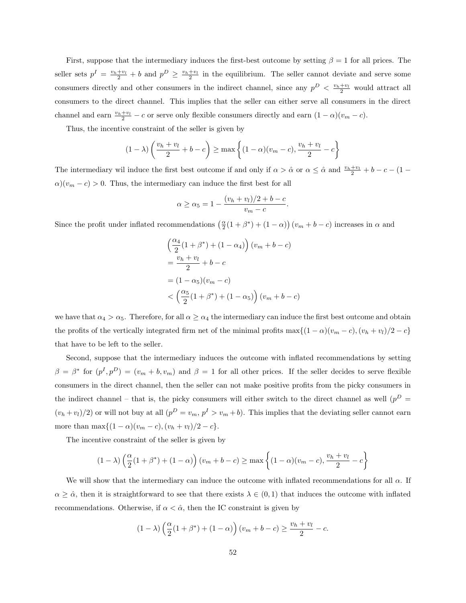First, suppose that the intermediary induces the first-best outcome by setting  $\beta = 1$  for all prices. The seller sets  $p^I = \frac{v_h + v_l}{2} + b$  and  $p^D \ge \frac{v_h + v_l}{2}$  in the equilibrium. The seller cannot deviate and serve some consumers directly and other consumers in the indirect channel, since any  $p^D < \frac{v_h + v_l}{2}$  would attract all consumers to the direct channel. This implies that the seller can either serve all consumers in the direct channel and earn  $\frac{v_h+v_l}{2} - c$  or serve only flexible consumers directly and earn  $(1 - \alpha)(v_m - c)$ .

Thus, the incentive constraint of the seller is given by

$$
(1 - \lambda) \left( \frac{v_h + v_l}{2} + b - c \right) \ge \max \left\{ (1 - \alpha)(v_m - c), \frac{v_h + v_l}{2} - c \right\}
$$

The intermediary wil induce the first best outcome if and only if  $\alpha > \hat{\alpha}$  or  $\alpha \leq \hat{\alpha}$  and  $\frac{v_h+v_l}{2} + b - c - (1 \alpha$ )( $v_m - c$ ) > 0. Thus, the intermediary can induce the first best for all

$$
\alpha \ge \alpha_5 = 1 - \frac{(v_h + v_l)/2 + b - c}{v_m - c}.
$$

Since the profit under inflated recommendations  $(\frac{\alpha}{2}(1+\beta^*)+(1-\alpha))(v_m+b-c)$  increases in  $\alpha$  and

$$
\left(\frac{\alpha_4}{2}(1+\beta^*) + (1-\alpha_4)\right)(v_m + b - c)
$$

$$
= \frac{v_h + v_l}{2} + b - c
$$

$$
= (1 - \alpha_5)(v_m - c)
$$

$$
< \left(\frac{\alpha_5}{2}(1+\beta^*) + (1-\alpha_5)\right)(v_m + b - c)
$$

we have that  $\alpha_4 > \alpha_5$ . Therefore, for all  $\alpha \ge \alpha_4$  the intermediary can induce the first best outcome and obtain the profits of the vertically integrated firm net of the minimal profits max $\{(1-\alpha)(v_m - c), (v_h + v_l)/2 - c\}$ that have to be left to the seller.

Second, suppose that the intermediary induces the outcome with inflated recommendations by setting  $\beta = \beta^*$  for  $(p^I, p^D) = (v_m + b, v_m)$  and  $\beta = 1$  for all other prices. If the seller decides to serve flexible consumers in the direct channel, then the seller can not make positive profits from the picky consumers in the indirect channel – that is, the picky consumers will either switch to the direct channel as well ( $p<sup>D</sup>$  =  $(v_h + v_l)/2$  or will not buy at all  $(p^D = v_m, p^I > v_m + b)$ . This implies that the deviating seller cannot earn more than  $\max\{(1-\alpha)(v_m - c), (v_h + v_l)/2 - c\}.$ 

The incentive constraint of the seller is given by

$$
(1 - \lambda) \left(\frac{\alpha}{2}(1 + \beta^*) + (1 - \alpha)\right)(v_m + b - c) \ge \max\left\{(1 - \alpha)(v_m - c), \frac{v_h + v_l}{2} - c\right\}
$$

We will show that the intermediary can induce the outcome with inflated recommendations for all  $\alpha$ . If  $\alpha \geq \hat{\alpha}$ , then it is straightforward to see that there exists  $\lambda \in (0,1)$  that induces the outcome with inflated recommendations. Otherwise, if  $\alpha < \hat{\alpha}$ , then the IC constraint is given by

$$
(1 - \lambda) \left(\frac{\alpha}{2}(1 + \beta^*) + (1 - \alpha)\right)(v_m + b - c) \ge \frac{v_h + v_l}{2} - c.
$$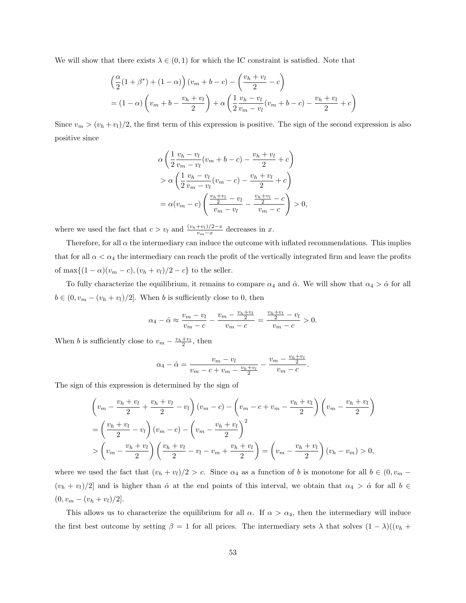We will show that there exists  $\lambda \in (0,1)$  for which the IC constraint is satisfied. Note that

$$
\left(\frac{\alpha}{2}(1+\beta^*)+(1-\alpha)\right)(v_m+b-c) - \left(\frac{v_h+v_l}{2}-c\right)
$$
  
=  $(1-\alpha)\left(v_m+b-\frac{v_h+v_l}{2}\right)+\alpha\left(\frac{1}{2}\frac{v_h-v_l}{v_m-v_l}(v_m+b-c)-\frac{v_h+v_l}{2}+c\right)$ 

Since  $v_m > (v_h + v_l)/2$ , the first term of this expression is positive. The sign of the second expression is also positive since

$$
\alpha \left( \frac{1}{2} \frac{v_h - v_l}{v_m - v_l} (v_m + b - c) - \frac{v_h + v_l}{2} + c \right) \n> \alpha \left( \frac{1}{2} \frac{v_h - v_l}{v_m - v_l} (v_m - c) - \frac{v_h + v_l}{2} + c \right) \n= \alpha (v_m - c) \left( \frac{\frac{v_h + v_l}{2} - v_l}{v_m - v_l} - \frac{\frac{v_h + v_l}{2} - c}{v_m - c} \right) > 0,
$$

where we used the fact that  $c > v_l$  and  $\frac{(v_h + v_l)/2 - x}{v_m - x}$  decreases in x.

Therefore, for all  $\alpha$  the intermediary can induce the outcome with inflated recommendations. This implies that for all  $\alpha < \alpha_4$  the intermediary can reach the profit of the vertically integrated firm and leave the profits of  $\max\{(1-\alpha)(v_m - c), (v_h + v_l)/2 - c\}$  to the seller.

To fully characterize the equilibrium, it remains to compare  $\alpha_4$  and  $\hat{\alpha}$ . We will show that  $\alpha_4 > \hat{\alpha}$  for all  $b \in (0, v_m - (v_h + v_l)/2]$ . When b is sufficiently close to 0, then

$$
\alpha_4 - \hat{\alpha} \approx \frac{v_m - v_l}{v_m - c} - \frac{v_m - \frac{v_h + v_l}{2}}{v_m - c} = \frac{\frac{v_h + v_l}{2} - v_l}{v_m - c} > 0.
$$

When *b* is sufficiently close to  $v_m - \frac{v_h + v_l}{2}$ , then

$$
\alpha_4 - \hat{\alpha} = \frac{v_m - v_l}{v_m - c + v_m - \frac{v_h + v_l}{2}} - \frac{v_m - \frac{v_h + v_l}{2}}{v_m - c}
$$

.

The sign of this expression is determined by the sign of

$$
\left(v_m - \frac{v_h + v_l}{2} + \frac{v_h + v_l}{2} - v_l\right)(v_m - c) - \left(v_m - c + v_m - \frac{v_h + v_l}{2}\right)\left(v_m - \frac{v_h + v_l}{2}\right)
$$
\n
$$
= \left(\frac{v_h + v_l}{2} - v_l\right)(v_m - c) - \left(v_m - \frac{v_h + v_l}{2}\right)^2
$$
\n
$$
> \left(v_m - \frac{v_h + v_l}{2}\right)\left(\frac{v_h + v_l}{2} - v_l - v_m + \frac{v_h + v_l}{2}\right) = \left(v_m - \frac{v_h + v_l}{2}\right)(v_h - v_m) > 0,
$$

where we used the fact that  $(v_h + v_l)/2 > c$ . Since  $\alpha_4$  as a function of b is monotone for all  $b \in (0, v_m (v_h + v_l)/2$  and is higher than  $\hat{\alpha}$  at the end points of this interval, we obtain that  $\alpha_4 > \hat{\alpha}$  for all  $b \in$  $(0, v_m - (v_h + v_l)/2].$ 

This allows us to characterize the equilibrium for all  $\alpha$ . If  $\alpha > \alpha_4$ , then the intermediary will induce the first best outcome by setting  $\beta = 1$  for all prices. The intermediary sets  $\lambda$  that solves  $(1 - \lambda)((v_h +$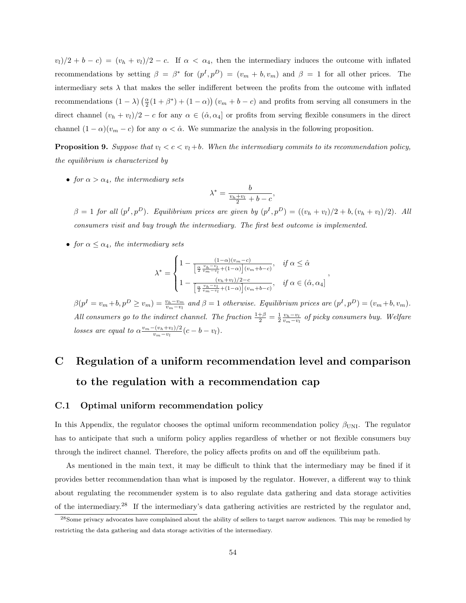$(v_l)/2 + b - c = (v_h + v_l)/2 - c$ . If  $\alpha < \alpha_4$ , then the intermediary induces the outcome with inflated recommendations by setting  $\beta = \beta^*$  for  $(p^I, p^D) = (v_m + b, v_m)$  and  $\beta = 1$  for all other prices. The intermediary sets  $\lambda$  that makes the seller indifferent between the profits from the outcome with inflated recommendations  $(1 - \lambda) (\frac{\alpha}{2}(1 + \beta^*) + (1 - \alpha)) (v_m + b - c)$  and profits from serving all consumers in the direct channel  $(v_h + v_l)/2 - c$  for any  $\alpha \in (\hat{\alpha}, \alpha_4]$  or profits from serving flexible consumers in the direct channel  $(1 - \alpha)(v_m - c)$  for any  $\alpha < \hat{\alpha}$ . We summarize the analysis in the following proposition.

**Proposition 9.** Suppose that  $v_l < c < v_l + b$ . When the intermediary commits to its recommendation policy, the equilibrium is characterized by

• for  $\alpha > \alpha_4$ , the intermediary sets

$$
\lambda^* = \frac{b}{\frac{v_h + v_l}{2} + b - c},
$$

 $\beta = 1$  for all  $(p^I, p^D)$ . Equilibrium prices are given by  $(p^I, p^D) = ((v_h + v_l)/2 + b, (v_h + v_l)/2)$ . All consumers visit and buy trough the intermediary. The first best outcome is implemented.

• for  $\alpha \leq \alpha_4$ , the intermediary sets

$$
\lambda^* = \begin{cases} 1 - \frac{(1-\alpha)(v_m - c)}{\left[\frac{\alpha}{2} \frac{v_h - v_l}{v_m - v_l} + (1-\alpha)\right](v_m + b - c)}, & \text{if } \alpha \leq \hat{\alpha} \\ 1 - \frac{(v_h + v_l)/2 - c}{\left[\frac{\alpha}{2} \frac{v_h - v_l}{v_m - v_l} + (1-\alpha)\right](v_m + b - c)}, & \text{if } \alpha \in (\hat{\alpha}, \alpha_4] \end{cases}
$$

,

 $\beta(p^I = v_m + b, p^D \ge v_m) = \frac{v_h - v_m}{v_m - v_l}$  and  $\beta = 1$  otherwise. Equilibrium prices are  $(p^I, p^D) = (v_m + b, v_m)$ . All consumers go to the indirect channel. The fraction  $\frac{1+\beta}{2} = \frac{1}{2} \frac{v_h - v_l}{v_m - v_l}$  of picky consumers buy. Welfare losses are equal to  $\alpha \frac{v_m - (v_h + v_l)/2}{v_l - v_l}$  $\frac{v_{k}+v_{l})/2}{v_{m}-v_{l}}(c-b-v_{l}).$ 

# C Regulation of a uniform recommendation level and comparison to the regulation with a recommendation cap

#### C.1 Optimal uniform recommendation policy

In this Appendix, the regulator chooses the optimal uniform recommendation policy  $\beta_{\text{UNI}}$ . The regulator has to anticipate that such a uniform policy applies regardless of whether or not flexible consumers buy through the indirect channel. Therefore, the policy affects profits on and off the equilibrium path.

As mentioned in the main text, it may be difficult to think that the intermediary may be fined if it provides better recommendation than what is imposed by the regulator. However, a different way to think about regulating the recommender system is to also regulate data gathering and data storage activities of the intermediary.<sup>28</sup> If the intermediary's data gathering activities are restricted by the regulator and,

<sup>&</sup>lt;sup>28</sup>Some privacy advocates have complained about the ability of sellers to target narrow audiences. This may be remedied by restricting the data gathering and data storage activities of the intermediary.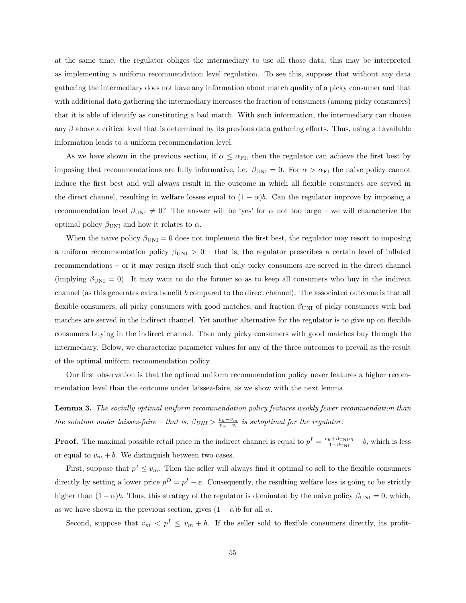at the same time, the regulator obliges the intermediary to use all those data, this may be interpreted as implementing a uniform recommendation level regulation. To see this, suppose that without any data gathering the intermediary does not have any information about match quality of a picky consumer and that with additional data gathering the intermediary increases the fraction of consumers (among picky consumers) that it is able of identify as constituting a bad match. With such information, the intermediary can choose any  $\beta$  above a critical level that is determined by its previous data gathering efforts. Thus, using all available information leads to a uniform recommendation level.

As we have shown in the previous section, if  $\alpha \leq \alpha_{\text{FI}}$ , then the regulator can achieve the first best by imposing that recommendations are fully informative, i.e.  $\beta_{\text{UNI}} = 0$ . For  $\alpha > \alpha_{\text{FI}}$  the naive policy cannot induce the first best and will always result in the outcome in which all flexible consumers are served in the direct channel, resulting in welfare losses equal to  $(1 - \alpha)b$ . Can the regulator improve by imposing a recommendation level  $\beta_{\text{UNI}} \neq 0$ ? The answer will be 'yes' for  $\alpha$  not too large – we will characterize the optimal policy  $\beta_{\text{UNI}}$  and how it relates to  $\alpha$ .

When the naive policy  $\beta_{\text{UNI}} = 0$  does not implement the first best, the regulator may resort to imposing a uniform recommendation policy  $\beta_{\text{UNI}} > 0$  – that is, the regulator prescribes a certain level of inflated recommendations – or it may resign itself such that only picky consumers are served in the direct channel (implying  $\beta_{\text{UNI}} = 0$ ). It may want to do the former so as to keep all consumers who buy in the indirect channel (as this generates extra benefit b compared to the direct channel). The associated outcome is that all flexible consumers, all picky consumers with good matches, and fraction  $\beta_{\text{UNI}}$  of picky consumers with bad matches are served in the indirect channel. Yet another alternative for the regulator is to give up on flexible consumers buying in the indirect channel. Then only picky consumers with good matches buy through the intermediary. Below, we characterize parameter values for any of the three outcomes to prevail as the result of the optimal uniform recommendation policy.

Our first observation is that the optimal uniform recommendation policy never features a higher recommendation level than the outcome under laissez-faire, as we show with the next lemma.

Lemma 3. The socially optimal uniform recommendation policy features weakly fewer recommendation than the solution under laissez-faire – that is,  $\beta_{UNI} > \frac{v_h - v_m}{v_m - v_l}$  is suboptimal for the regulator.

**Proof.** The maximal possible retail price in the indirect channel is equal to  $p^I = \frac{v_h + \beta_{\text{UNI}}v_I}{1 + \beta_{\text{UNI}}} + b$ , which is less or equal to  $v_m + b$ . We distinguish between two cases.

First, suppose that  $p^I \leq v_m$ . Then the seller will always find it optimal to sell to the flexible consumers directly by setting a lower price  $p^D = p^I - \varepsilon$ . Consequently, the resulting welfare loss is going to be strictly higher than  $(1 - \alpha)b$ . Thus, this strategy of the regulator is dominated by the naive policy  $\beta_{\text{UNI}} = 0$ , which, as we have shown in the previous section, gives  $(1 - \alpha)b$  for all  $\alpha$ .

Second, suppose that  $v_m < p^I \le v_m + b$ . If the seller sold to flexible consumers directly, its profit-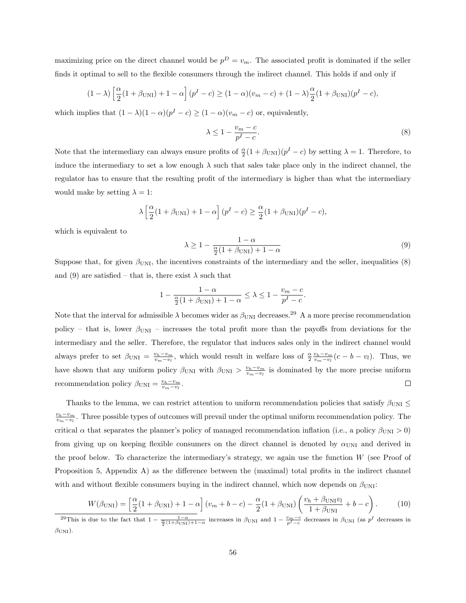maximizing price on the direct channel would be  $p^D = v_m$ . The associated profit is dominated if the seller finds it optimal to sell to the flexible consumers through the indirect channel. This holds if and only if

$$
(1 - \lambda) \left[ \frac{\alpha}{2} (1 + \beta_{\text{UNI}}) + 1 - \alpha \right] (p^I - c) \ge (1 - \alpha)(v_m - c) + (1 - \lambda) \frac{\alpha}{2} (1 + \beta_{\text{UNI}}) (p^I - c),
$$

which implies that  $(1 - \lambda)(1 - \alpha)(p^{I} - c) \ge (1 - \alpha)(v_m - c)$  or, equivalently,

$$
\lambda \le 1 - \frac{v_m - c}{p^I - c}.\tag{8}
$$

Note that the intermediary can always ensure profits of  $\frac{\alpha}{2}(1+\beta_{\text{UNI}})(p^{I}-c)$  by setting  $\lambda=1$ . Therefore, to induce the intermediary to set a low enough  $\lambda$  such that sales take place only in the indirect channel, the regulator has to ensure that the resulting profit of the intermediary is higher than what the intermediary would make by setting  $\lambda = 1$ :

$$
\lambda \left[ \frac{\alpha}{2} (1 + \beta_{\text{UNI}}) + 1 - \alpha \right] (p^I - c) \ge \frac{\alpha}{2} (1 + \beta_{\text{UNI}}) (p^I - c),
$$

which is equivalent to

$$
\lambda \ge 1 - \frac{1 - \alpha}{\frac{\alpha}{2}(1 + \beta_{\text{UNI}}) + 1 - \alpha} \tag{9}
$$

Suppose that, for given  $\beta_{\text{UNI}}$ , the incentives constraints of the intermediary and the seller, inequalities (8) and (9) are satisfied – that is, there exist  $\lambda$  such that

$$
1 - \frac{1 - \alpha}{\frac{\alpha}{2}(1 + \beta_{\text{UNI}}) + 1 - \alpha} \le \lambda \le 1 - \frac{v_m - c}{p^I - c}.
$$

Note that the interval for admissible  $\lambda$  becomes wider as  $\beta_{\text{UNI}}$  decreases.<sup>29</sup> A a more precise recommendation policy – that is, lower  $\beta_{\text{UNI}}$  – increases the total profit more than the payoffs from deviations for the intermediary and the seller. Therefore, the regulator that induces sales only in the indirect channel would always prefer to set  $\beta_{\text{UNI}} = \frac{v_h - v_m}{v_m - v_l}$ , which would result in welfare loss of  $\frac{\alpha}{2} \frac{v_h - v_m}{v_m - v_l} (c - b - v_l)$ . Thus, we have shown that any uniform policy  $\beta_{\text{UNI}}$  with  $\beta_{\text{UNI}} > \frac{v_h - v_m}{v_m - v_l}$  is dominated by the more precise uniform recommendation policy  $\beta_{\text{UNI}} = \frac{v_h - v_m}{v_m - v_l}$ .  $\Box$ 

Thanks to the lemma, we can restrict attention to uniform recommendation policies that satisfy  $\beta_{\text{UNI}} \leq$  $\frac{v_h-v_m}{v_m-v_l}$ . Three possible types of outcomes will prevail under the optimal uniform recommendation policy. The critical  $\alpha$  that separates the planner's policy of managed recommendation inflation (i.e., a policy  $\beta_{\text{UNI}} > 0$ ) from giving up on keeping flexible consumers on the direct channel is denoted by  $\alpha_{\text{UNI}}$  and derived in the proof below. To characterize the intermediary's strategy, we again use the function  $W$  (see Proof of Proposition 5, Appendix A) as the difference between the (maximal) total profits in the indirect channel with and without flexible consumers buying in the indirect channel, which now depends on  $\beta_{\text{UNI}}$ :

$$
W(\beta_{\text{UNI}}) = \left[\frac{\alpha}{2}(1+\beta_{\text{UNI}}) + 1 - \alpha\right](v_m + b - c) - \frac{\alpha}{2}(1+\beta_{\text{UNI}})\left(\frac{v_h + \beta_{\text{UNI}}v_l}{1+\beta_{\text{UNI}}} + b - c\right).
$$
 (10)

<sup>&</sup>lt;sup>29</sup>This is due to the fact that  $1 - \frac{1-\alpha}{\frac{\alpha}{2}(1+\beta_{\text{UNI}})+1-\alpha}$  increases in  $\beta_{\text{UNI}}$  and  $1 - \frac{v_m-c}{p^I-c}$  decreases in  $\beta_{\text{UNI}}$  (as  $p^I$  decreases in  $\beta_{\text{UNI}}$ ).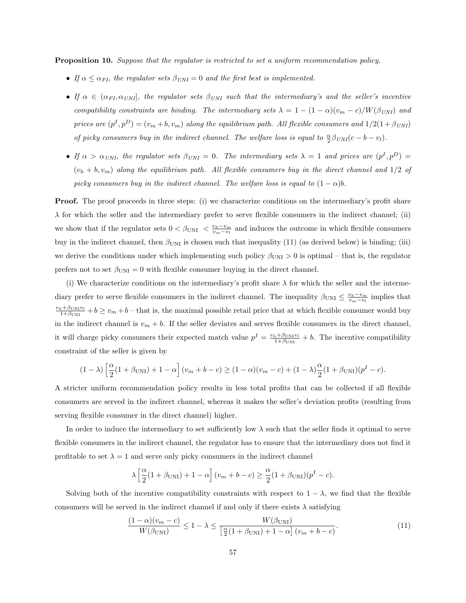**Proposition 10.** Suppose that the regulator is restricted to set a uniform recommendation policy.

- If  $\alpha \leq \alpha_{FI}$ , the regulator sets  $\beta_{UNI} = 0$  and the first best is implemented.
- If  $\alpha \in (\alpha_{FI}, \alpha_{UNI}]$ , the regulator sets  $\beta_{UNI}$  such that the intermediary's and the seller's incentive compatibility constraints are binding. The intermediary sets  $\lambda = 1 - (1 - \alpha)(v_m - c)/W(\beta_{UNI})$  and prices are  $(p^I, p^D) = (v_m + b, v_m)$  along the equilibrium path. All flexible consumers and  $1/2(1 + \beta_{UNI})$ of picky consumers buy in the indirect channel. The welfare loss is equal to  $\frac{\alpha}{2}\beta_{UNI}(c-b-v_l)$ .
- If  $\alpha > \alpha_{UNI}$ , the regulator sets  $\beta_{UNI} = 0$ . The intermediary sets  $\lambda = 1$  and prices are  $(p^I, p^D) =$  $(v_h + b, v_m)$  along the equilibrium path. All flexible consumers buy in the direct channel and  $1/2$  of picky consumers buy in the indirect channel. The welfare loss is equal to  $(1 - \alpha)b$ .

**Proof.** The proof proceeds in three steps: (i) we characterize conditions on the intermediary's profit share  $\lambda$  for which the seller and the intermediary prefer to serve flexible consumers in the indirect channel; (ii) we show that if the regulator sets  $0 < \beta_{\text{UNI}} < \frac{v_h - v_m}{v_m - v_l}$  and induces the outcome in which flexible consumers buy in the indirect channel, then  $\beta_{\text{UNI}}$  is chosen such that inequality (11) (as derived below) is binding; (iii) we derive the conditions under which implementing such policy  $\beta_{\text{UNI}} > 0$  is optimal – that is, the regulator prefers not to set  $\beta_{\text{UNI}} = 0$  with flexible consumer buying in the direct channel.

(i) We characterize conditions on the intermediary's profit share  $\lambda$  for which the seller and the intermediary prefer to serve flexible consumers in the indirect channel. The inequality  $\beta_{\text{UNI}} \leq \frac{v_h - v_m}{v_m - v_l}$  implies that  $\frac{v_h+\beta_{\text{UNI}}v_l}{1+\beta_{\text{UNI}}}+b\geq v_m+b$  – that is, the maximal possible retail price that at which flexible consumer would buy in the indirect channel is  $v_m + b$ . If the seller deviates and serves flexible consumers in the direct channel, it will charge picky consumers their expected match value  $p^I = \frac{v_h + \beta_{\text{UNI}}v_l}{1 + \beta_{\text{UNI}}} + b$ . The incentive compatibility constraint of the seller is given by

$$
(1 - \lambda) \left[ \frac{\alpha}{2} (1 + \beta_{\text{UNI}}) + 1 - \alpha \right] (v_m + b - c) \ge (1 - \alpha)(v_m - c) + (1 - \lambda) \frac{\alpha}{2} (1 + \beta_{\text{UNI}}) (p^I - c).
$$

A stricter uniform recommendation policy results in less total profits that can be collected if all flexible consumers are served in the indirect channel, whereas it makes the seller's deviation profits (resulting from serving flexible consumer in the direct channel) higher.

In order to induce the intermediary to set sufficiently low  $\lambda$  such that the seller finds it optimal to serve flexible consumers in the indirect channel, the regulator has to ensure that the intermediary does not find it profitable to set  $\lambda = 1$  and serve only picky consumers in the indirect channel

$$
\lambda \left[ \frac{\alpha}{2} (1 + \beta_{\text{UNI}}) + 1 - \alpha \right] (v_m + b - c) \ge \frac{\alpha}{2} (1 + \beta_{\text{UNI}}) (p^I - c).
$$

Solving both of the incentive compatibility constraints with respect to  $1 - \lambda$ , we find that the flexible consumers will be served in the indirect channel if and only if there exists  $\lambda$  satisfying

$$
\frac{(1-\alpha)(v_m-c)}{W(\beta_{\text{UNI}})} \le 1-\lambda \le \frac{W(\beta_{\text{UNI}})}{\left[\frac{\alpha}{2}(1+\beta_{\text{UNI}})+1-\alpha\right](v_m+b-c)}.\tag{11}
$$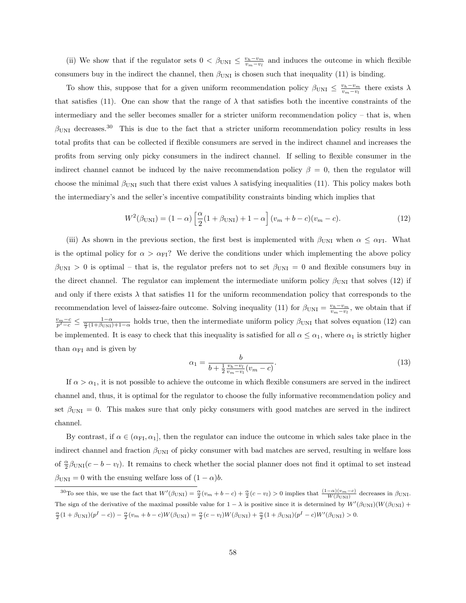(ii) We show that if the regulator sets  $0 < \beta_{\text{UNI}} \leq \frac{v_h - v_m}{v_m - v_l}$  and induces the outcome in which flexible consumers buy in the indirect the channel, then  $\beta_{\text{UNI}}$  is chosen such that inequality (11) is binding.

To show this, suppose that for a given uniform recommendation policy  $\beta_{\text{UNI}} \leq \frac{v_h - v_m}{v_m - v_l}$  there exists  $\lambda$ that satisfies (11). One can show that the range of  $\lambda$  that satisfies both the incentive constraints of the intermediary and the seller becomes smaller for a stricter uniform recommendation policy – that is, when  $\beta_{\text{UNI}}$  decreases.<sup>30</sup> This is due to the fact that a stricter uniform recommendation policy results in less total profits that can be collected if flexible consumers are served in the indirect channel and increases the profits from serving only picky consumers in the indirect channel. If selling to flexible consumer in the indirect channel cannot be induced by the naive recommendation policy  $\beta = 0$ , then the regulator will choose the minimal  $\beta_{\text{UNI}}$  such that there exist values  $\lambda$  satisfying inequalities (11). This policy makes both the intermediary's and the seller's incentive compatibility constraints binding which implies that

$$
W^{2}(\beta_{\text{UNI}}) = (1 - \alpha) \left[ \frac{\alpha}{2} (1 + \beta_{\text{UNI}}) + 1 - \alpha \right] (v_{m} + b - c) (v_{m} - c). \tag{12}
$$

(iii) As shown in the previous section, the first best is implemented with  $\beta_{\text{UNI}}$  when  $\alpha \leq \alpha_{\text{FI}}$ . What is the optimal policy for  $\alpha > \alpha_{FI}$ ? We derive the conditions under which implementing the above policy  $\beta_{\text{UNI}} > 0$  is optimal – that is, the regulator prefers not to set  $\beta_{\text{UNI}} = 0$  and flexible consumers buy in the direct channel. The regulator can implement the intermediate uniform policy  $\beta_{\text{UNI}}$  that solves (12) if and only if there exists  $\lambda$  that satisfies 11 for the uniform recommendation policy that corresponds to the recommendation level of laissez-faire outcome. Solving inequality (11) for  $\beta_{\text{UNI}} = \frac{v_h - v_m}{v_m - v_l}$ , we obtain that if  $\frac{v_m-c}{p^I-c} \leq \frac{1-\alpha}{\frac{\alpha}{2}(1+\beta_{\text{UNI}})+1-\alpha}$  holds true, then the intermediate uniform policy  $\beta_{\text{UNI}}$  that solves equation (12) can be implemented. It is easy to check that this inequality is satisfied for all  $\alpha \leq \alpha_1$ , where  $\alpha_1$  is strictly higher than  $\alpha_{\text{FI}}$  and is given by

$$
\alpha_1 = \frac{b}{b + \frac{1}{2} \frac{v_h - v_l}{v_m - v_l} (v_m - c)}.\tag{13}
$$

If  $\alpha > \alpha_1$ , it is not possible to achieve the outcome in which flexible consumers are served in the indirect channel and, thus, it is optimal for the regulator to choose the fully informative recommendation policy and set  $\beta_{\text{UNI}} = 0$ . This makes sure that only picky consumers with good matches are served in the indirect channel.

By contrast, if  $\alpha \in (\alpha_{\text{FI}}, \alpha_1]$ , then the regulator can induce the outcome in which sales take place in the indirect channel and fraction  $\beta_{\text{UNI}}$  of picky consumer with bad matches are served, resulting in welfare loss of  $\frac{\alpha}{2}\beta_{\text{UNI}}(c-b-v_l)$ . It remains to check whether the social planner does not find it optimal to set instead  $\beta_{\text{UNI}} = 0$  with the ensuing welfare loss of  $(1 - \alpha)b$ .

<sup>&</sup>lt;sup>30</sup>To see this, we use the fact that  $W'(\beta_{\text{UNI}}) = \frac{\alpha}{2}(v_m + b - c) + \frac{\alpha}{2}(c - v_l) > 0$  implies that  $\frac{(1 - \alpha)(v_m - c)}{W(\beta_{\text{UNI}})}$  decreases in  $\beta_{\text{UNI}}$ . The sign of the derivative of the maximal possible value for  $1 - \lambda$  is positive since it is determined by  $W'(\beta_{\text{UNI}})(W(\beta_{\text{UNI}}))$  $\frac{\alpha}{2}(1+\beta_{\text{UNI}})(p^{I}-c)) - \frac{\alpha}{2}(v_{m}+b-c)W(\beta_{\text{UNI}}) = \frac{\alpha}{2}(c-v_{l})W(\beta_{\text{UNI}}) + \frac{\alpha}{2}(1+\beta_{\text{UNI}})(p^{I}-c)W'(\beta_{\text{UNI}}) > 0.$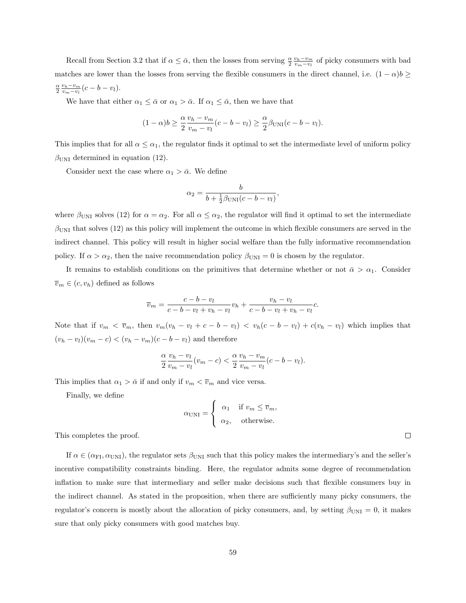Recall from Section 3.2 that if  $\alpha \leq \bar{\alpha}$ , then the losses from serving  $\frac{\alpha}{2} \frac{v_h - v_m}{v_m - v_l}$  of picky consumers with bad matches are lower than the losses from serving the flexible consumers in the direct channel, i.e.  $(1 - \alpha)b \ge$  $\frac{\alpha}{2} \frac{v_h - v_m}{v_m - v_l} (c - b - v_l).$ 

We have that either  $\alpha_1 \leq \bar{\alpha}$  or  $\alpha_1 > \bar{\alpha}$ . If  $\alpha_1 \leq \bar{\alpha}$ , then we have that

$$
(1 - \alpha)b \ge \frac{\alpha v_h - v_m}{2 v_m - v_l}(c - b - v_l) \ge \frac{\alpha}{2} \beta_{\text{UNI}}(c - b - v_l).
$$

This implies that for all  $\alpha \leq \alpha_1$ , the regulator finds it optimal to set the intermediate level of uniform policy  $\beta_{\text{UNI}}$  determined in equation (12).

Consider next the case where  $\alpha_1 > \bar{\alpha}$ . We define

$$
\alpha_2 = \frac{b}{b + \frac{1}{2}\beta_{\text{UNI}}(c - b - v_l)},
$$

where  $\beta_{\text{UNI}}$  solves (12) for  $\alpha = \alpha_2$ . For all  $\alpha \leq \alpha_2$ , the regulator will find it optimal to set the intermediate  $\beta_{\text{UNI}}$  that solves (12) as this policy will implement the outcome in which flexible consumers are served in the indirect channel. This policy will result in higher social welfare than the fully informative recommendation policy. If  $\alpha > \alpha_2$ , then the naive recommendation policy  $\beta_{\text{UNI}} = 0$  is chosen by the regulator.

It remains to establish conditions on the primitives that determine whether or not  $\bar{\alpha} > \alpha_1$ . Consider  $\overline{v}_m \in (c, v_h)$  defined as follows

$$
\overline{v}_m = \frac{c - b - v_l}{c - b - v_l + v_h - v_l} v_h + \frac{v_h - v_l}{c - b - v_l + v_h - v_l} c.
$$

Note that if  $v_m < \overline{v}_m$ , then  $v_m(v_h - v_l + c - b - v_l) < v_h(c - b - v_l) + c(v_h - v_l)$  which implies that  $(v_h - v_l)(v_m - c) < (v_h - v_m)(c - b - v_l)$  and therefore

$$
\frac{\alpha}{2} \frac{v_h - v_l}{v_m - v_l} (v_m - c) < \frac{\alpha}{2} \frac{v_h - v_m}{v_m - v_l} (c - b - v_l).
$$

This implies that  $\alpha_1 > \bar{\alpha}$  if and only if  $v_m < \bar{v}_m$  and vice versa.

Finally, we define

$$
\alpha_{\text{UNI}} = \begin{cases} \alpha_1 & \text{if } v_m \le \overline{v}_m, \\ \alpha_2, & \text{otherwise.} \end{cases}
$$

This completes the proof.

If  $\alpha \in (\alpha_{\text{FI}}, \alpha_{\text{UNI}})$ , the regulator sets  $\beta_{\text{UNI}}$  such that this policy makes the intermediary's and the seller's incentive compatibility constraints binding. Here, the regulator admits some degree of recommendation inflation to make sure that intermediary and seller make decisions such that flexible consumers buy in the indirect channel. As stated in the proposition, when there are sufficiently many picky consumers, the regulator's concern is mostly about the allocation of picky consumers, and, by setting  $\beta_{\text{UNI}} = 0$ , it makes sure that only picky consumers with good matches buy.

 $\Box$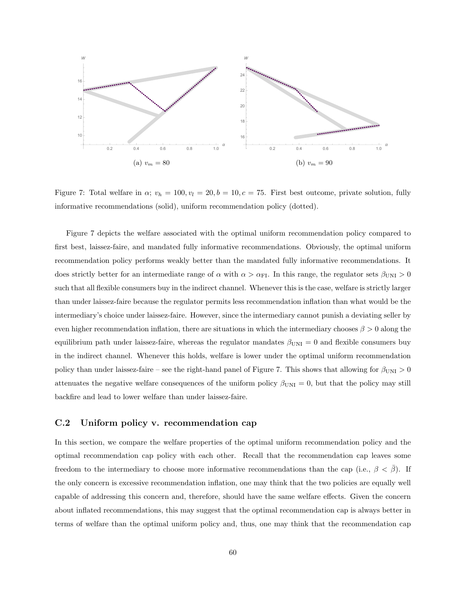

Figure 7: Total welfare in  $\alpha$ ;  $v_h = 100, v_l = 20, b = 10, c = 75$ . First best outcome, private solution, fully informative recommendations (solid), uniform recommendation policy (dotted).

Figure 7 depicts the welfare associated with the optimal uniform recommendation policy compared to first best, laissez-faire, and mandated fully informative recommendations. Obviously, the optimal uniform recommendation policy performs weakly better than the mandated fully informative recommendations. It does strictly better for an intermediate range of  $\alpha$  with  $\alpha > \alpha_{FI}$ . In this range, the regulator sets  $\beta_{UNI} > 0$ such that all flexible consumers buy in the indirect channel. Whenever this is the case, welfare is strictly larger than under laissez-faire because the regulator permits less recommendation inflation than what would be the intermediary's choice under laissez-faire. However, since the intermediary cannot punish a deviating seller by even higher recommendation inflation, there are situations in which the intermediary chooses  $\beta > 0$  along the equilibrium path under laissez-faire, whereas the regulator mandates  $\beta_{\text{UNI}} = 0$  and flexible consumers buy in the indirect channel. Whenever this holds, welfare is lower under the optimal uniform recommendation policy than under laissez-faire – see the right-hand panel of Figure 7. This shows that allowing for  $\beta_{\rm UNI} > 0$ attenuates the negative welfare consequences of the uniform policy  $\beta_{\text{UNI}} = 0$ , but that the policy may still backfire and lead to lower welfare than under laissez-faire.

#### C.2 Uniform policy v. recommendation cap

In this section, we compare the welfare properties of the optimal uniform recommendation policy and the optimal recommendation cap policy with each other. Recall that the recommendation cap leaves some freedom to the intermediary to choose more informative recommendations than the cap (i.e.,  $\beta < \bar{\beta}$ ). If the only concern is excessive recommendation inflation, one may think that the two policies are equally well capable of addressing this concern and, therefore, should have the same welfare effects. Given the concern about inflated recommendations, this may suggest that the optimal recommendation cap is always better in terms of welfare than the optimal uniform policy and, thus, one may think that the recommendation cap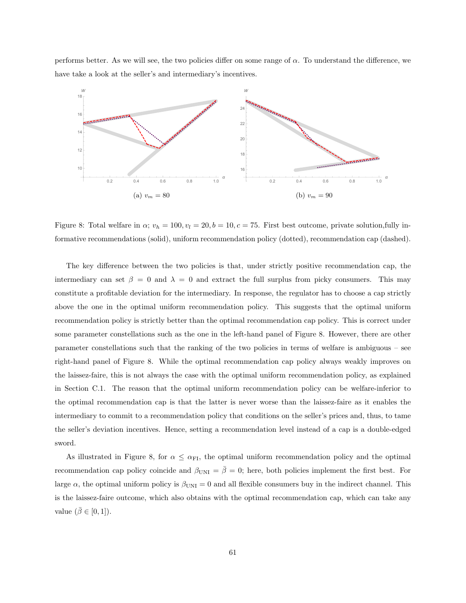performs better. As we will see, the two policies differ on some range of  $\alpha$ . To understand the difference, we have take a look at the seller's and intermediary's incentives.



Figure 8: Total welfare in  $\alpha$ ;  $v_h = 100$ ,  $v_l = 20$ ,  $b = 10$ ,  $c = 75$ . First best outcome, private solution,fully informative recommendations (solid), uniform recommendation policy (dotted), recommendation cap (dashed).

The key difference between the two policies is that, under strictly positive recommendation cap, the intermediary can set  $\beta = 0$  and  $\lambda = 0$  and extract the full surplus from picky consumers. This may constitute a profitable deviation for the intermediary. In response, the regulator has to choose a cap strictly above the one in the optimal uniform recommendation policy. This suggests that the optimal uniform recommendation policy is strictly better than the optimal recommendation cap policy. This is correct under some parameter constellations such as the one in the left-hand panel of Figure 8. However, there are other parameter constellations such that the ranking of the two policies in terms of welfare is ambiguous – see right-hand panel of Figure 8. While the optimal recommendation cap policy always weakly improves on the laissez-faire, this is not always the case with the optimal uniform recommendation policy, as explained in Section C.1. The reason that the optimal uniform recommendation policy can be welfare-inferior to the optimal recommendation cap is that the latter is never worse than the laissez-faire as it enables the intermediary to commit to a recommendation policy that conditions on the seller's prices and, thus, to tame the seller's deviation incentives. Hence, setting a recommendation level instead of a cap is a double-edged sword.

As illustrated in Figure 8, for  $\alpha \leq \alpha_{\text{FI}}$ , the optimal uniform recommendation policy and the optimal recommendation cap policy coincide and  $\beta_{\text{UNI}} = \bar{\beta} = 0$ ; here, both policies implement the first best. For large  $\alpha$ , the optimal uniform policy is  $\beta_{\text{UNI}} = 0$  and all flexible consumers buy in the indirect channel. This is the laissez-faire outcome, which also obtains with the optimal recommendation cap, which can take any value  $(\bar{\beta} \in [0,1]).$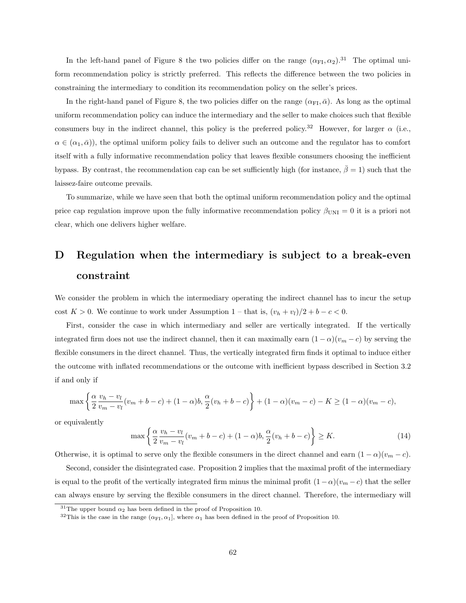In the left-hand panel of Figure 8 the two policies differ on the range  $(\alpha_{FI}, \alpha_2)$ .<sup>31</sup> The optimal uniform recommendation policy is strictly preferred. This reflects the difference between the two policies in constraining the intermediary to condition its recommendation policy on the seller's prices.

In the right-hand panel of Figure 8, the two policies differ on the range  $(\alpha_{\text{FI}}, \bar{\alpha})$ . As long as the optimal uniform recommendation policy can induce the intermediary and the seller to make choices such that flexible consumers buy in the indirect channel, this policy is the preferred policy.<sup>32</sup> However, for larger  $\alpha$  (i.e.,  $\alpha \in (\alpha_1, \bar{\alpha})$ , the optimal uniform policy fails to deliver such an outcome and the regulator has to comfort itself with a fully informative recommendation policy that leaves flexible consumers choosing the inefficient bypass. By contrast, the recommendation cap can be set sufficiently high (for instance,  $\bar{\beta} = 1$ ) such that the laissez-faire outcome prevails.

To summarize, while we have seen that both the optimal uniform recommendation policy and the optimal price cap regulation improve upon the fully informative recommendation policy  $\beta_{\text{UNI}} = 0$  it is a priori not clear, which one delivers higher welfare.

# D Regulation when the intermediary is subject to a break-even constraint

We consider the problem in which the intermediary operating the indirect channel has to incur the setup cost  $K > 0$ . We continue to work under Assumption 1 – that is,  $(v_h + v_l)/2 + b - c < 0$ .

First, consider the case in which intermediary and seller are vertically integrated. If the vertically integrated firm does not use the indirect channel, then it can maximally earn  $(1 - \alpha)(v_m - c)$  by serving the flexible consumers in the direct channel. Thus, the vertically integrated firm finds it optimal to induce either the outcome with inflated recommendations or the outcome with inefficient bypass described in Section 3.2 if and only if

$$
\max \left\{ \frac{\alpha}{2} \frac{v_h - v_l}{v_m - v_l} (v_m + b - c) + (1 - \alpha) b, \frac{\alpha}{2} (v_h + b - c) \right\} + (1 - \alpha) (v_m - c) - K \ge (1 - \alpha) (v_m - c),
$$

or equivalently

$$
\max\left\{\frac{\alpha}{2}\frac{v_h - v_l}{v_m - v_l}(v_m + b - c) + (1 - \alpha)b, \frac{\alpha}{2}(v_h + b - c)\right\} \ge K.
$$
\n(14)

Otherwise, it is optimal to serve only the flexible consumers in the direct channel and earn  $(1 - \alpha)(v_m - c)$ .

Second, consider the disintegrated case. Proposition 2 implies that the maximal profit of the intermediary is equal to the profit of the vertically integrated firm minus the minimal profit  $(1 - \alpha)(v_m - c)$  that the seller can always ensure by serving the flexible consumers in the direct channel. Therefore, the intermediary will

<sup>&</sup>lt;sup>31</sup>The upper bound  $\alpha_2$  has been defined in the proof of Proposition 10.

<sup>&</sup>lt;sup>32</sup>This is the case in the range  $(\alpha_{\text{FI}}, \alpha_1]$ , where  $\alpha_1$  has been defined in the proof of Proposition 10.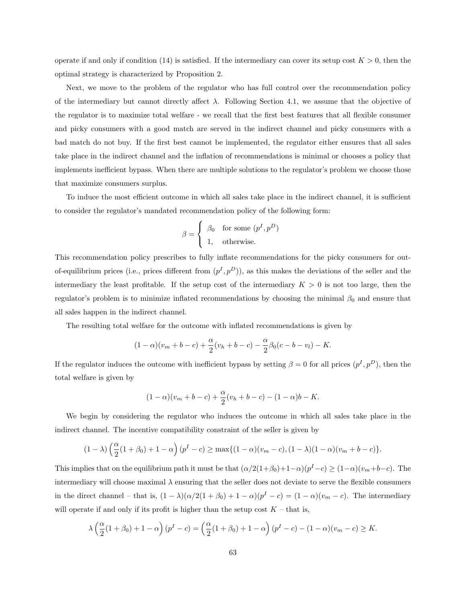operate if and only if condition (14) is satisfied. If the intermediary can cover its setup cost  $K > 0$ , then the optimal strategy is characterized by Proposition 2.

Next, we move to the problem of the regulator who has full control over the recommendation policy of the intermediary but cannot directly affect  $\lambda$ . Following Section 4.1, we assume that the objective of the regulator is to maximize total welfare - we recall that the first best features that all flexible consumer and picky consumers with a good match are served in the indirect channel and picky consumers with a bad match do not buy. If the first best cannot be implemented, the regulator either ensures that all sales take place in the indirect channel and the inflation of recommendations is minimal or chooses a policy that implements inefficient bypass. When there are multiple solutions to the regulator's problem we choose those that maximize consumers surplus.

To induce the most efficient outcome in which all sales take place in the indirect channel, it is sufficient to consider the regulator's mandated recommendation policy of the following form:

$$
\beta = \begin{cases} \beta_0 & \text{for some } (p^I, p^D) \\ 1, & \text{otherwise.} \end{cases}
$$

This recommendation policy prescribes to fully inflate recommendations for the picky consumers for outof-equilibrium prices (i.e., prices different from  $(p<sup>I</sup>, p<sup>D</sup>)$ ), as this makes the deviations of the seller and the intermediary the least profitable. If the setup cost of the intermediary  $K > 0$  is not too large, then the regulator's problem is to minimize inflated recommendations by choosing the minimal  $\beta_0$  and ensure that all sales happen in the indirect channel.

The resulting total welfare for the outcome with inflated recommendations is given by

$$
(1 - \alpha)(v_m + b - c) + \frac{\alpha}{2}(v_h + b - c) - \frac{\alpha}{2}\beta_0(c - b - v_l) - K.
$$

If the regulator induces the outcome with inefficient bypass by setting  $\beta = 0$  for all prices  $(p<sup>I</sup>, p<sup>D</sup>)$ , then the total welfare is given by

$$
(1 - \alpha)(v_m + b - c) + \frac{\alpha}{2}(v_h + b - c) - (1 - \alpha)b - K.
$$

We begin by considering the regulator who induces the outcome in which all sales take place in the indirect channel. The incentive compatibility constraint of the seller is given by

$$
(1 - \lambda) \left(\frac{\alpha}{2}(1 + \beta_0) + 1 - \alpha\right) (p^I - c) \ge \max\{(1 - \alpha)(v_m - c), (1 - \lambda)(1 - \alpha)(v_m + b - c)\}.
$$

This implies that on the equilibrium path it must be that  $(\alpha/2(1+\beta_0)+1-\alpha)(p^I-c) \geq (1-\alpha)(v_m+b-c)$ . The intermediary will choose maximal  $\lambda$  ensuring that the seller does not deviate to serve the flexible consumers in the direct channel – that is,  $(1 - \lambda)(\alpha/2(1 + \beta_0) + 1 - \alpha)(p^{I} - c) = (1 - \alpha)(v_m - c)$ . The intermediary will operate if and only if its profit is higher than the setup cost  $K$  – that is,

$$
\lambda\left(\frac{\alpha}{2}(1+\beta_0)+1-\alpha\right)(p^I-c) = \left(\frac{\alpha}{2}(1+\beta_0)+1-\alpha\right)(p^I-c)-(1-\alpha)(v_m-c) \ge K.
$$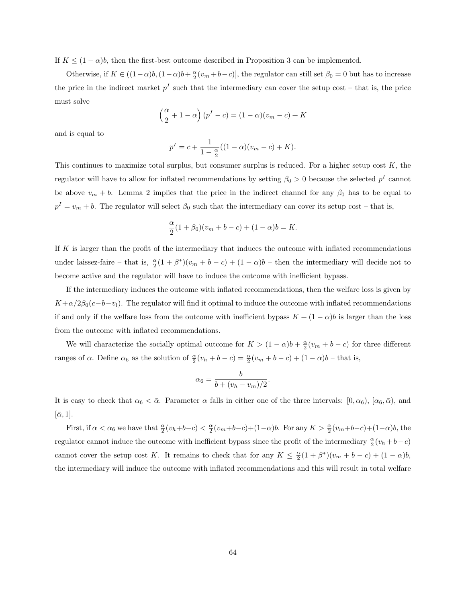If  $K \leq (1 - \alpha)b$ , then the first-best outcome described in Proposition 3 can be implemented.

Otherwise, if  $K \in ((1-\alpha)b, (1-\alpha)b+\frac{\alpha}{2}(v_m+b-c)],$  the regulator can still set  $\beta_0 = 0$  but has to increase the price in the indirect market  $p<sup>I</sup>$  such that the intermediary can cover the setup cost – that is, the price must solve

$$
\left(\frac{\alpha}{2} + 1 - \alpha\right)(p^{I} - c) = (1 - \alpha)(v_{m} - c) + K
$$

and is equal to

$$
p^{I} = c + \frac{1}{1 - \frac{\alpha}{2}}((1 - \alpha)(v_{m} - c) + K).
$$

This continues to maximize total surplus, but consumer surplus is reduced. For a higher setup cost  $K$ , the regulator will have to allow for inflated recommendations by setting  $\beta_0 > 0$  because the selected  $p<sup>I</sup>$  cannot be above  $v_m + b$ . Lemma 2 implies that the price in the indirect channel for any  $\beta_0$  has to be equal to  $p^I = v_m + b$ . The regulator will select  $\beta_0$  such that the intermediary can cover its setup cost – that is,

$$
\frac{\alpha}{2}(1+\beta_0)(v_m+b-c)+(1-\alpha)b=K.
$$

If K is larger than the profit of the intermediary that induces the outcome with inflated recommendations under laissez-faire – that is,  $\frac{\alpha}{2}(1+\beta^*)(v_m+b-c)+(1-\alpha)b$  – then the intermediary will decide not to become active and the regulator will have to induce the outcome with inefficient bypass.

If the intermediary induces the outcome with inflated recommendations, then the welfare loss is given by  $K+\alpha/2\beta_0(c-b-v_l)$ . The regulator will find it optimal to induce the outcome with inflated recommendations if and only if the welfare loss from the outcome with inefficient bypass  $K + (1 - \alpha)b$  is larger than the loss from the outcome with inflated recommendations.

We will characterize the socially optimal outcome for  $K > (1 - \alpha)b + \frac{\alpha}{2}(v_m + b - c)$  for three different ranges of  $\alpha$ . Define  $\alpha_6$  as the solution of  $\frac{\alpha}{2}(v_h + b - c) = \frac{\alpha}{2}(v_m + b - c) + (1 - \alpha)b$  - that is,

$$
\alpha_6 = \frac{b}{b + (v_h - v_m)/2}.
$$

It is easy to check that  $\alpha_6 < \bar{\alpha}$ . Parameter  $\alpha$  falls in either one of the three intervals:  $[0, \alpha_6)$ ,  $[\alpha_6, \bar{\alpha})$ , and  $[\bar{\alpha}, 1].$ 

First, if  $\alpha < \alpha_6$  we have that  $\frac{\alpha}{2}(v_h+b-c) < \frac{\alpha}{2}(v_m+b-c)+(1-\alpha)b$ . For any  $K > \frac{\alpha}{2}(v_m+b-c)+(1-\alpha)b$ , the regulator cannot induce the outcome with inefficient bypass since the profit of the intermediary  $\frac{\alpha}{2}(v_h + b - c)$ cannot cover the setup cost K. It remains to check that for any  $K \leq \frac{\alpha}{2}(1+\beta^*)(v_m+b-c) + (1-\alpha)b$ , the intermediary will induce the outcome with inflated recommendations and this will result in total welfare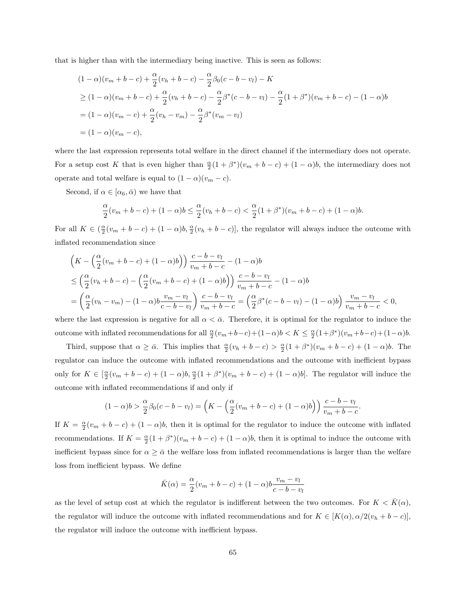that is higher than with the intermediary being inactive. This is seen as follows:

$$
(1 - \alpha)(v_m + b - c) + \frac{\alpha}{2}(v_h + b - c) - \frac{\alpha}{2}\beta_0(c - b - v_l) - K
$$
  
\n
$$
\geq (1 - \alpha)(v_m + b - c) + \frac{\alpha}{2}(v_h + b - c) - \frac{\alpha}{2}\beta^*(c - b - v_l) - \frac{\alpha}{2}(1 + \beta^*)(v_m + b - c) - (1 - \alpha)b
$$
  
\n
$$
= (1 - \alpha)(v_m - c) + \frac{\alpha}{2}(v_h - v_m) - \frac{\alpha}{2}\beta^*(v_m - v_l)
$$
  
\n
$$
= (1 - \alpha)(v_m - c),
$$

where the last expression represents total welfare in the direct channel if the intermediary does not operate. For a setup cost K that is even higher than  $\frac{\alpha}{2}(1+\beta^*)(v_m+b-c)+(1-\alpha)b$ , the intermediary does not operate and total welfare is equal to  $(1 - \alpha)(v_m - c)$ .

Second, if  $\alpha \in [\alpha_6, \bar{\alpha})$  we have that

$$
\frac{\alpha}{2}(v_m + b - c) + (1 - \alpha)b \le \frac{\alpha}{2}(v_h + b - c) < \frac{\alpha}{2}(1 + \beta^*)(v_m + b - c) + (1 - \alpha)b.
$$

For all  $K \in \left(\frac{\alpha}{2}(v_m + b - c) + (1 - \alpha)b, \frac{\alpha}{2}(v_h + b - c)\right]$ , the regulator will always induce the outcome with inflated recommendation since

$$
\begin{split} &\left(K - \left(\frac{\alpha}{2}(v_m + b - c) + (1 - \alpha)b\right)\right) \frac{c - b - v_l}{v_m + b - c} - (1 - \alpha)b \\ &\le \left(\frac{\alpha}{2}(v_h + b - c) - \left(\frac{\alpha}{2}(v_m + b - c) + (1 - \alpha)b\right)\right) \frac{c - b - v_l}{v_m + b - c} - (1 - \alpha)b \\ &= \left(\frac{\alpha}{2}(v_h - v_m) - (1 - \alpha)b \frac{v_m - v_l}{c - b - v_l}\right) \frac{c - b - v_l}{v_m + b - c} = \left(\frac{\alpha}{2}\beta^*(c - b - v_l) - (1 - \alpha)b\right) \frac{v_m - v_l}{v_m + b - c} < 0, \end{split}
$$

where the last expression is negative for all  $\alpha < \bar{\alpha}$ . Therefore, it is optimal for the regulator to induce the outcome with inflated recommendations for all  $\frac{\alpha}{2}(v_m+b-c)+(1-\alpha)b < K \leq \frac{\alpha}{2}(1+\beta^*)(v_m+b-c)+(1-\alpha)b$ .

Third, suppose that  $\alpha \geq \bar{\alpha}$ . This implies that  $\frac{\alpha}{2}(v_h + b - c) > \frac{\alpha}{2}(1 + \beta^*)(v_m + b - c) + (1 - \alpha)b$ . The regulator can induce the outcome with inflated recommendations and the outcome with inefficient bypass only for  $K \in \left[\frac{\alpha}{2}(v_m + b - c) + (1 - \alpha)b, \frac{\alpha}{2}(1 + \beta^*)(v_m + b - c) + (1 - \alpha)b\right]$ . The regulator will induce the outcome with inflated recommendations if and only if

$$
(1-\alpha)b > \frac{\alpha}{2}\beta_0(c-b-v_l) = \left(K - \left(\frac{\alpha}{2}(v_m+b-c) + (1-\alpha)b\right)\right)\frac{c-b-v_l}{v_m+b-c}.
$$

If  $K = \frac{\alpha}{2}(v_m + b - c) + (1 - \alpha)b$ , then it is optimal for the regulator to induce the outcome with inflated recommendations. If  $K = \frac{\alpha}{2}(1 + \beta^*)(v_m + b - c) + (1 - \alpha)b$ , then it is optimal to induce the outcome with inefficient bypass since for  $\alpha \geq \overline{\alpha}$  the welfare loss from inflated recommendations is larger than the welfare loss from inefficient bypass. We define

$$
\bar{K}(\alpha) = \frac{\alpha}{2}(v_m + b - c) + (1 - \alpha)b \frac{v_m - v_l}{c - b - v_l}
$$

as the level of setup cost at which the regulator is indifferent between the two outcomes. For  $K < K(\alpha)$ , the regulator will induce the outcome with inflated recommendations and for  $K \in [K(\alpha), \alpha/2(v_h + b - c)]$ . the regulator will induce the outcome with inefficient bypass.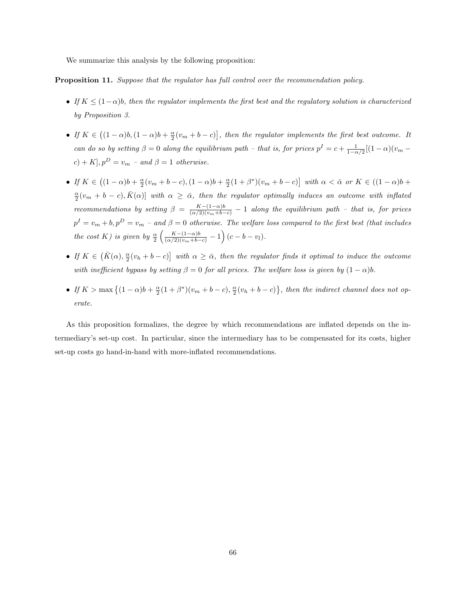We summarize this analysis by the following proposition:

Proposition 11. Suppose that the regulator has full control over the recommendation policy.

- If  $K \leq (1-\alpha)b$ , then the regulator implements the first best and the regulatory solution is characterized by Proposition 3.
- If  $K \in ((1-\alpha)b, (1-\alpha)b + \frac{\alpha}{2}(v_m + b c)]$ , then the regulator implements the first best outcome. It can do so by setting  $\beta = 0$  along the equilibrium path – that is, for prices  $p^I = c + \frac{1}{1-\alpha/2}[(1-\alpha)(v_m (c) + K$ ,  $p^D = v_m$  – and  $\beta = 1$  otherwise.
- If  $K \in ((1-\alpha)b + \frac{\alpha}{2}(v_m + b c), (1-\alpha)b + \frac{\alpha}{2}(1+\beta^*)(v_m + b c)]$  with  $\alpha < \bar{\alpha}$  or  $K \in ((1-\alpha)b +$  $\frac{\alpha}{2}(v_m + b - c), \overline{K}(\alpha)$  with  $\alpha \geq \overline{\alpha}$ , then the regulator optimally induces an outcome with inflated recommendations by setting  $\beta = \frac{K-(1-\alpha)b}{(\alpha/2)(v_m+b-c)} - 1$  along the equilibrium path – that is, for prices  $p^I = v_m + b, p^D = v_m$  – and  $\beta = 0$  otherwise. The welfare loss compared to the first best (that includes the cost K) is given by  $\frac{\alpha}{2} \left( \frac{K-(1-\alpha)b}{(\alpha/2)(v_m+b-c)} - 1 \right) (c-b-v_l).$
- If  $K \in \left(\bar{K}(\alpha), \frac{\alpha}{2}(v_h + b c)\right]$  with  $\alpha \geq \bar{\alpha}$ , then the regulator finds it optimal to induce the outcome with inefficient bypass by setting  $\beta = 0$  for all prices. The welfare loss is given by  $(1 - \alpha)b$ .
- If  $K > \max\{(1-\alpha)b + \frac{\alpha}{2}(1+\beta^*)(v_m + b c), \frac{\alpha}{2}(v_h + b c)\}\$ , then the indirect channel does not operate.

As this proposition formalizes, the degree by which recommendations are inflated depends on the intermediary's set-up cost. In particular, since the intermediary has to be compensated for its costs, higher set-up costs go hand-in-hand with more-inflated recommendations.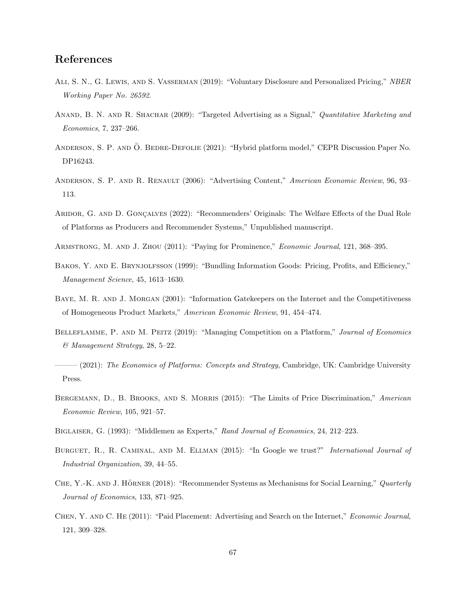### References

- Ali, S. N., G. Lewis, and S. Vasserman (2019): "Voluntary Disclosure and Personalized Pricing," NBER Working Paper No. 26592.
- ANAND, B. N. AND R. SHACHAR (2009): "Targeted Advertising as a Signal," Quantitative Marketing and Economics, 7, 237–266.
- ANDERSON, S. P. AND Ö. BEDRE-DEFOLIE (2021): "Hybrid platform model," CEPR Discussion Paper No. DP16243.
- Anderson, S. P. and R. Renault (2006): "Advertising Content," American Economic Review, 96, 93– 113.
- ARIDOR, G. AND D. GONÇALVES (2022): "Recommenders' Originals: The Welfare Effects of the Dual Role of Platforms as Producers and Recommender Systems," Unpublished manuscript.
- Armstrong, M. and J. Zhou (2011): "Paying for Prominence," Economic Journal, 121, 368–395.
- BAKOS, Y. AND E. BRYNJOLFSSON (1999): "Bundling Information Goods: Pricing, Profits, and Efficiency," Management Science, 45, 1613–1630.
- BAYE, M. R. AND J. MORGAN (2001): "Information Gatekeepers on the Internet and the Competitiveness of Homogeneous Product Markets," American Economic Review, 91, 454–474.
- BELLEFLAMME, P. AND M. PEITZ (2019): "Managing Competition on a Platform," Journal of Economics & Management Strategy, 28, 5–22.
- $-$  (2021): The Economics of Platforms: Concepts and Strategy, Cambridge, UK: Cambridge University Press.
- BERGEMANN, D., B. BROOKS, AND S. MORRIS (2015): "The Limits of Price Discrimination," American Economic Review, 105, 921–57.
- Biglaiser, G. (1993): "Middlemen as Experts," Rand Journal of Economics, 24, 212–223.
- BURGUET, R., R. CAMINAL, AND M. ELLMAN (2015): "In Google we trust?" International Journal of Industrial Organization, 39, 44–55.
- CHE, Y.-K. AND J. HÖRNER (2018): "Recommender Systems as Mechanisms for Social Learning," Quarterly Journal of Economics, 133, 871–925.
- Chen, Y. and C. He (2011): "Paid Placement: Advertising and Search on the Internet," Economic Journal, 121, 309–328.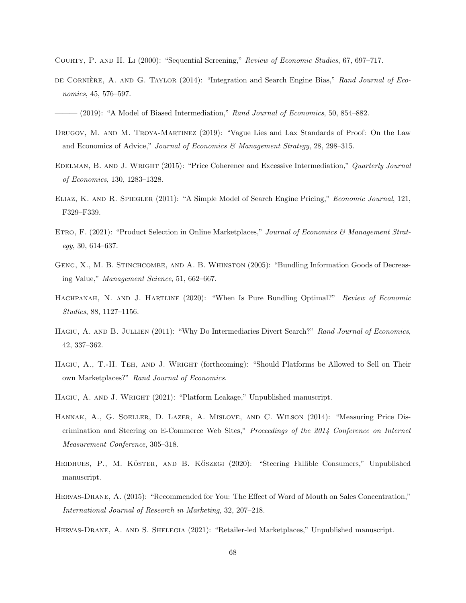- Courty, P. and H. Li (2000): "Sequential Screening," Review of Economic Studies, 67, 697–717.
- DE CORNIÈRE, A. AND G. TAYLOR (2014): "Integration and Search Engine Bias," Rand Journal of Economics, 45, 576–597.
- $-$  (2019): "A Model of Biased Intermediation," Rand Journal of Economics, 50, 854–882.
- DRUGOV, M. AND M. TROYA-MARTINEZ (2019): "Vague Lies and Lax Standards of Proof: On the Law and Economics of Advice," Journal of Economics & Management Strategy, 28, 298–315.
- EDELMAN, B. AND J. WRIGHT (2015): "Price Coherence and Excessive Intermediation," Quarterly Journal of Economics, 130, 1283–1328.
- Eliaz, K. and R. Spiegler (2011): "A Simple Model of Search Engine Pricing," Economic Journal, 121, F329–F339.
- ETRO, F. (2021): "Product Selection in Online Marketplaces," Journal of Economics & Management Strategy, 30, 614–637.
- GENG, X., M. B. STINCHCOMBE, AND A. B. WHINSTON (2005): "Bundling Information Goods of Decreasing Value," Management Science, 51, 662–667.
- HAGHPANAH, N. AND J. HARTLINE (2020): "When Is Pure Bundling Optimal?" Review of Economic Studies, 88, 1127–1156.
- HAGIU, A. AND B. JULLIEN (2011): "Why Do Intermediaries Divert Search?" Rand Journal of Economics, 42, 337–362.
- Hagiu, A., T.-H. Teh, and J. Wright (forthcoming): "Should Platforms be Allowed to Sell on Their own Marketplaces?" Rand Journal of Economics.
- HAGIU, A. AND J. WRIGHT (2021): "Platform Leakage," Unpublished manuscript.
- Hannak, A., G. Soeller, D. Lazer, A. Mislove, and C. Wilson (2014): "Measuring Price Discrimination and Steering on E-Commerce Web Sites," Proceedings of the 2014 Conference on Internet Measurement Conference, 305–318.
- HEIDHUES, P., M. KÖSTER, AND B. KÖSZEGI (2020): "Steering Fallible Consumers," Unpublished manuscript.
- Hervas-Drane, A. (2015): "Recommended for You: The Effect of Word of Mouth on Sales Concentration," International Journal of Research in Marketing, 32, 207–218.

Hervas-Drane, A. and S. Shelegia (2021): "Retailer-led Marketplaces," Unpublished manuscript.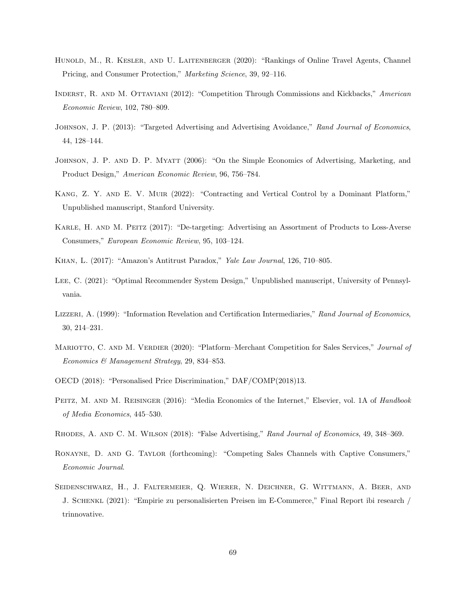- HUNOLD, M., R. KESLER, AND U. LAITENBERGER (2020): "Rankings of Online Travel Agents, Channel Pricing, and Consumer Protection," Marketing Science, 39, 92–116.
- Inderst, R. and M. Ottaviani (2012): "Competition Through Commissions and Kickbacks," American Economic Review, 102, 780–809.
- JOHNSON, J. P. (2013): "Targeted Advertising and Advertising Avoidance," Rand Journal of Economics, 44, 128–144.
- JOHNSON, J. P. AND D. P. MYATT (2006): "On the Simple Economics of Advertising, Marketing, and Product Design," American Economic Review, 96, 756–784.
- Kang, Z. Y. and E. V. Muir (2022): "Contracting and Vertical Control by a Dominant Platform," Unpublished manuscript, Stanford University.
- Karle, H. and M. Peitz (2017): "De-targeting: Advertising an Assortment of Products to Loss-Averse Consumers," European Economic Review, 95, 103–124.
- Khan, L. (2017): "Amazon's Antitrust Paradox," Yale Law Journal, 126, 710–805.
- Lee, C. (2021): "Optimal Recommender System Design," Unpublished manuscript, University of Pennsylvania.
- LIZZERI, A. (1999): "Information Revelation and Certification Intermediaries," Rand Journal of Economics, 30, 214–231.
- MARIOTTO, C. AND M. VERDIER (2020): "Platform–Merchant Competition for Sales Services," Journal of Economics & Management Strategy, 29, 834–853.
- OECD (2018): "Personalised Price Discrimination," DAF/COMP(2018)13.
- PEITZ, M. AND M. REISINGER (2016): "Media Economics of the Internet," Elsevier, vol. 1A of Handbook of Media Economics, 445–530.
- Rhodes, A. and C. M. Wilson (2018): "False Advertising," Rand Journal of Economics, 49, 348–369.
- Ronayne, D. and G. Taylor (forthcoming): "Competing Sales Channels with Captive Consumers," Economic Journal.
- Seidenschwarz, H., J. Faltermeier, Q. Wierer, N. Deichner, G. Wittmann, A. Beer, and J. Schenkl (2021): "Empirie zu personalisierten Preisen im E-Commerce," Final Report ibi research / trinnovative.